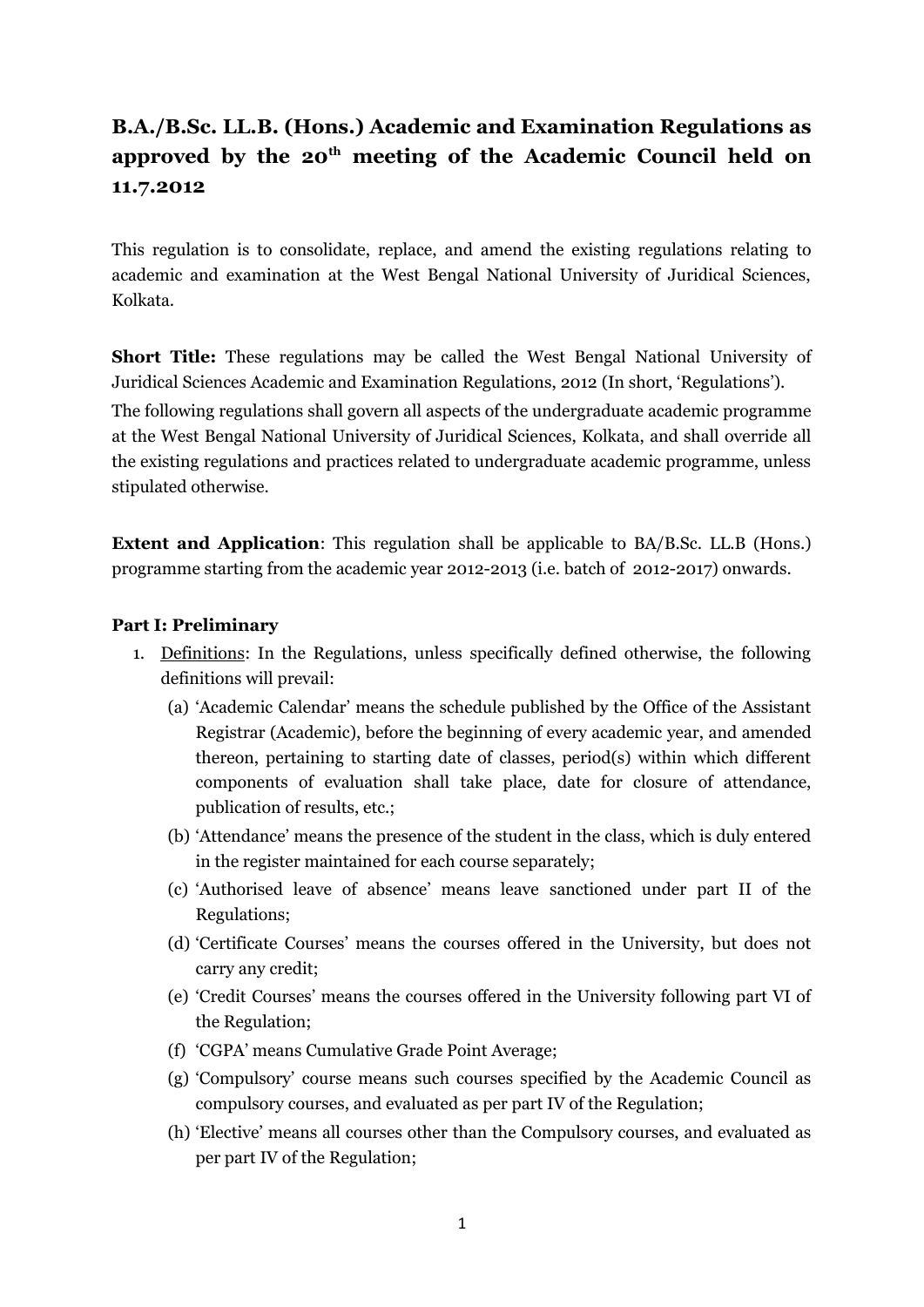# **B.A./B.Sc. LL.B. (Hons.) Academic and Examination Regulations as approved by the 20th meeting of the Academic Council held on 11.7.2012**

This regulation is to consolidate, replace, and amend the existing regulations relating to academic and examination at the West Bengal National University of Juridical Sciences, Kolkata.

**Short Title:** These regulations may be called the West Bengal National University of Juridical Sciences Academic and Examination Regulations, 2012 (In short, 'Regulations'). The following regulations shall govern all aspects of the undergraduate academic programme at the West Bengal National University of Juridical Sciences, Kolkata, and shall override all the existing regulations and practices related to undergraduate academic programme, unless stipulated otherwise.

**Extent and Application**: This regulation shall be applicable to BA/B.Sc. LL.B (Hons.) programme starting from the academic year 2012-2013 (i.e. batch of 2012-2017) onwards.

### **Part I: Preliminary**

- 1. Definitions: In the Regulations, unless specifically defined otherwise, the following definitions will prevail:
	- (a) 'Academic Calendar' means the schedule published by the Office of the Assistant Registrar (Academic), before the beginning of every academic year, and amended thereon, pertaining to starting date of classes, period(s) within which different components of evaluation shall take place, date for closure of attendance, publication of results, etc.;
	- (b) 'Attendance' means the presence of the student in the class, which is duly entered in the register maintained for each course separately;
	- (c) 'Authorised leave of absence' means leave sanctioned under part II of the Regulations;
	- (d) 'Certificate Courses' means the courses offered in the University, but does not carry any credit;
	- (e) 'Credit Courses' means the courses offered in the University following part VI of the Regulation;
	- (f) 'CGPA' means Cumulative Grade Point Average;
	- (g) 'Compulsory' course means such courses specified by the Academic Council as compulsory courses, and evaluated as per part IV of the Regulation;
	- (h) 'Elective' means all courses other than the Compulsory courses, and evaluated as per part IV of the Regulation;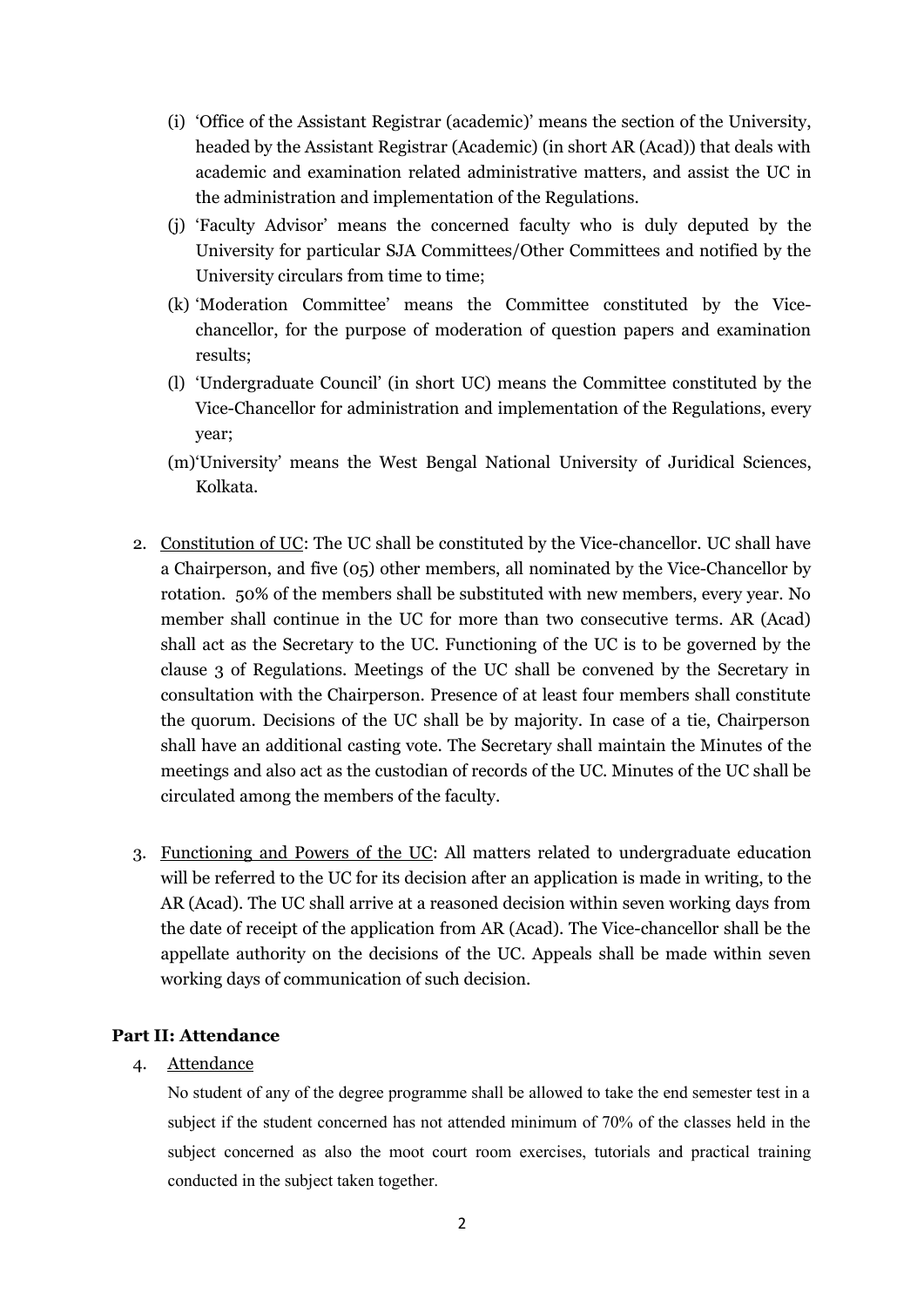- (i) 'Office of the Assistant Registrar (academic)' means the section of the University, headed by the Assistant Registrar (Academic) (in short AR (Acad)) that deals with academic and examination related administrative matters, and assist the UC in the administration and implementation of the Regulations.
- (j) 'Faculty Advisor' means the concerned faculty who is duly deputed by the University for particular SJA Committees/Other Committees and notified by the University circulars from time to time;
- (k) 'Moderation Committee' means the Committee constituted by the Vicechancellor, for the purpose of moderation of question papers and examination results;
- (l) 'Undergraduate Council' (in short UC) means the Committee constituted by the Vice-Chancellor for administration and implementation of the Regulations, every year;
- (m)'University' means the West Bengal National University of Juridical Sciences, Kolkata.
- 2. Constitution of UC: The UC shall be constituted by the Vice-chancellor. UC shall have a Chairperson, and five (05) other members, all nominated by the Vice-Chancellor by rotation. 50% of the members shall be substituted with new members, every year. No member shall continue in the UC for more than two consecutive terms. AR (Acad) shall act as the Secretary to the UC. Functioning of the UC is to be governed by the clause 3 of Regulations. Meetings of the UC shall be convened by the Secretary in consultation with the Chairperson. Presence of at least four members shall constitute the quorum. Decisions of the UC shall be by majority. In case of a tie, Chairperson shall have an additional casting vote. The Secretary shall maintain the Minutes of the meetings and also act as the custodian of records of the UC. Minutes of the UC shall be circulated among the members of the faculty.
- 3. Functioning and Powers of the UC: All matters related to undergraduate education will be referred to the UC for its decision after an application is made in writing, to the AR (Acad). The UC shall arrive at a reasoned decision within seven working days from the date of receipt of the application from AR (Acad). The Vice-chancellor shall be the appellate authority on the decisions of the UC. Appeals shall be made within seven working days of communication of such decision.

### **Part II: Attendance**

### 4. Attendance

No student of any of the degree programme shall be allowed to take the end semester test in a subject if the student concerned has not attended minimum of 70% of the classes held in the subject concerned as also the moot court room exercises, tutorials and practical training conducted in the subject taken together.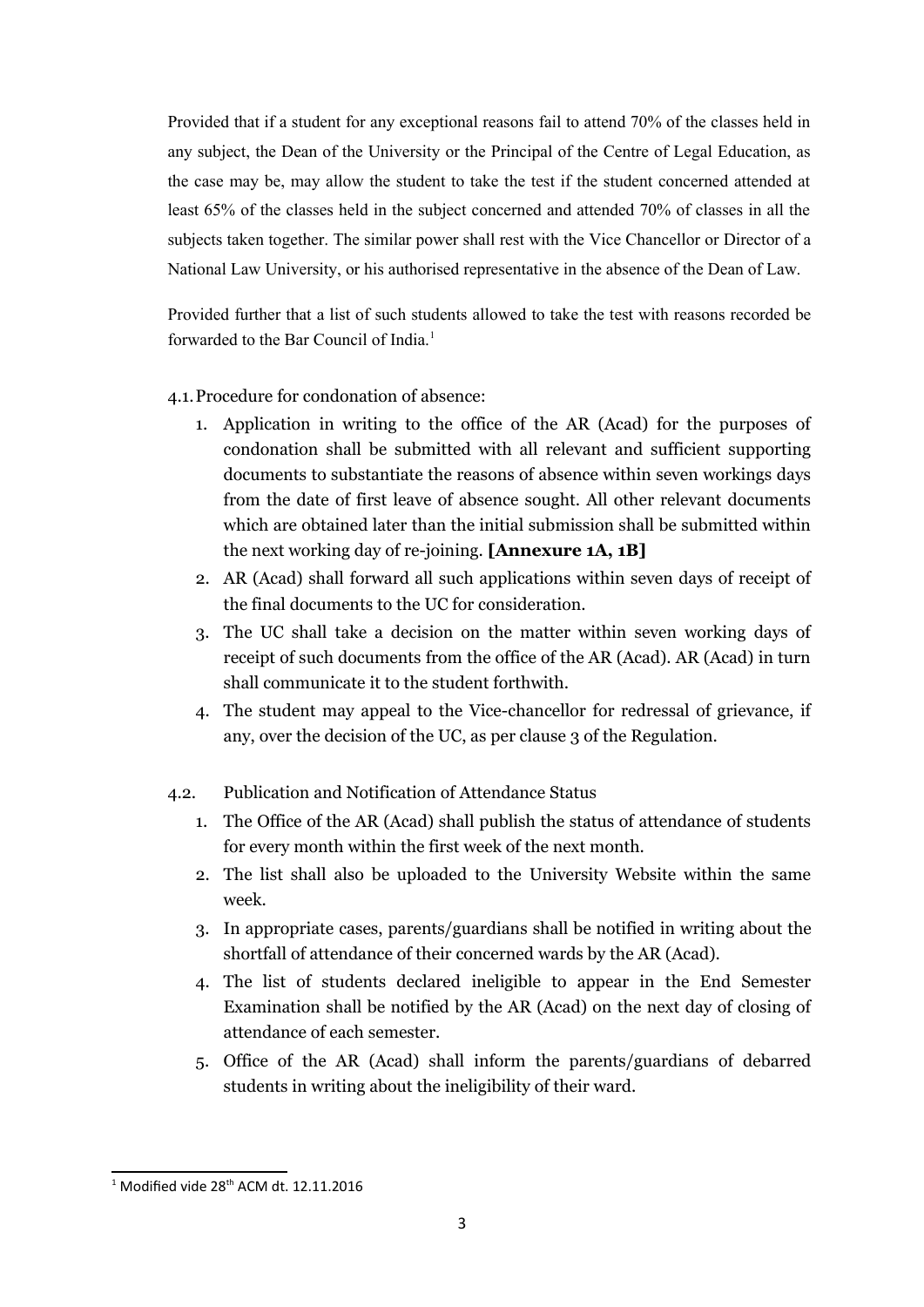Provided that if a student for any exceptional reasons fail to attend 70% of the classes held in any subject, the Dean of the University or the Principal of the Centre of Legal Education, as the case may be, may allow the student to take the test if the student concerned attended at least 65% of the classes held in the subject concerned and attended 70% of classes in all the subjects taken together. The similar power shall rest with the Vice Chancellor or Director of a National Law University, or his authorised representative in the absence of the Dean of Law.

Provided further that a list of such students allowed to take the test with reasons recorded be forwarded to the Bar Council of India.<sup>[1](#page-2-0)</sup>

### 4.1.Procedure for condonation of absence:

- 1. Application in writing to the office of the AR (Acad) for the purposes of condonation shall be submitted with all relevant and sufficient supporting documents to substantiate the reasons of absence within seven workings days from the date of first leave of absence sought. All other relevant documents which are obtained later than the initial submission shall be submitted within the next working day of re-joining. **[Annexure 1A, 1B]**
- 2. AR (Acad) shall forward all such applications within seven days of receipt of the final documents to the UC for consideration.
- 3. The UC shall take a decision on the matter within seven working days of receipt of such documents from the office of the AR (Acad). AR (Acad) in turn shall communicate it to the student forthwith.
- 4. The student may appeal to the Vice-chancellor for redressal of grievance, if any, over the decision of the UC, as per clause 3 of the Regulation.
- 4.2. Publication and Notification of Attendance Status
	- 1. The Office of the AR (Acad) shall publish the status of attendance of students for every month within the first week of the next month.
	- 2. The list shall also be uploaded to the University Website within the same week.
	- 3. In appropriate cases, parents/guardians shall be notified in writing about the shortfall of attendance of their concerned wards by the AR (Acad).
	- 4. The list of students declared ineligible to appear in the End Semester Examination shall be notified by the AR (Acad) on the next day of closing of attendance of each semester.
	- 5. Office of the AR (Acad) shall inform the parents/guardians of debarred students in writing about the ineligibility of their ward.

<span id="page-2-0"></span> $1$  Modified vide 28<sup>th</sup> ACM dt. 12.11.2016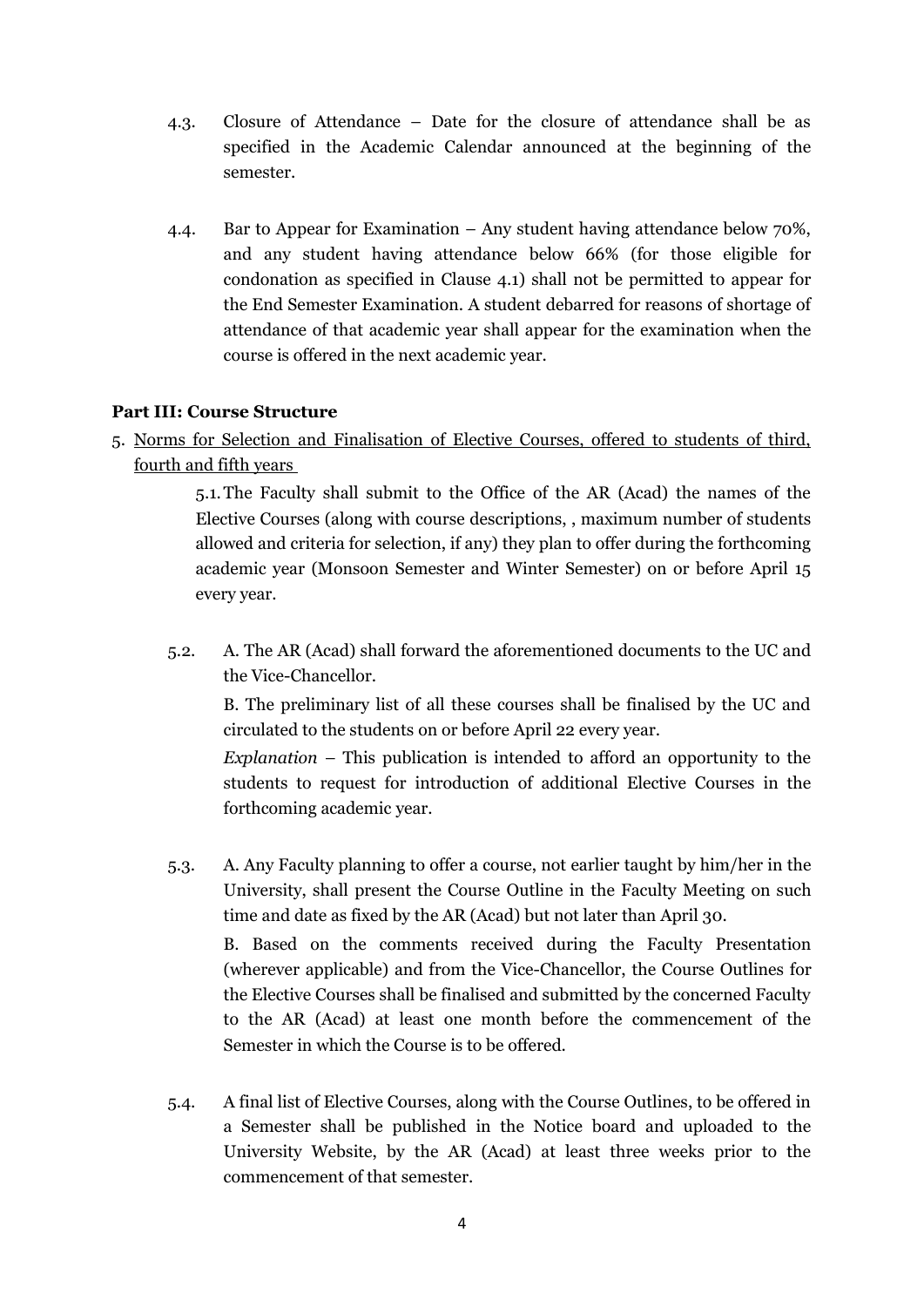- 4.3. Closure of Attendance Date for the closure of attendance shall be as specified in the Academic Calendar announced at the beginning of the semester.
- 4.4. Bar to Appear for Examination Any student having attendance below 70%, and any student having attendance below 66% (for those eligible for condonation as specified in Clause 4.1) shall not be permitted to appear for the End Semester Examination. A student debarred for reasons of shortage of attendance of that academic year shall appear for the examination when the course is offered in the next academic year.

### **Part III: Course Structure**

5. Norms for Selection and Finalisation of Elective Courses, offered to students of third, fourth and fifth years

> 5.1.The Faculty shall submit to the Office of the AR (Acad) the names of the Elective Courses (along with course descriptions, , maximum number of students allowed and criteria for selection, if any) they plan to offer during the forthcoming academic year (Monsoon Semester and Winter Semester) on or before April 15 every year.

5.2. A. The AR (Acad) shall forward the aforementioned documents to the UC and the Vice-Chancellor.

B. The preliminary list of all these courses shall be finalised by the UC and circulated to the students on or before April 22 every year.

*Explanation* – This publication is intended to afford an opportunity to the students to request for introduction of additional Elective Courses in the forthcoming academic year.

5.3. A. Any Faculty planning to offer a course, not earlier taught by him/her in the University, shall present the Course Outline in the Faculty Meeting on such time and date as fixed by the AR (Acad) but not later than April 30.

B. Based on the comments received during the Faculty Presentation (wherever applicable) and from the Vice-Chancellor, the Course Outlines for the Elective Courses shall be finalised and submitted by the concerned Faculty to the AR (Acad) at least one month before the commencement of the Semester in which the Course is to be offered.

5.4. A final list of Elective Courses, along with the Course Outlines, to be offered in a Semester shall be published in the Notice board and uploaded to the University Website, by the AR (Acad) at least three weeks prior to the commencement of that semester.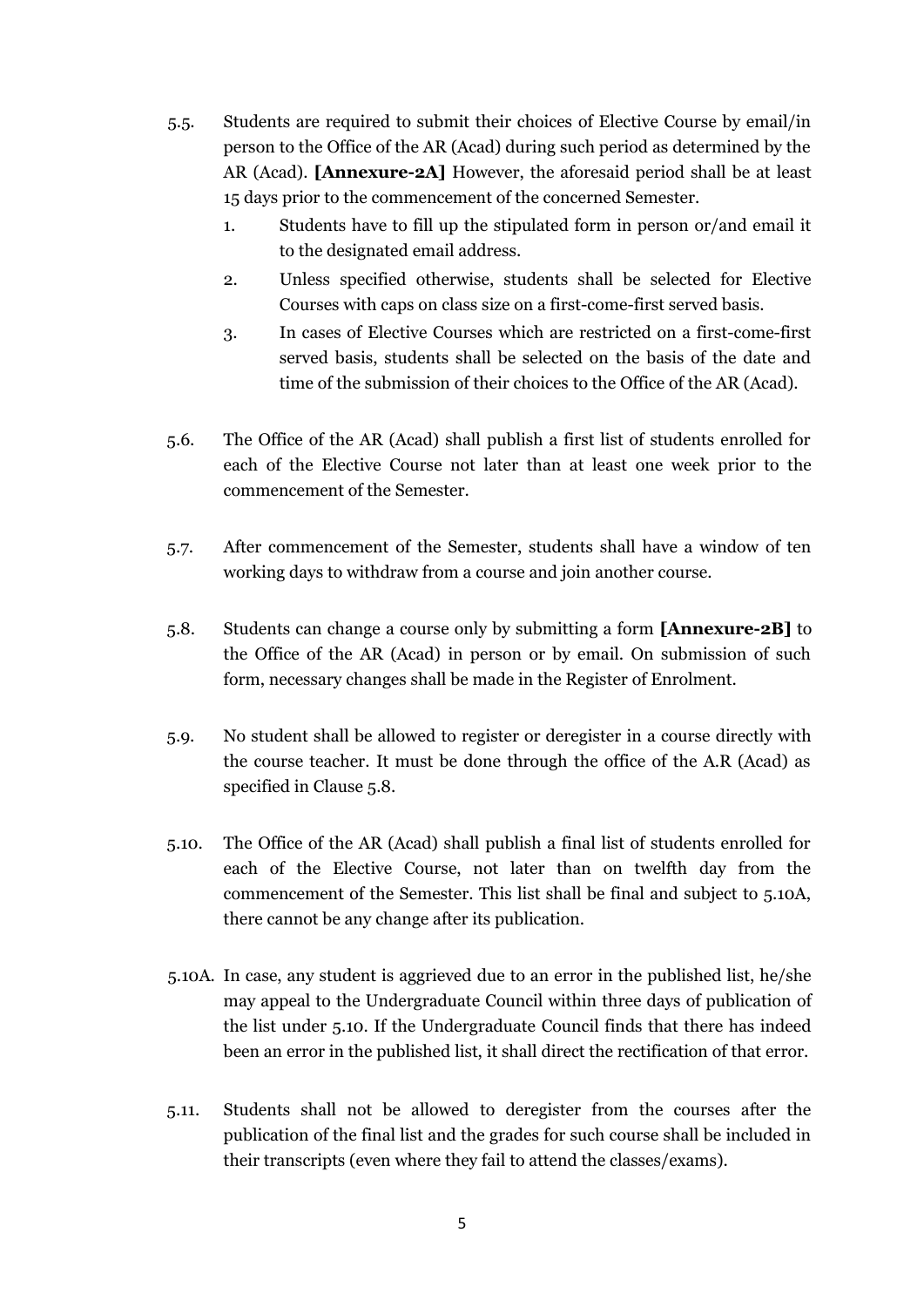- 5.5. Students are required to submit their choices of Elective Course by email/in person to the Office of the AR (Acad) during such period as determined by the AR (Acad). **[Annexure-2A]** However, the aforesaid period shall be at least 15 days prior to the commencement of the concerned Semester.
	- 1. Students have to fill up the stipulated form in person or/and email it to the designated email address.
	- 2. Unless specified otherwise, students shall be selected for Elective Courses with caps on class size on a first-come-first served basis.
	- 3. In cases of Elective Courses which are restricted on a first-come-first served basis, students shall be selected on the basis of the date and time of the submission of their choices to the Office of the AR (Acad).
- 5.6. The Office of the AR (Acad) shall publish a first list of students enrolled for each of the Elective Course not later than at least one week prior to the commencement of the Semester.
- 5.7. After commencement of the Semester, students shall have a window of ten working days to withdraw from a course and join another course.
- 5.8. Students can change a course only by submitting a form **[Annexure-2B]** to the Office of the AR (Acad) in person or by email. On submission of such form, necessary changes shall be made in the Register of Enrolment.
- 5.9. No student shall be allowed to register or deregister in a course directly with the course teacher. It must be done through the office of the A.R (Acad) as specified in Clause 5.8.
- 5.10. The Office of the AR (Acad) shall publish a final list of students enrolled for each of the Elective Course, not later than on twelfth day from the commencement of the Semester. This list shall be final and subject to 5.10A, there cannot be any change after its publication.
- 5.10A. In case, any student is aggrieved due to an error in the published list, he/she may appeal to the Undergraduate Council within three days of publication of the list under 5.10. If the Undergraduate Council finds that there has indeed been an error in the published list, it shall direct the rectification of that error.
- 5.11. Students shall not be allowed to deregister from the courses after the publication of the final list and the grades for such course shall be included in their transcripts (even where they fail to attend the classes/exams).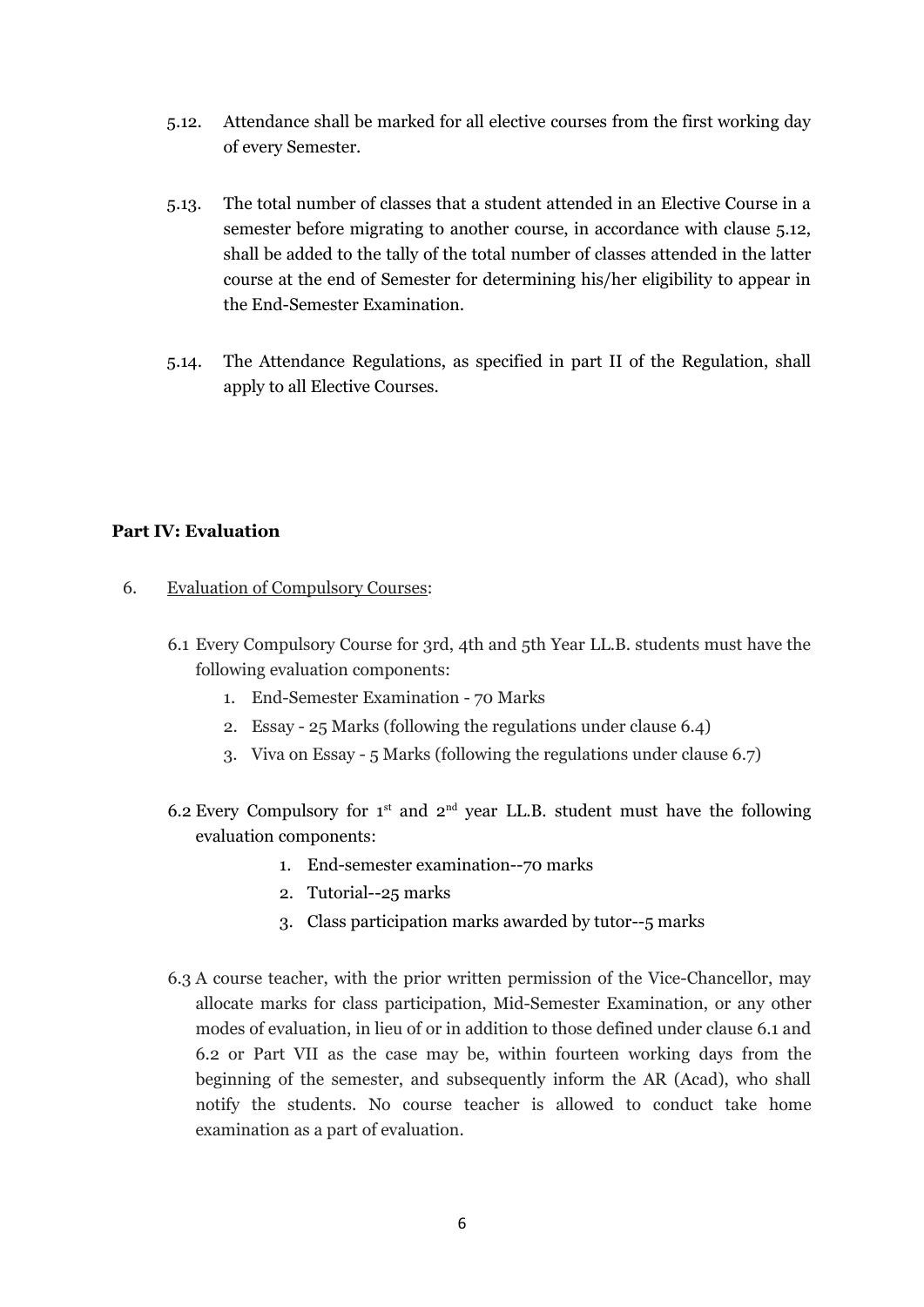- 5.12. Attendance shall be marked for all elective courses from the first working day of every Semester.
- 5.13. The total number of classes that a student attended in an Elective Course in a semester before migrating to another course, in accordance with clause 5.12, shall be added to the tally of the total number of classes attended in the latter course at the end of Semester for determining his/her eligibility to appear in the End-Semester Examination.
- 5.14. The Attendance Regulations, as specified in part II of the Regulation, shall apply to all Elective Courses.

### **Part IV: Evaluation**

- 6. Evaluation of Compulsory Courses:
	- 6.1 Every Compulsory Course for 3rd, 4th and 5th Year LL.B. students must have the following evaluation components:
		- 1. End-Semester Examination 70 Marks
		- 2. Essay 25 Marks (following the regulations under clause 6.4)
		- 3. Viva on Essay 5 Marks (following the regulations under clause 6.7)
	- 6.2 Every Compulsory for  $1^{st}$  and  $2^{nd}$  year LL.B. student must have the following evaluation components:
		- 1. End-semester examination--70 marks
		- 2. Tutorial--25 marks
		- 3. Class participation marks awarded by tutor--5 marks
	- 6.3 A course teacher, with the prior written permission of the Vice-Chancellor, may allocate marks for class participation, Mid-Semester Examination, or any other modes of evaluation, in lieu of or in addition to those defined under clause 6.1 and 6.2 or Part VII as the case may be, within fourteen working days from the beginning of the semester, and subsequently inform the AR (Acad), who shall notify the students. No course teacher is allowed to conduct take home examination as a part of evaluation.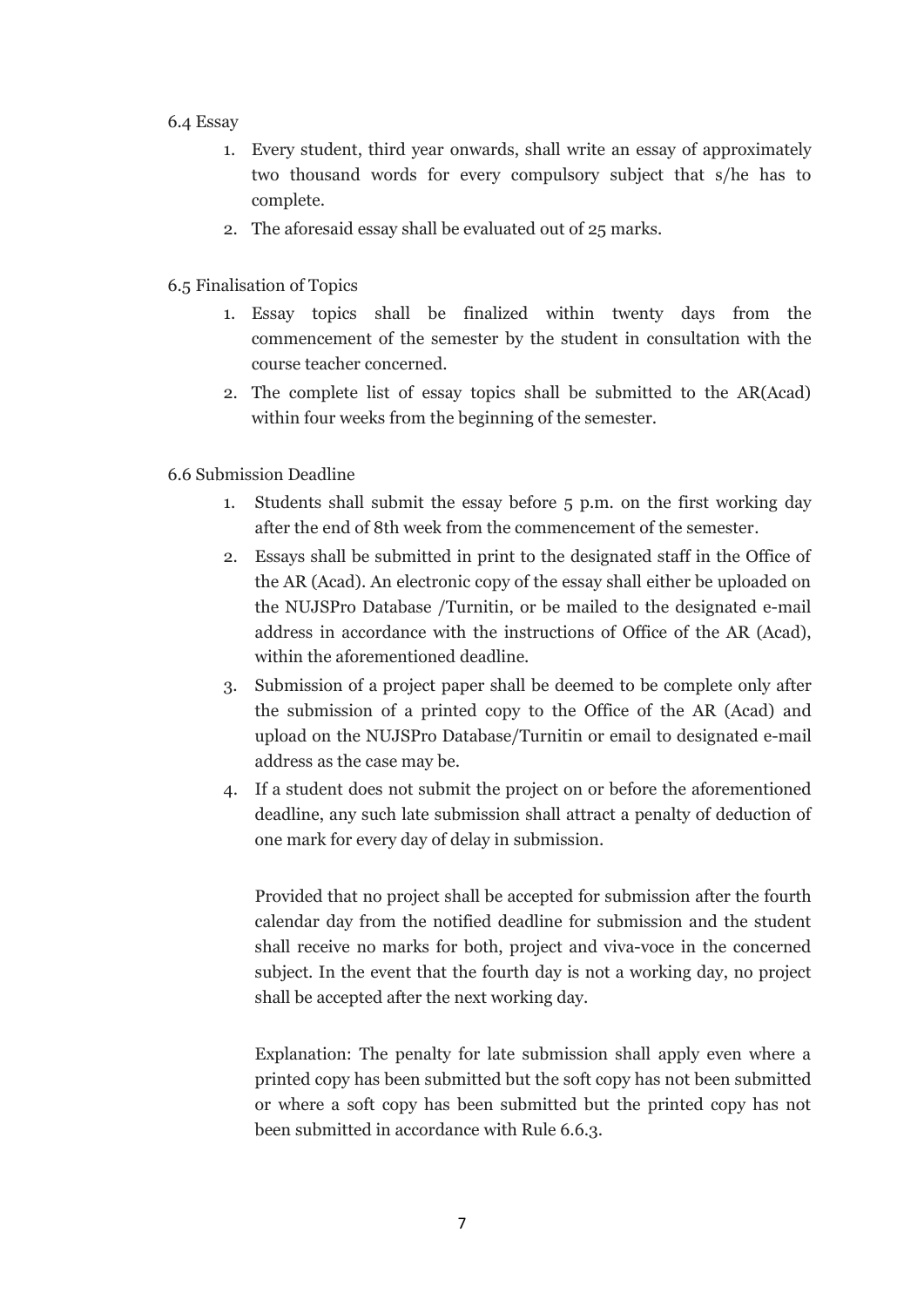#### 6.4 Essay

- 1. Every student, third year onwards, shall write an essay of approximately two thousand words for every compulsory subject that s/he has to complete.
- 2. The aforesaid essay shall be evaluated out of 25 marks.
- 6.5 Finalisation of Topics
	- 1. Essay topics shall be finalized within twenty days from the commencement of the semester by the student in consultation with the course teacher concerned.
	- 2. The complete list of essay topics shall be submitted to the AR(Acad) within four weeks from the beginning of the semester.
- 6.6 Submission Deadline
	- 1. Students shall submit the essay before 5 p.m. on the first working day after the end of 8th week from the commencement of the semester.
	- 2. Essays shall be submitted in print to the designated staff in the Office of the AR (Acad). An electronic copy of the essay shall either be uploaded on the NUJSPro Database /Turnitin, or be mailed to the designated e-mail address in accordance with the instructions of Office of the AR (Acad), within the aforementioned deadline.
	- 3. Submission of a project paper shall be deemed to be complete only after the submission of a printed copy to the Office of the AR (Acad) and upload on the NUJSPro Database/Turnitin or email to designated e-mail address as the case may be.
	- 4. If a student does not submit the project on or before the aforementioned deadline, any such late submission shall attract a penalty of deduction of one mark for every day of delay in submission.

Provided that no project shall be accepted for submission after the fourth calendar day from the notified deadline for submission and the student shall receive no marks for both, project and viva-voce in the concerned subject. In the event that the fourth day is not a working day, no project shall be accepted after the next working day.

Explanation: The penalty for late submission shall apply even where a printed copy has been submitted but the soft copy has not been submitted or where a soft copy has been submitted but the printed copy has not been submitted in accordance with Rule 6.6.3.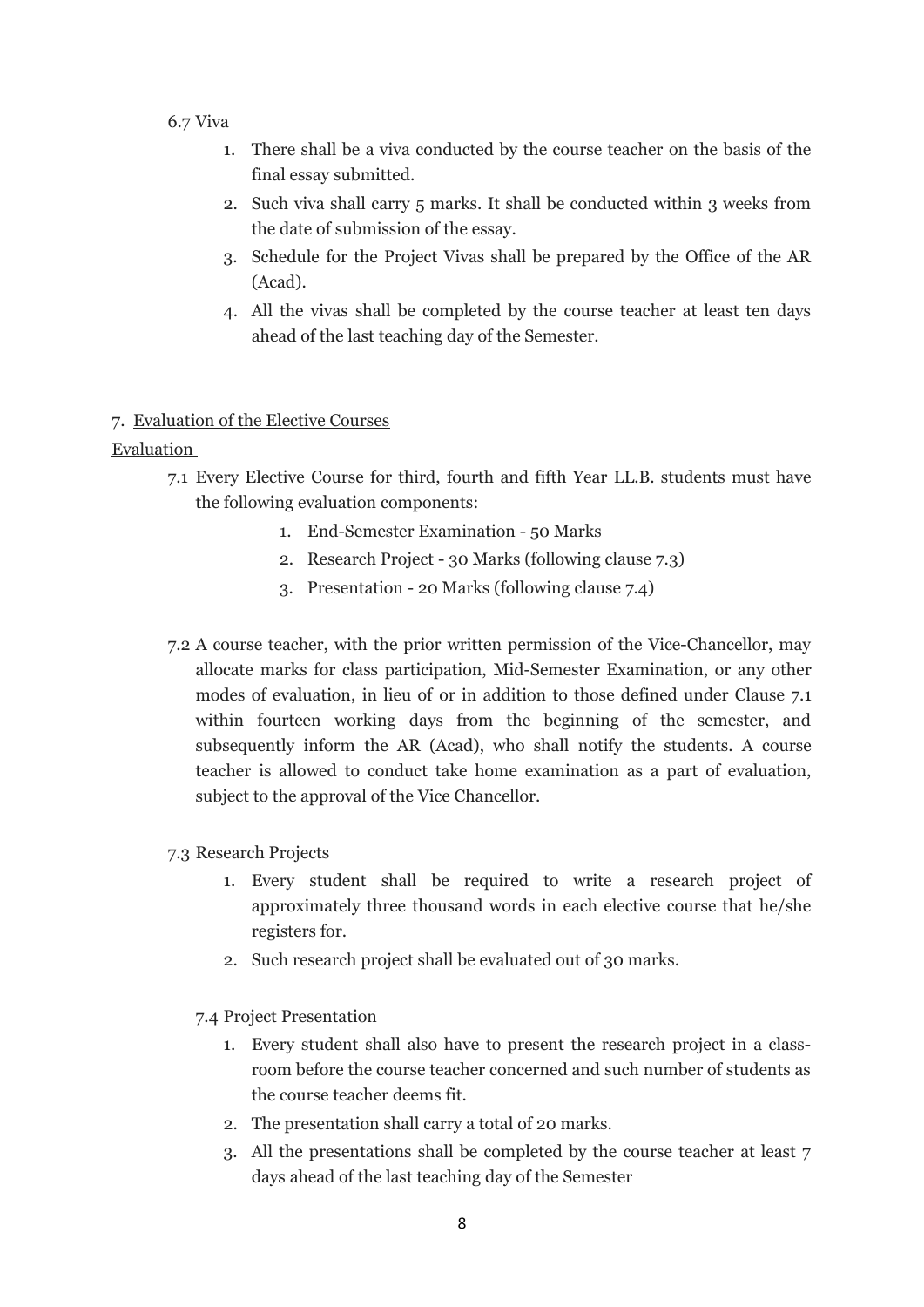### 6.7 Viva

- 1. There shall be a viva conducted by the course teacher on the basis of the final essay submitted.
- 2. Such viva shall carry 5 marks. It shall be conducted within 3 weeks from the date of submission of the essay.
- 3. Schedule for the Project Vivas shall be prepared by the Office of the AR (Acad).
- 4. All the vivas shall be completed by the course teacher at least ten days ahead of the last teaching day of the Semester.

### 7. Evaluation of the Elective Courses

Evaluation

- 7.1 Every Elective Course for third, fourth and fifth Year LL.B. students must have the following evaluation components:
	- 1. End-Semester Examination 50 Marks
	- 2. Research Project 30 Marks (following clause 7.3)
	- 3. Presentation 20 Marks (following clause 7.4)
- 7.2 A course teacher, with the prior written permission of the Vice-Chancellor, may allocate marks for class participation, Mid-Semester Examination, or any other modes of evaluation, in lieu of or in addition to those defined under Clause 7.1 within fourteen working days from the beginning of the semester, and subsequently inform the AR (Acad), who shall notify the students. A course teacher is allowed to conduct take home examination as a part of evaluation, subject to the approval of the Vice Chancellor.

## 7.3 Research Projects

- 1. Every student shall be required to write a research project of approximately three thousand words in each elective course that he/she registers for.
- 2. Such research project shall be evaluated out of 30 marks.

7.4 Project Presentation

- 1. Every student shall also have to present the research project in a classroom before the course teacher concerned and such number of students as the course teacher deems fit.
- 2. The presentation shall carry a total of 20 marks.
- 3. All the presentations shall be completed by the course teacher at least 7 days ahead of the last teaching day of the Semester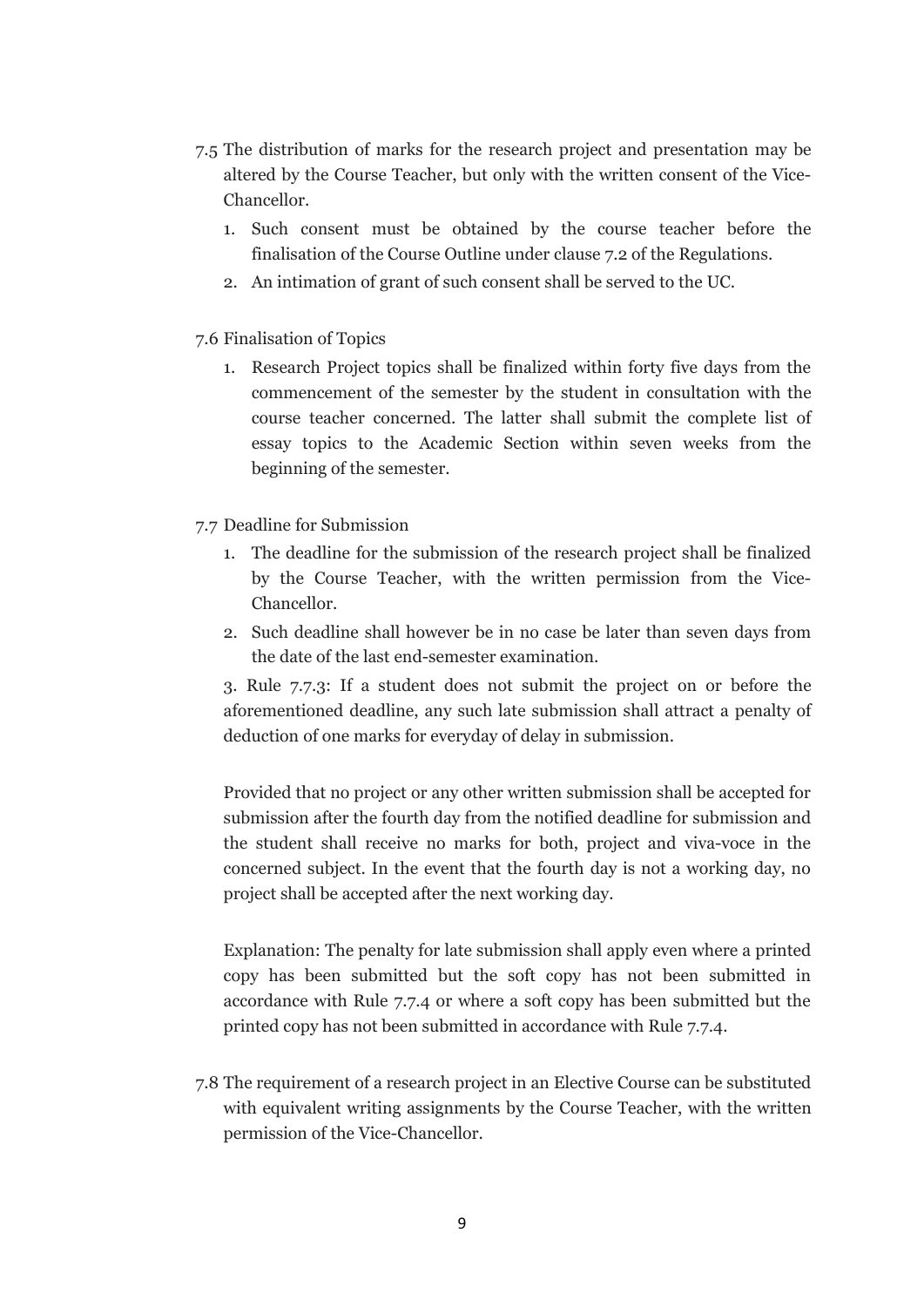- 7.5 The distribution of marks for the research project and presentation may be altered by the Course Teacher, but only with the written consent of the Vice-Chancellor.
	- 1. Such consent must be obtained by the course teacher before the finalisation of the Course Outline under clause 7.2 of the Regulations.
	- 2. An intimation of grant of such consent shall be served to the UC.
- 7.6 Finalisation of Topics
	- 1. Research Project topics shall be finalized within forty five days from the commencement of the semester by the student in consultation with the course teacher concerned. The latter shall submit the complete list of essay topics to the Academic Section within seven weeks from the beginning of the semester.
- 7.7 Deadline for Submission
	- 1. The deadline for the submission of the research project shall be finalized by the Course Teacher, with the written permission from the Vice-Chancellor.
	- 2. Such deadline shall however be in no case be later than seven days from the date of the last end-semester examination.

3. Rule 7.7.3: If a student does not submit the project on or before the aforementioned deadline, any such late submission shall attract a penalty of deduction of one marks for everyday of delay in submission.

Provided that no project or any other written submission shall be accepted for submission after the fourth day from the notified deadline for submission and the student shall receive no marks for both, project and viva-voce in the concerned subject. In the event that the fourth day is not a working day, no project shall be accepted after the next working day.

Explanation: The penalty for late submission shall apply even where a printed copy has been submitted but the soft copy has not been submitted in accordance with Rule 7.7.4 or where a soft copy has been submitted but the printed copy has not been submitted in accordance with Rule 7.7.4.

7.8 The requirement of a research project in an Elective Course can be substituted with equivalent writing assignments by the Course Teacher, with the written permission of the Vice-Chancellor.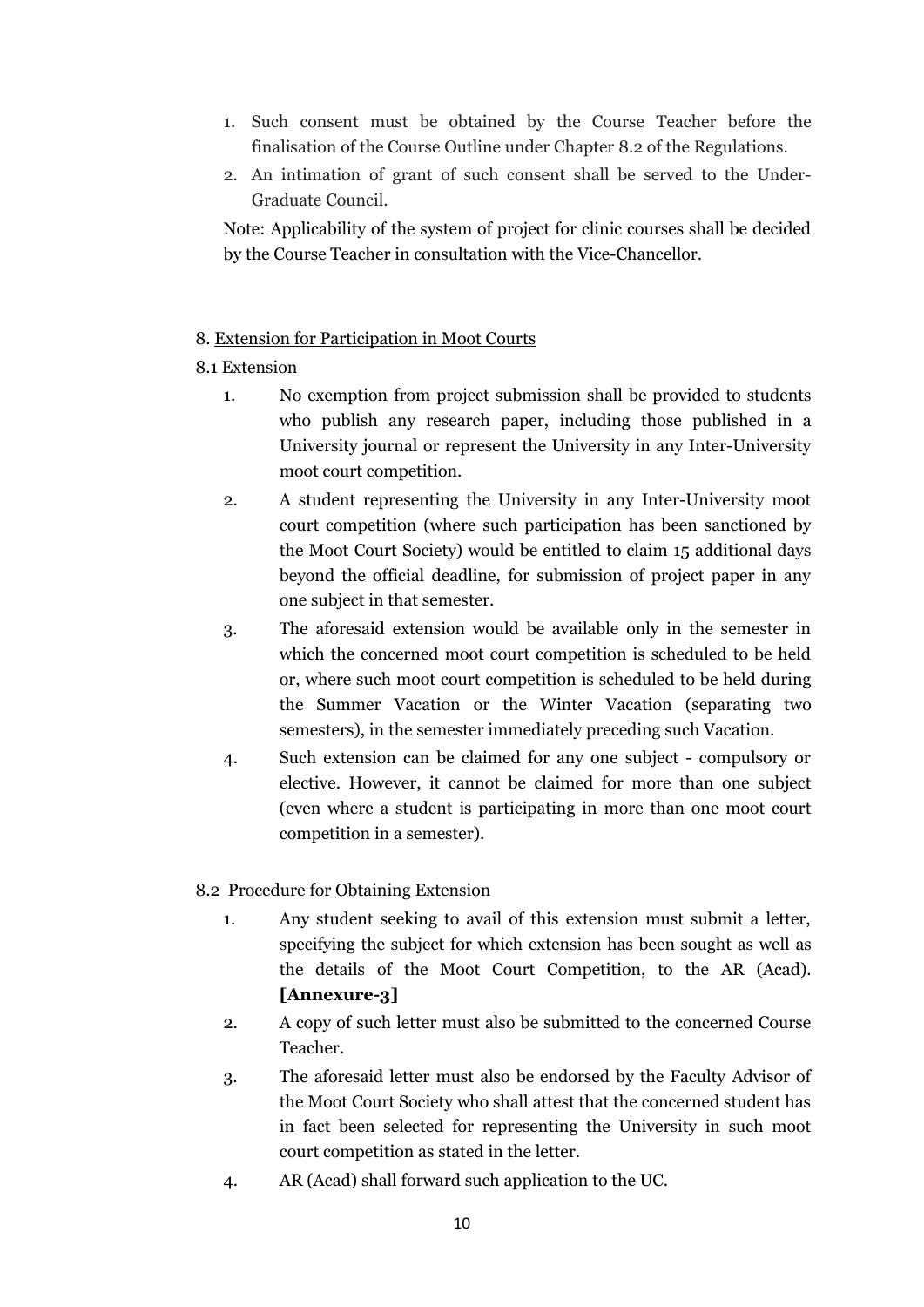- 1. Such consent must be obtained by the Course Teacher before the finalisation of the Course Outline under Chapter 8.2 of the Regulations.
- 2. An intimation of grant of such consent shall be served to the Under-Graduate Council.

Note: Applicability of the system of project for clinic courses shall be decided by the Course Teacher in consultation with the Vice-Chancellor.

## 8. Extension for Participation in Moot Courts

## 8.1 Extension

- 1. No exemption from project submission shall be provided to students who publish any research paper, including those published in a University journal or represent the University in any Inter-University moot court competition.
- 2. A student representing the University in any Inter-University moot court competition (where such participation has been sanctioned by the Moot Court Society) would be entitled to claim 15 additional days beyond the official deadline, for submission of project paper in any one subject in that semester.
- 3. The aforesaid extension would be available only in the semester in which the concerned moot court competition is scheduled to be held or, where such moot court competition is scheduled to be held during the Summer Vacation or the Winter Vacation (separating two semesters), in the semester immediately preceding such Vacation.
- 4. Such extension can be claimed for any one subject compulsory or elective. However, it cannot be claimed for more than one subject (even where a student is participating in more than one moot court competition in a semester).

## 8.2 Procedure for Obtaining Extension

- 1. Any student seeking to avail of this extension must submit a letter, specifying the subject for which extension has been sought as well as the details of the Moot Court Competition, to the AR (Acad). **[Annexure-3]**
- 2. A copy of such letter must also be submitted to the concerned Course Teacher.
- 3. The aforesaid letter must also be endorsed by the Faculty Advisor of the Moot Court Society who shall attest that the concerned student has in fact been selected for representing the University in such moot court competition as stated in the letter.
- 4. AR (Acad) shall forward such application to the UC.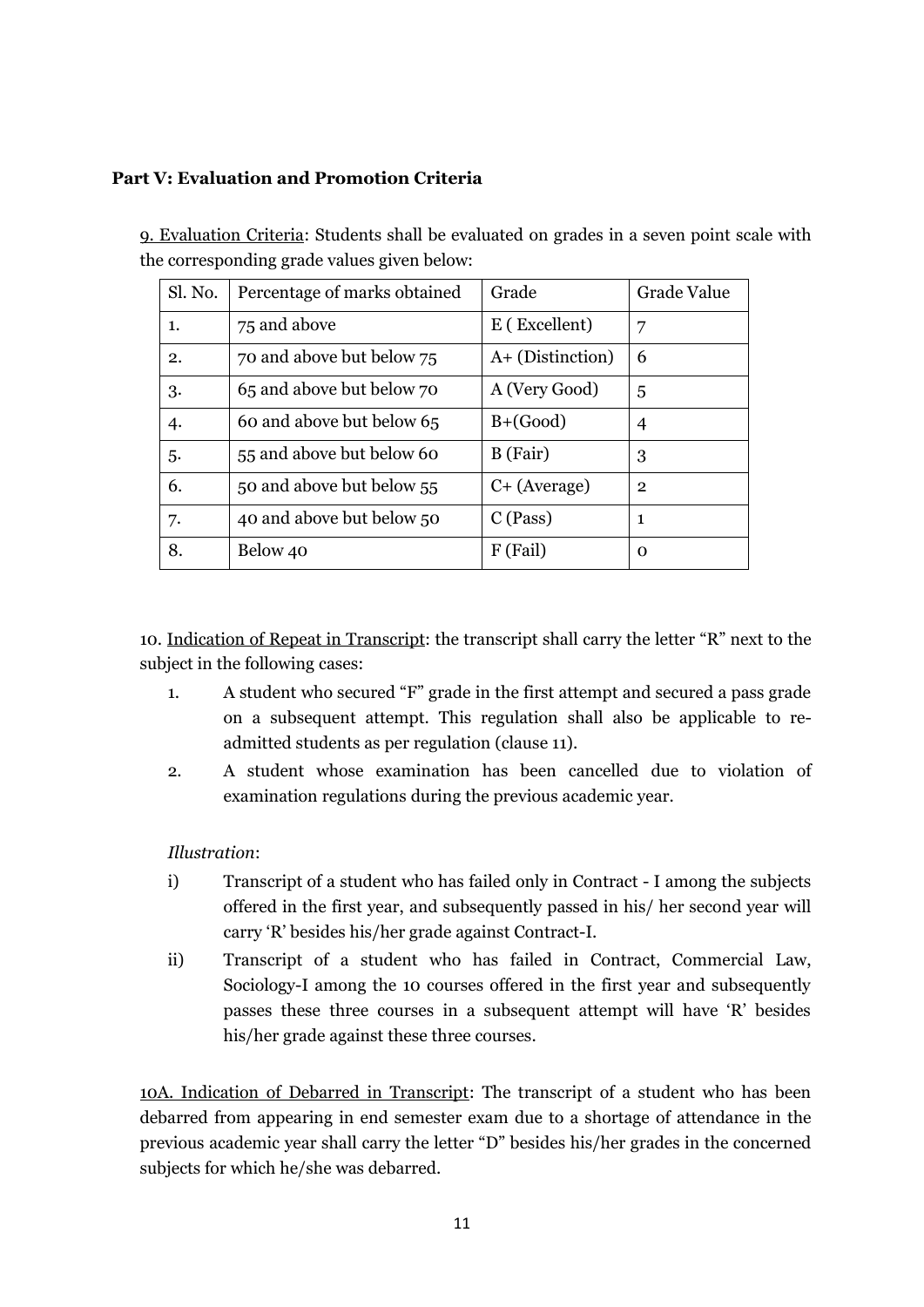## **Part V: Evaluation and Promotion Criteria**

9. Evaluation Criteria: Students shall be evaluated on grades in a seven point scale with the corresponding grade values given below:

| Sl. No. | Percentage of marks obtained | Grade            | Grade Value    |
|---------|------------------------------|------------------|----------------|
| 1.      | 75 and above                 | E (Excellent)    | 7              |
| 2.      | 70 and above but below 75    | A+ (Distinction) | 6              |
| 3.      | 65 and above but below 70    | A (Very Good)    | 5              |
| 4.      | 60 and above but below 65    | $B+(Good)$       | 4              |
| .5.     | 55 and above but below 60    | B (Fair)         | 3              |
| 6.      | 50 and above but below 55    | $C+$ (Average)   | $\overline{2}$ |
| 7.      | 40 and above but below 50    | $C$ (Pass)       | 1              |
| 8.      | Below 40                     | F (Fail)         | 0              |

10. Indication of Repeat in Transcript: the transcript shall carry the letter "R" next to the subject in the following cases:

- 1. A student who secured "F" grade in the first attempt and secured a pass grade on a subsequent attempt. This regulation shall also be applicable to readmitted students as per regulation (clause 11).
- 2. A student whose examination has been cancelled due to violation of examination regulations during the previous academic year.

## *Illustration*:

- i) Transcript of a student who has failed only in Contract I among the subjects offered in the first year, and subsequently passed in his/ her second year will carry 'R' besides his/her grade against Contract-I.
- ii) Transcript of a student who has failed in Contract, Commercial Law, Sociology-I among the 10 courses offered in the first year and subsequently passes these three courses in a subsequent attempt will have 'R' besides his/her grade against these three courses.

10A. Indication of Debarred in Transcript: The transcript of a student who has been debarred from appearing in end semester exam due to a shortage of attendance in the previous academic year shall carry the letter "D" besides his/her grades in the concerned subjects for which he/she was debarred.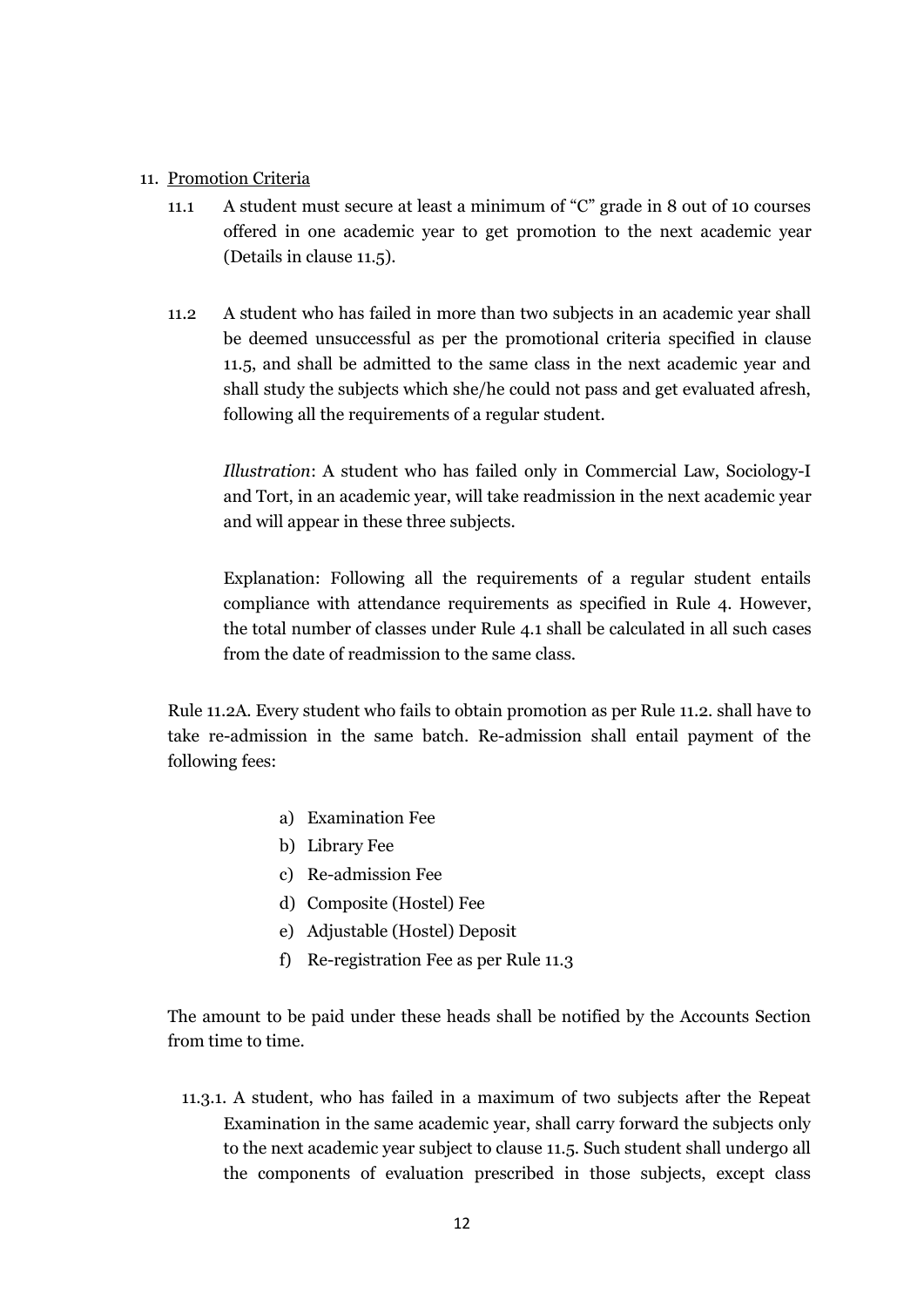#### 11. Promotion Criteria

- 11.1 A student must secure at least a minimum of "C" grade in 8 out of 10 courses offered in one academic year to get promotion to the next academic year (Details in clause 11.5).
- 11.2 A student who has failed in more than two subjects in an academic year shall be deemed unsuccessful as per the promotional criteria specified in clause 11.5, and shall be admitted to the same class in the next academic year and shall study the subjects which she/he could not pass and get evaluated afresh, following all the requirements of a regular student.

*Illustration*: A student who has failed only in Commercial Law, Sociology-I and Tort, in an academic year, will take readmission in the next academic year and will appear in these three subjects.

Explanation: Following all the requirements of a regular student entails compliance with attendance requirements as specified in Rule 4. However, the total number of classes under Rule 4.1 shall be calculated in all such cases from the date of readmission to the same class.

Rule 11.2A. Every student who fails to obtain promotion as per Rule 11.2. shall have to take re-admission in the same batch. Re-admission shall entail payment of the following fees:

- a) Examination Fee
- b) Library Fee
- c) Re-admission Fee
- d) Composite (Hostel) Fee
- e) Adjustable (Hostel) Deposit
- f) Re-registration Fee as per Rule 11.3

The amount to be paid under these heads shall be notified by the Accounts Section from time to time.

11.3.1. A student, who has failed in a maximum of two subjects after the Repeat Examination in the same academic year, shall carry forward the subjects only to the next academic year subject to clause 11.5. Such student shall undergo all the components of evaluation prescribed in those subjects, except class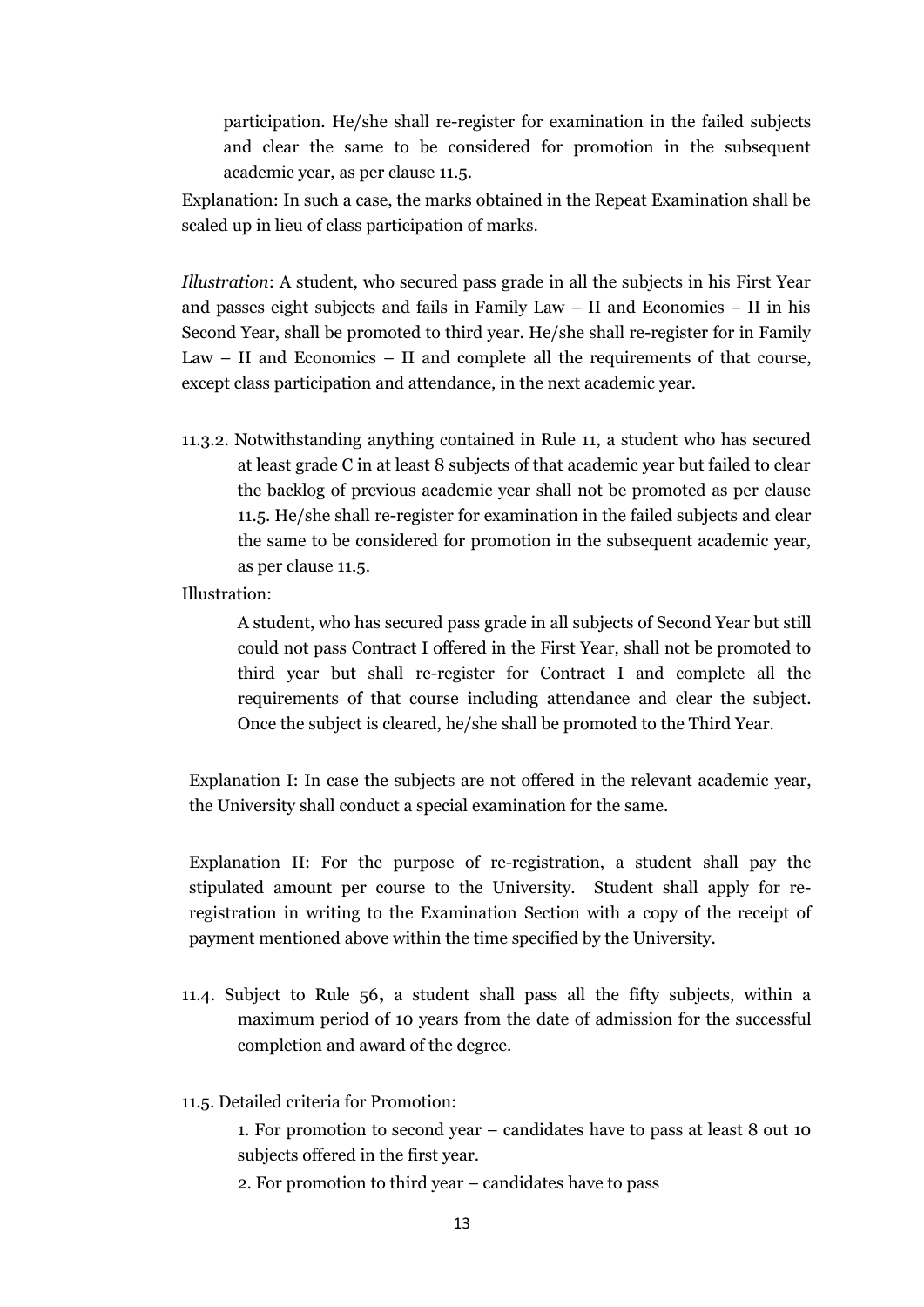participation. He/she shall re-register for examination in the failed subjects and clear the same to be considered for promotion in the subsequent academic year, as per clause 11.5.

Explanation: In such a case, the marks obtained in the Repeat Examination shall be scaled up in lieu of class participation of marks.

*Illustration*: A student, who secured pass grade in all the subjects in his First Year and passes eight subjects and fails in Family Law – II and Economics – II in his Second Year, shall be promoted to third year. He/she shall re-register for in Family Law – II and Economics – II and complete all the requirements of that course, except class participation and attendance, in the next academic year.

11.3.2. Notwithstanding anything contained in Rule 11, a student who has secured at least grade C in at least 8 subjects of that academic year but failed to clear the backlog of previous academic year shall not be promoted as per clause 11.5. He/she shall re-register for examination in the failed subjects and clear the same to be considered for promotion in the subsequent academic year, as per clause 11.5.

Illustration:

A student, who has secured pass grade in all subjects of Second Year but still could not pass Contract I offered in the First Year, shall not be promoted to third year but shall re-register for Contract I and complete all the requirements of that course including attendance and clear the subject. Once the subject is cleared, he/she shall be promoted to the Third Year.

Explanation I: In case the subjects are not offered in the relevant academic year, the University shall conduct a special examination for the same.

Explanation II: For the purpose of re-registration, a student shall pay the stipulated amount per course to the University. Student shall apply for reregistration in writing to the Examination Section with a copy of the receipt of payment mentioned above within the time specified by the University.

- 11.4. Subject to Rule 56**,** a student shall pass all the fifty subjects, within a maximum period of 10 years from the date of admission for the successful completion and award of the degree.
- 11.5. Detailed criteria for Promotion:

1. For promotion to second year – candidates have to pass at least 8 out 10 subjects offered in the first year.

2. For promotion to third year – candidates have to pass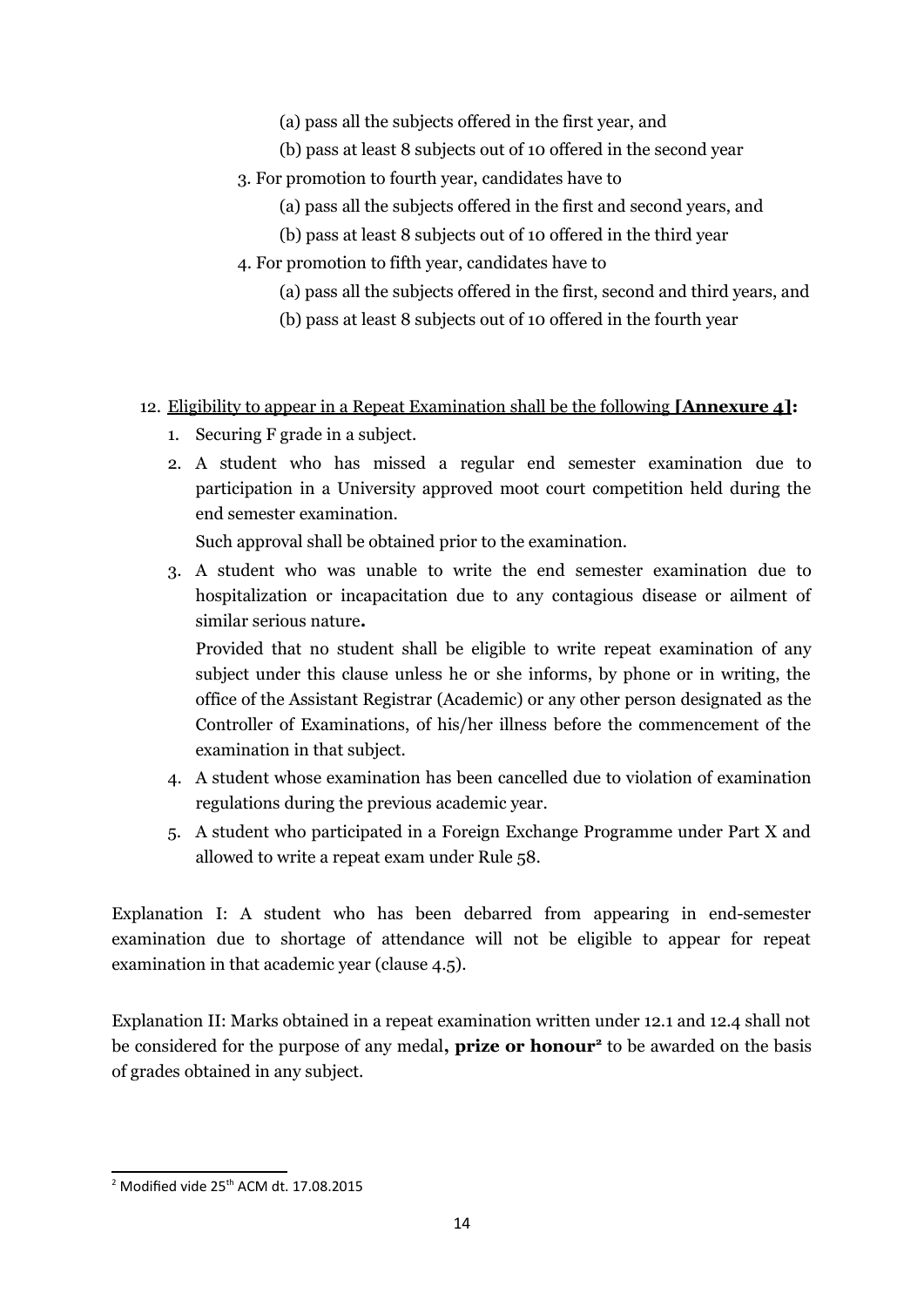- (a) pass all the subjects offered in the first year, and
- (b) pass at least 8 subjects out of 10 offered in the second year
- 3. For promotion to fourth year, candidates have to
	- (a) pass all the subjects offered in the first and second years, and
	- (b) pass at least 8 subjects out of 10 offered in the third year
- 4. For promotion to fifth year, candidates have to
	- (a) pass all the subjects offered in the first, second and third years, and
	- (b) pass at least 8 subjects out of 10 offered in the fourth year

## 12. Eligibility to appear in a Repeat Examination shall be the following **[Annexure 4]:**

- 1. Securing F grade in a subject.
- 2. A student who has missed a regular end semester examination due to participation in a University approved moot court competition held during the end semester examination.

Such approval shall be obtained prior to the examination.

3. A student who was unable to write the end semester examination due to hospitalization or incapacitation due to any contagious disease or ailment of similar serious nature**.**

Provided that no student shall be eligible to write repeat examination of any subject under this clause unless he or she informs, by phone or in writing, the office of the Assistant Registrar (Academic) or any other person designated as the Controller of Examinations, of his/her illness before the commencement of the examination in that subject.

- 4. A student whose examination has been cancelled due to violation of examination regulations during the previous academic year.
- 5. A student who participated in a Foreign Exchange Programme under Part X and allowed to write a repeat exam under Rule 58.

Explanation I: A student who has been debarred from appearing in end-semester examination due to shortage of attendance will not be eligible to appear for repeat examination in that academic year (clause 4.5).

Explanation II: Marks obtained in a repeat examination written under 12.1 and 12.4 shall not be considered for the purpose of any medal**, prize or honour[2](#page-13-0)** to be awarded on the basis of grades obtained in any subject.

<span id="page-13-0"></span> $2$  Modified vide 25<sup>th</sup> ACM dt. 17.08.2015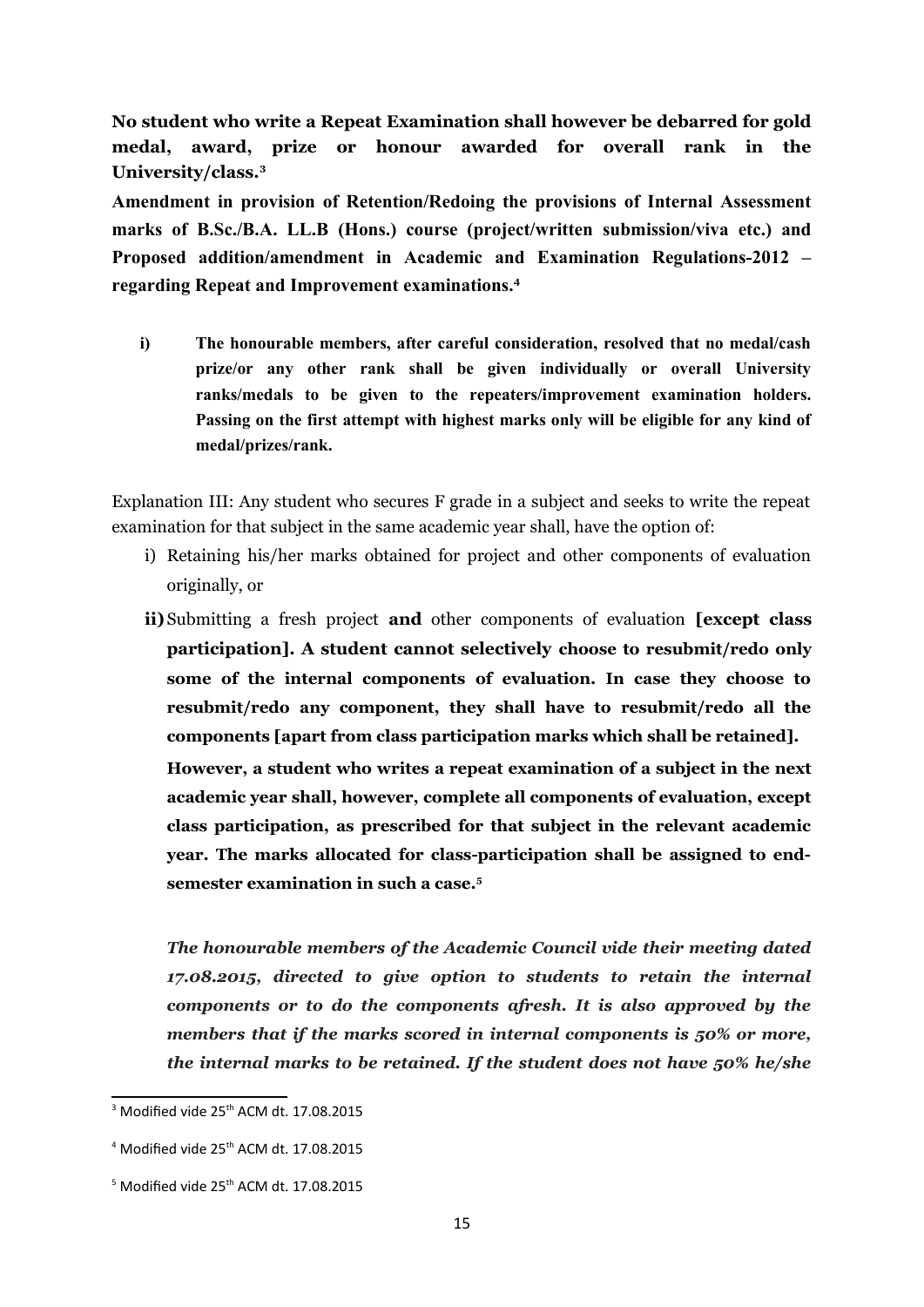**No student who write a Repeat Examination shall however be debarred for gold medal, award, prize or honour awarded for overall rank in the University/class.[3](#page-14-0)**

**Amendment in provision of Retention/Redoing the provisions of Internal Assessment marks of B.Sc./B.A. LL.B (Hons.) course (project/written submission/viva etc.) and Proposed addition/amendment in Academic and Examination Regulations-2012 – regarding Repeat and Improvement examinations.[4](#page-14-1)**

**i) The honourable members, after careful consideration, resolved that no medal/cash prize/or any other rank shall be given individually or overall University ranks/medals to be given to the repeaters/improvement examination holders. Passing on the first attempt with highest marks only will be eligible for any kind of medal/prizes/rank.**

Explanation III: Any student who secures F grade in a subject and seeks to write the repeat examination for that subject in the same academic year shall, have the option of:

- i) Retaining his/her marks obtained for project and other components of evaluation originally, or
- **ii)**Submitting a fresh project **and** other components of evaluation **[except class participation]. A student cannot selectively choose to resubmit/redo only some of the internal components of evaluation. In case they choose to resubmit/redo any component, they shall have to resubmit/redo all the components [apart from class participation marks which shall be retained].**

**However, a student who writes a repeat examination of a subject in the next academic year shall, however, complete all components of evaluation, except class participation, as prescribed for that subject in the relevant academic year. The marks allocated for class-participation shall be assigned to endsemester examination in such a case.[5](#page-14-2)**

*The honourable members of the Academic Council vide their meeting dated 17.08.2015, directed to give option to students to retain the internal components or to do the components afresh. It is also approved by the members that if the marks scored in internal components is 50% or more, the internal marks to be retained. If the student does not have 50% he/she*

<span id="page-14-0"></span> $3$  Modified vide 25<sup>th</sup> ACM dt. 17.08.2015

<span id="page-14-1"></span> $4$  Modified vide 25<sup>th</sup> ACM dt. 17.08.2015

<span id="page-14-2"></span> $5$  Modified vide 25<sup>th</sup> ACM dt. 17.08.2015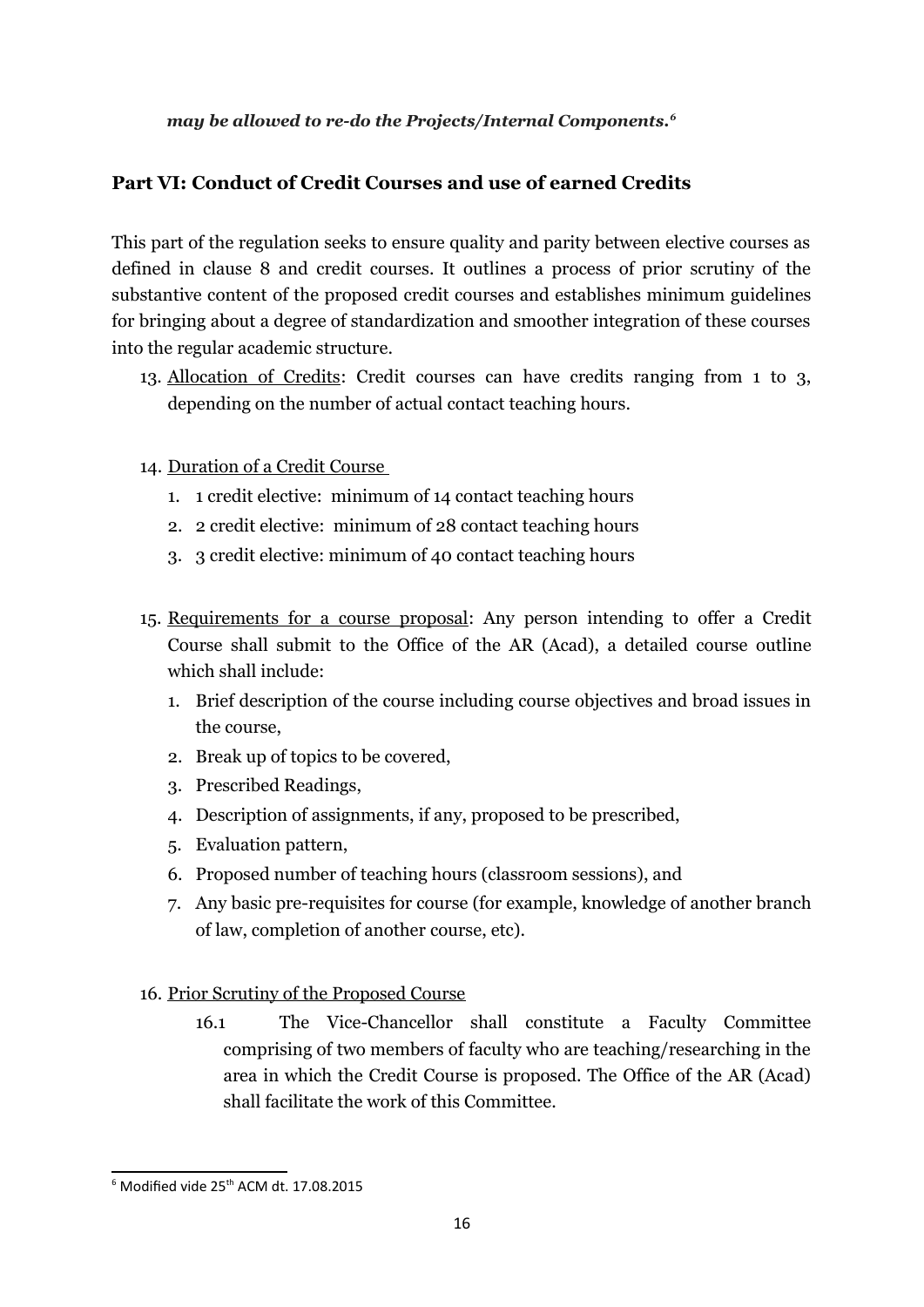## *may be allowed to re-do the Projects/Internal Components.[6](#page-15-0)*

## **Part VI: Conduct of Credit Courses and use of earned Credits**

This part of the regulation seeks to ensure quality and parity between elective courses as defined in clause 8 and credit courses. It outlines a process of prior scrutiny of the substantive content of the proposed credit courses and establishes minimum guidelines for bringing about a degree of standardization and smoother integration of these courses into the regular academic structure.

- 13. Allocation of Credits: Credit courses can have credits ranging from 1 to 3, depending on the number of actual contact teaching hours.
- 14. Duration of a Credit Course
	- 1. 1 credit elective: minimum of 14 contact teaching hours
	- 2. 2 credit elective: minimum of 28 contact teaching hours
	- 3. 3 credit elective: minimum of 40 contact teaching hours
- 15. Requirements for a course proposal: Any person intending to offer a Credit Course shall submit to the Office of the AR (Acad), a detailed course outline which shall include:
	- 1. Brief description of the course including course objectives and broad issues in the course,
	- 2. Break up of topics to be covered,
	- 3. Prescribed Readings,
	- 4. Description of assignments, if any, proposed to be prescribed,
	- 5. Evaluation pattern,
	- 6. Proposed number of teaching hours (classroom sessions), and
	- 7. Any basic pre-requisites for course (for example, knowledge of another branch of law, completion of another course, etc).
- 16. Prior Scrutiny of the Proposed Course
	- 16.1 The Vice-Chancellor shall constitute a Faculty Committee comprising of two members of faculty who are teaching/researching in the area in which the Credit Course is proposed. The Office of the AR (Acad) shall facilitate the work of this Committee.

<span id="page-15-0"></span> $6$  Modified vide 25<sup>th</sup> ACM dt. 17.08.2015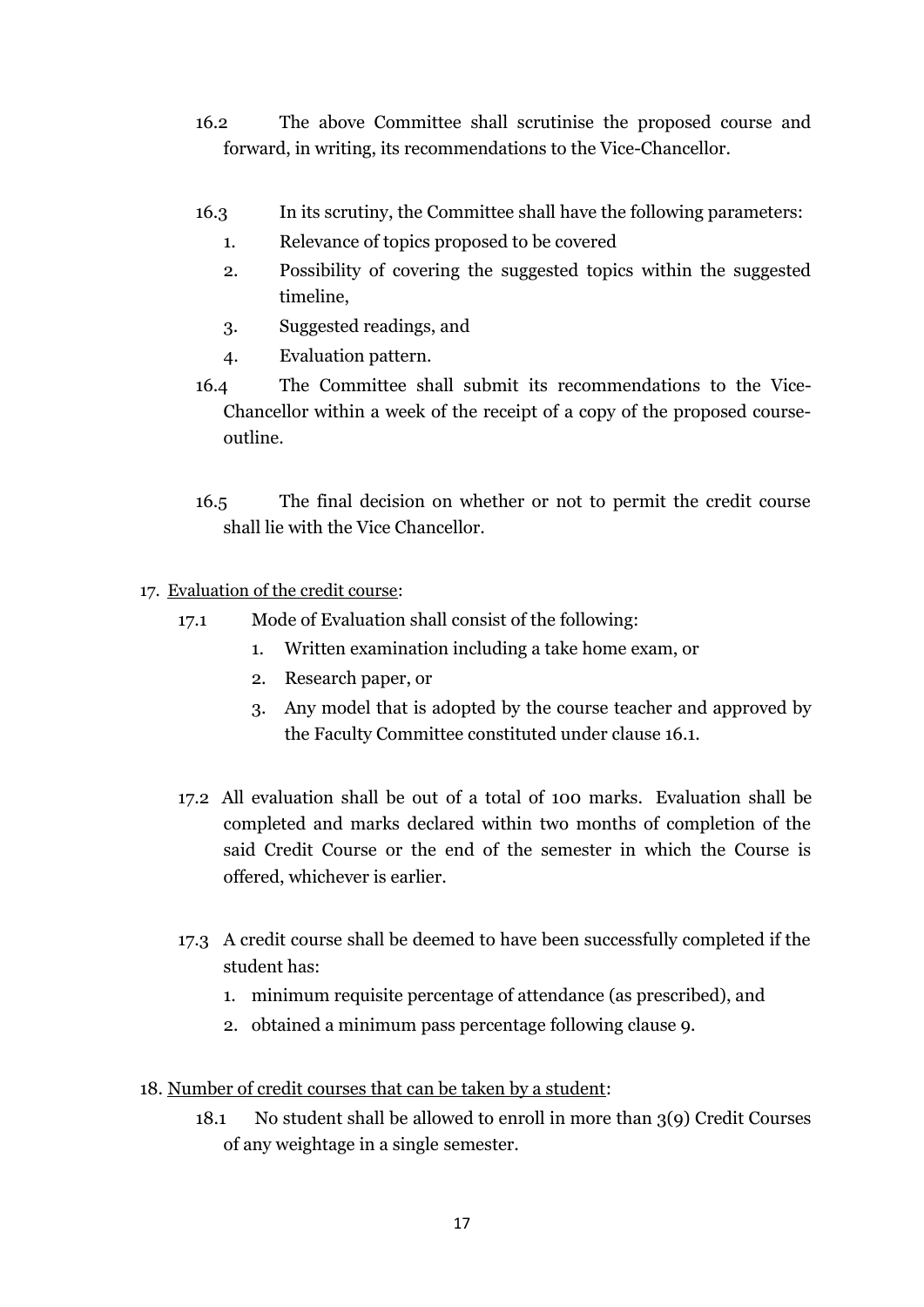- 16.2 The above Committee shall scrutinise the proposed course and forward, in writing, its recommendations to the Vice-Chancellor.
- 16.3 In its scrutiny, the Committee shall have the following parameters:
	- 1. Relevance of topics proposed to be covered
	- 2. Possibility of covering the suggested topics within the suggested timeline,
	- 3. Suggested readings, and
	- 4. Evaluation pattern.
- 16.4 The Committee shall submit its recommendations to the Vice-Chancellor within a week of the receipt of a copy of the proposed courseoutline.
- 16.5 The final decision on whether or not to permit the credit course shall lie with the Vice Chancellor.
- 17. Evaluation of the credit course:
	- 17.1 Mode of Evaluation shall consist of the following:
		- 1. Written examination including a take home exam, or
		- 2. Research paper, or
		- 3. Any model that is adopted by the course teacher and approved by the Faculty Committee constituted under clause 16.1.
	- 17.2 All evaluation shall be out of a total of 100 marks. Evaluation shall be completed and marks declared within two months of completion of the said Credit Course or the end of the semester in which the Course is offered, whichever is earlier.
	- 17.3 A credit course shall be deemed to have been successfully completed if the student has:
		- 1. minimum requisite percentage of attendance (as prescribed), and
		- 2. obtained a minimum pass percentage following clause 9.
- 18. Number of credit courses that can be taken by a student:
	- 18.1 No student shall be allowed to enroll in more than 3(9) Credit Courses of any weightage in a single semester.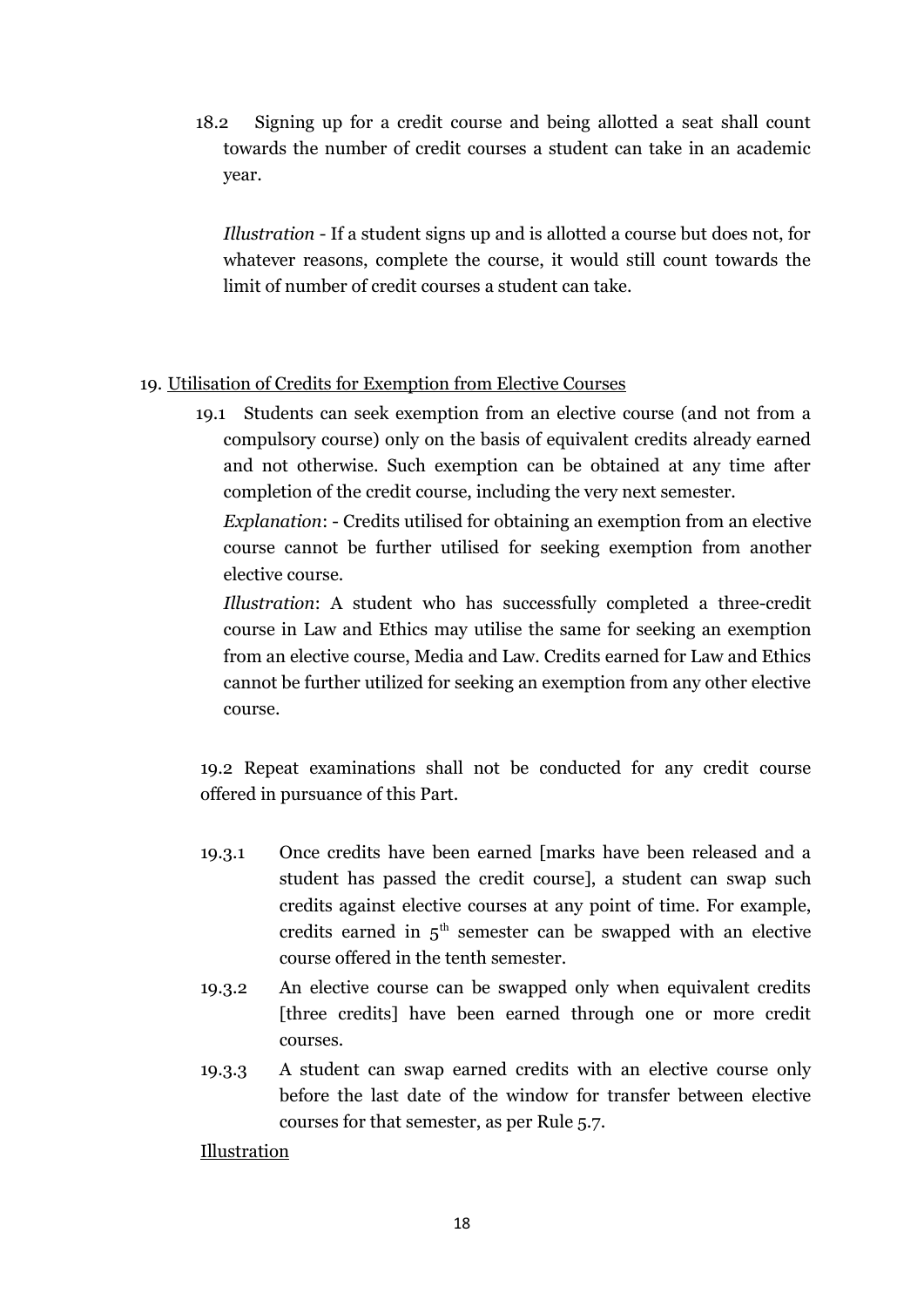18.2 Signing up for a credit course and being allotted a seat shall count towards the number of credit courses a student can take in an academic year.

*Illustration* - If a student signs up and is allotted a course but does not, for whatever reasons, complete the course, it would still count towards the limit of number of credit courses a student can take.

## 19. Utilisation of Credits for Exemption from Elective Courses

19.1 Students can seek exemption from an elective course (and not from a compulsory course) only on the basis of equivalent credits already earned and not otherwise. Such exemption can be obtained at any time after completion of the credit course, including the very next semester.

*Explanation*: - Credits utilised for obtaining an exemption from an elective course cannot be further utilised for seeking exemption from another elective course.

*Illustration*: A student who has successfully completed a three-credit course in Law and Ethics may utilise the same for seeking an exemption from an elective course, Media and Law. Credits earned for Law and Ethics cannot be further utilized for seeking an exemption from any other elective course.

19.2 Repeat examinations shall not be conducted for any credit course offered in pursuance of this Part.

- 19.3.1 Once credits have been earned [marks have been released and a student has passed the credit course], a student can swap such credits against elective courses at any point of time. For example, credits earned in  $5<sup>th</sup>$  semester can be swapped with an elective course offered in the tenth semester.
- 19.3.2 An elective course can be swapped only when equivalent credits [three credits] have been earned through one or more credit courses.
- 19.3.3 A student can swap earned credits with an elective course only before the last date of the window for transfer between elective courses for that semester, as per Rule 5.7.

Illustration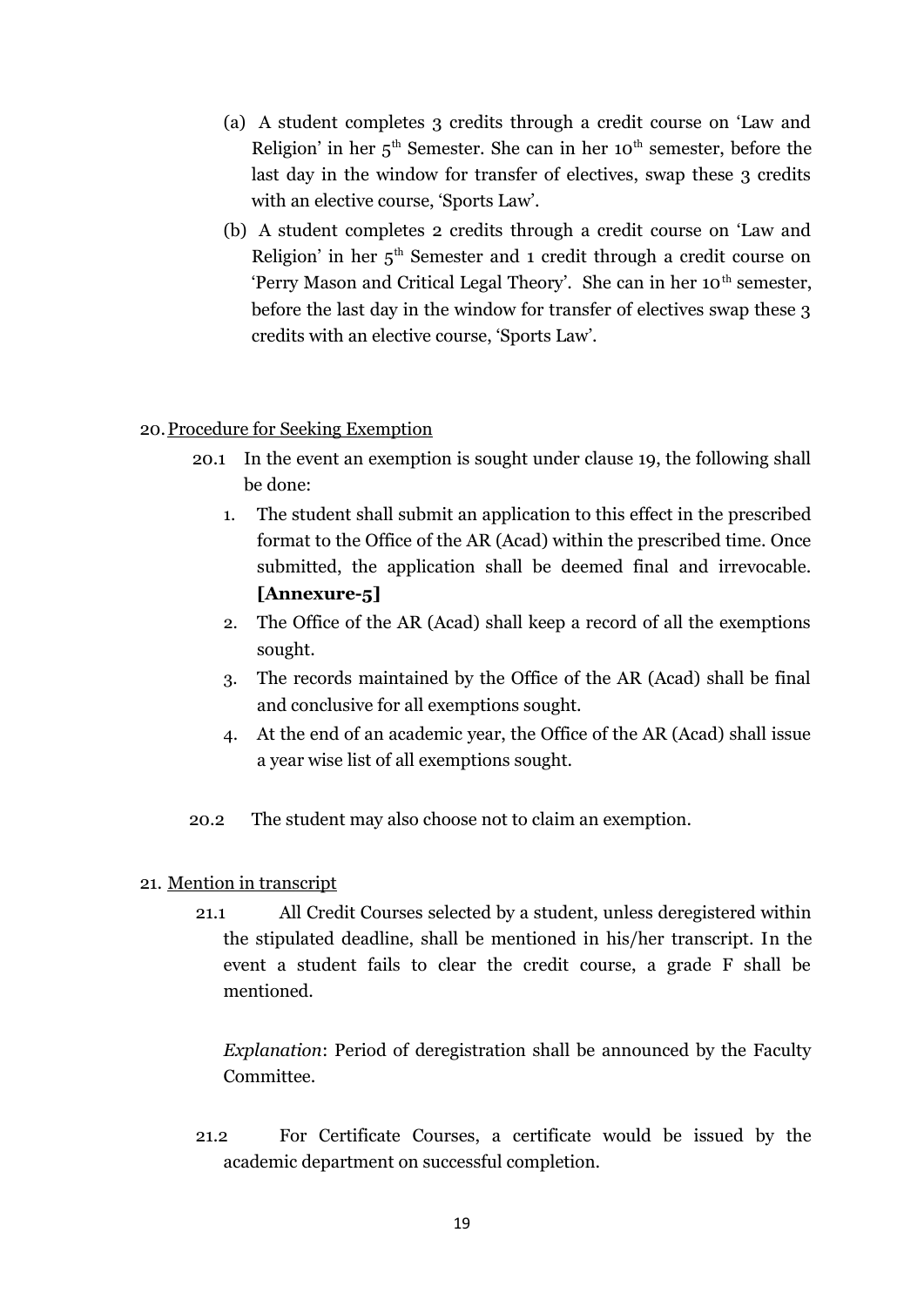- (a) A student completes 3 credits through a credit course on 'Law and Religion' in her  $5<sup>th</sup>$  Semester. She can in her 10<sup>th</sup> semester, before the last day in the window for transfer of electives, swap these 3 credits with an elective course, 'Sports Law'.
- (b) A student completes 2 credits through a credit course on 'Law and Religion' in her  $5<sup>th</sup>$  Semester and 1 credit through a credit course on 'Perry Mason and Critical Legal Theory'. She can in her 10<sup>th</sup> semester, before the last day in the window for transfer of electives swap these 3 credits with an elective course, 'Sports Law'.

### 20. Procedure for Seeking Exemption

- 20.1 In the event an exemption is sought under clause 19, the following shall be done:
	- 1. The student shall submit an application to this effect in the prescribed format to the Office of the AR (Acad) within the prescribed time. Once submitted, the application shall be deemed final and irrevocable. **[Annexure-5]**
	- 2. The Office of the AR (Acad) shall keep a record of all the exemptions sought.
	- 3. The records maintained by the Office of the AR (Acad) shall be final and conclusive for all exemptions sought.
	- 4. At the end of an academic year, the Office of the AR (Acad) shall issue a year wise list of all exemptions sought.
- 20.2 The student may also choose not to claim an exemption.

## 21. Mention in transcript

21.1 All Credit Courses selected by a student, unless deregistered within the stipulated deadline, shall be mentioned in his/her transcript. In the event a student fails to clear the credit course, a grade F shall be mentioned.

*Explanation*: Period of deregistration shall be announced by the Faculty Committee.

21.2 For Certificate Courses, a certificate would be issued by the academic department on successful completion.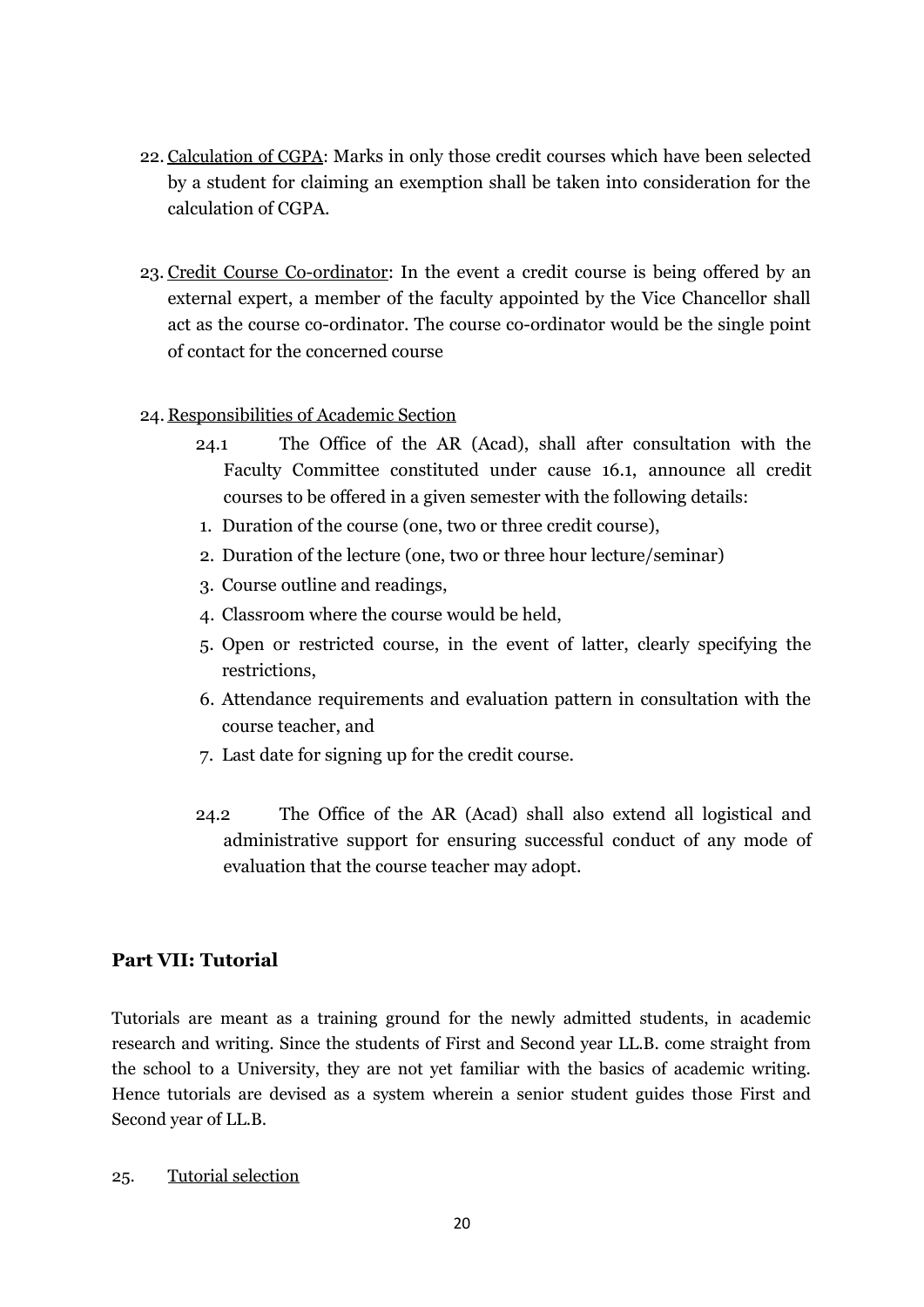- 22. Calculation of CGPA: Marks in only those credit courses which have been selected by a student for claiming an exemption shall be taken into consideration for the calculation of CGPA.
- 23. Credit Course Co-ordinator: In the event a credit course is being offered by an external expert, a member of the faculty appointed by the Vice Chancellor shall act as the course co-ordinator. The course co-ordinator would be the single point of contact for the concerned course

## 24. Responsibilities of Academic Section

- 24.1 The Office of the AR (Acad), shall after consultation with the Faculty Committee constituted under cause 16.1, announce all credit courses to be offered in a given semester with the following details:
- 1. Duration of the course (one, two or three credit course),
- 2. Duration of the lecture (one, two or three hour lecture/seminar)
- 3. Course outline and readings,
- 4. Classroom where the course would be held,
- 5. Open or restricted course, in the event of latter, clearly specifying the restrictions,
- 6. Attendance requirements and evaluation pattern in consultation with the course teacher, and
- 7. Last date for signing up for the credit course.
- 24.2 The Office of the AR (Acad) shall also extend all logistical and administrative support for ensuring successful conduct of any mode of evaluation that the course teacher may adopt.

## **Part VII: Tutorial**

Tutorials are meant as a training ground for the newly admitted students, in academic research and writing. Since the students of First and Second year LL.B. come straight from the school to a University, they are not yet familiar with the basics of academic writing. Hence tutorials are devised as a system wherein a senior student guides those First and Second year of LL.B.

25. Tutorial selection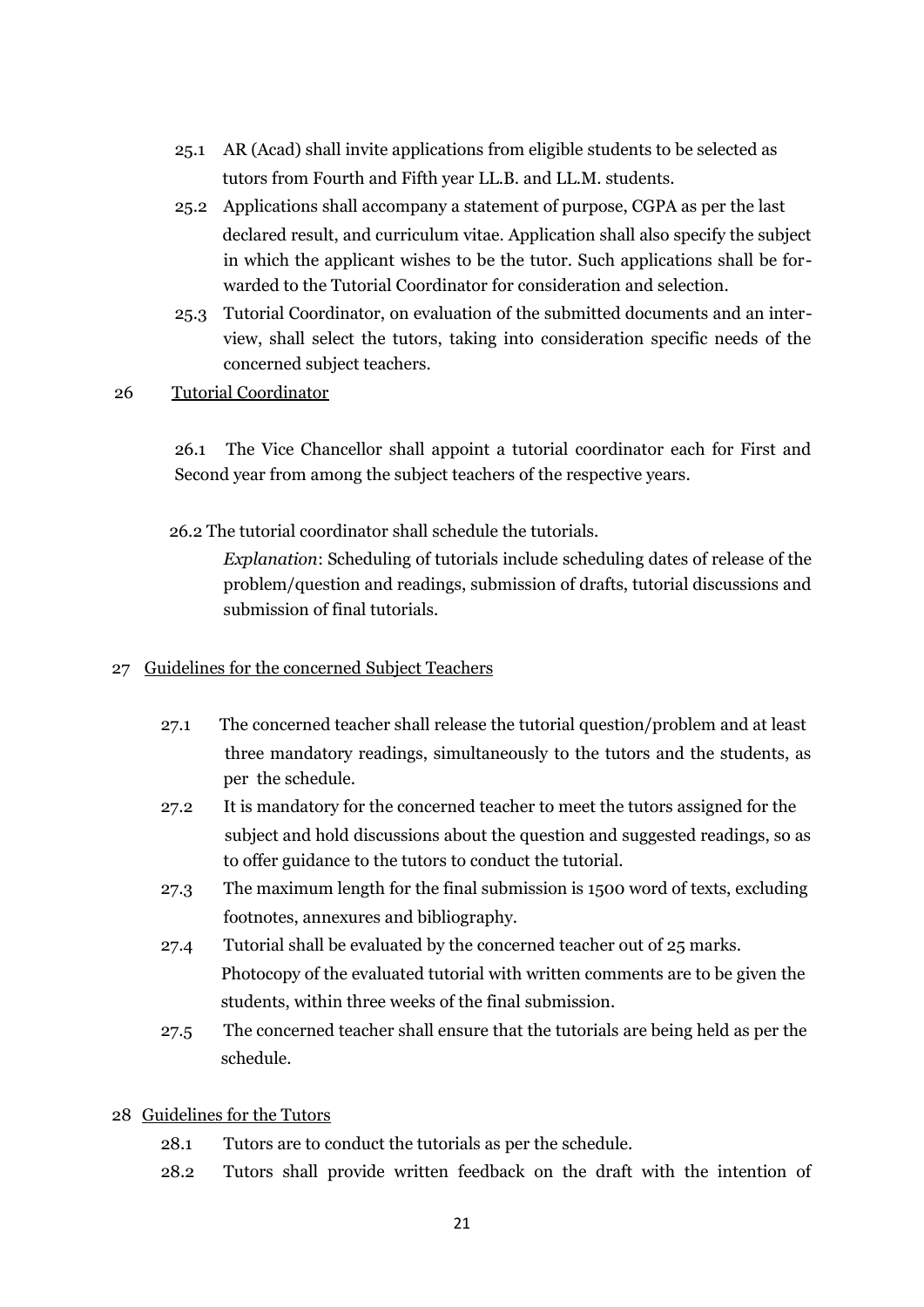- 25.1 AR (Acad) shall invite applications from eligible students to be selected as tutors from Fourth and Fifth year LL.B. and LL.M. students.
- 25.2 Applications shall accompany a statement of purpose, CGPA as per the last declared result, and curriculum vitae. Application shall also specify the subject in which the applicant wishes to be the tutor. Such applications shall be forwarded to the Tutorial Coordinator for consideration and selection.
- 25.3 Tutorial Coordinator, on evaluation of the submitted documents and an interview, shall select the tutors, taking into consideration specific needs of the concerned subject teachers.
- 26 Tutorial Coordinator

26.1 The Vice Chancellor shall appoint a tutorial coordinator each for First and Second year from among the subject teachers of the respective years.

26.2 The tutorial coordinator shall schedule the tutorials.

*Explanation*: Scheduling of tutorials include scheduling dates of release of the problem/question and readings, submission of drafts, tutorial discussions and submission of final tutorials.

### 27 Guidelines for the concerned Subject Teachers

- 27.1 The concerned teacher shall release the tutorial question/problem and at least three mandatory readings, simultaneously to the tutors and the students, as per the schedule.
- 27.2 It is mandatory for the concerned teacher to meet the tutors assigned for the subject and hold discussions about the question and suggested readings, so as to offer guidance to the tutors to conduct the tutorial.
- 27.3 The maximum length for the final submission is 1500 word of texts, excluding footnotes, annexures and bibliography.
- 27.4 Tutorial shall be evaluated by the concerned teacher out of 25 marks. Photocopy of the evaluated tutorial with written comments are to be given the students, within three weeks of the final submission.
- 27.5 The concerned teacher shall ensure that the tutorials are being held as per the schedule.

### 28 Guidelines for the Tutors

- 28.1 Tutors are to conduct the tutorials as per the schedule.
- 28.2 Tutors shall provide written feedback on the draft with the intention of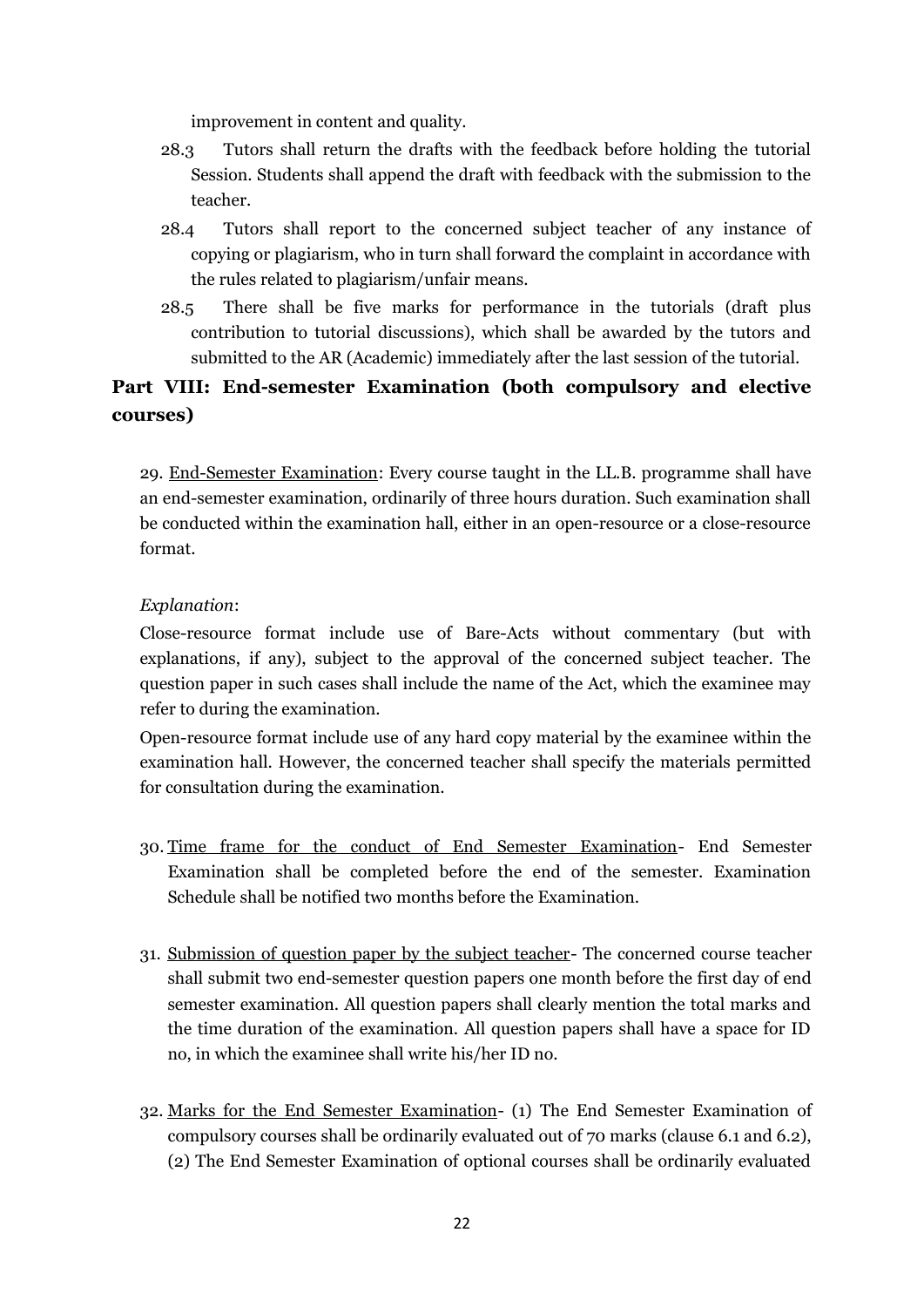improvement in content and quality.

- 28.3 Tutors shall return the drafts with the feedback before holding the tutorial Session. Students shall append the draft with feedback with the submission to the teacher.
- 28.4 Tutors shall report to the concerned subject teacher of any instance of copying or plagiarism, who in turn shall forward the complaint in accordance with the rules related to plagiarism/unfair means.
- 28.5 There shall be five marks for performance in the tutorials (draft plus contribution to tutorial discussions), which shall be awarded by the tutors and submitted to the AR (Academic) immediately after the last session of the tutorial.

## **Part VIII: End-semester Examination (both compulsory and elective courses)**

29. End-Semester Examination: Every course taught in the LL.B. programme shall have an end-semester examination, ordinarily of three hours duration. Such examination shall be conducted within the examination hall, either in an open-resource or a close-resource format.

## *Explanation*:

Close-resource format include use of Bare-Acts without commentary (but with explanations, if any), subject to the approval of the concerned subject teacher. The question paper in such cases shall include the name of the Act, which the examinee may refer to during the examination.

Open-resource format include use of any hard copy material by the examinee within the examination hall. However, the concerned teacher shall specify the materials permitted for consultation during the examination.

- 30. Time frame for the conduct of End Semester Examination- End Semester Examination shall be completed before the end of the semester. Examination Schedule shall be notified two months before the Examination.
- 31. Submission of question paper by the subject teacher- The concerned course teacher shall submit two end-semester question papers one month before the first day of end semester examination. All question papers shall clearly mention the total marks and the time duration of the examination. All question papers shall have a space for ID no, in which the examinee shall write his/her ID no.
- 32. Marks for the End Semester Examination- (1) The End Semester Examination of compulsory courses shall be ordinarily evaluated out of 70 marks (clause 6.1 and 6.2), (2) The End Semester Examination of optional courses shall be ordinarily evaluated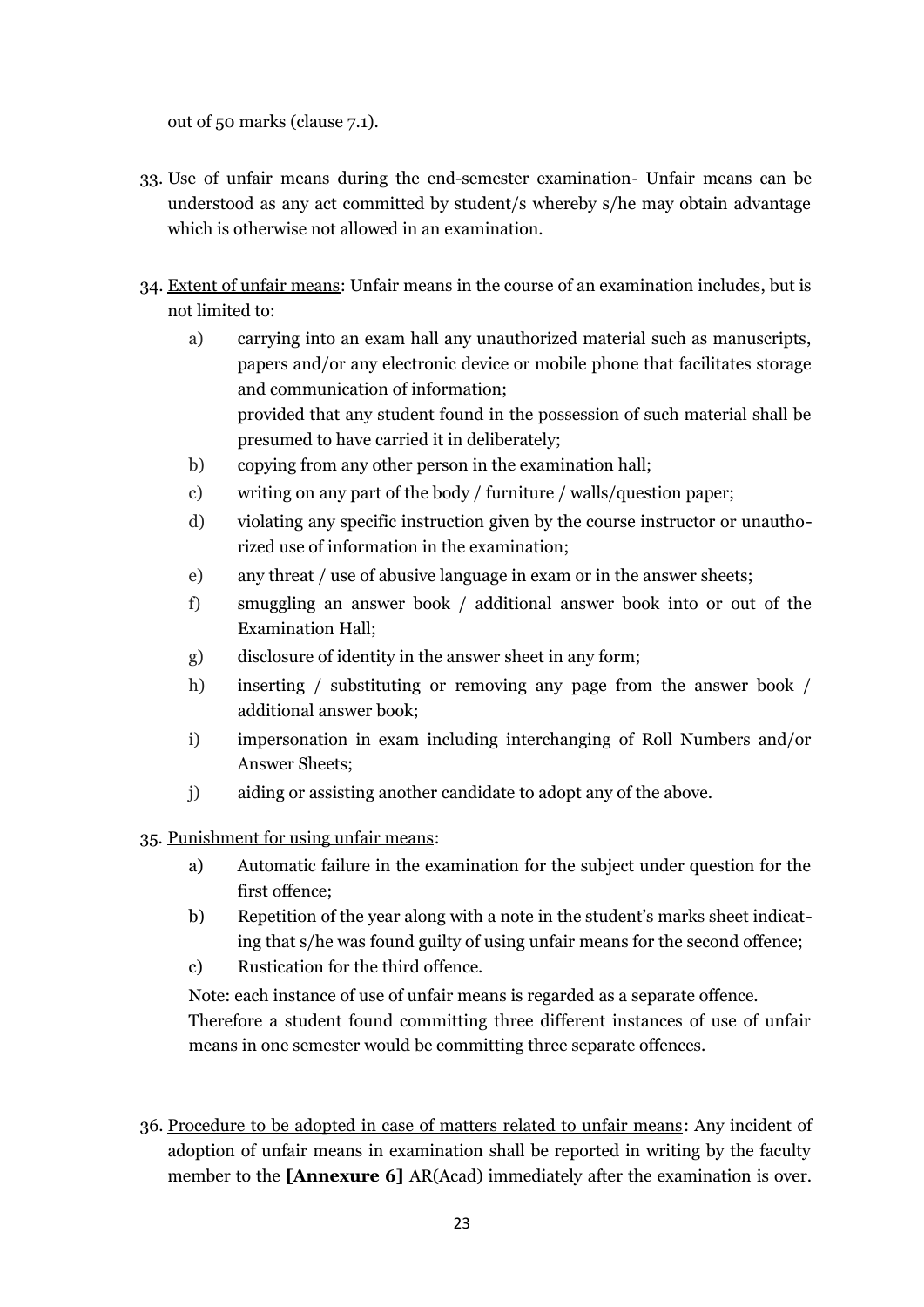out of 50 marks (clause 7.1).

- 33. Use of unfair means during the end-semester examination- Unfair means can be understood as any act committed by student/s whereby s/he may obtain advantage which is otherwise not allowed in an examination.
- 34. Extent of unfair means: Unfair means in the course of an examination includes, but is not limited to:
	- a) carrying into an exam hall any unauthorized material such as manuscripts, papers and/or any electronic device or mobile phone that facilitates storage and communication of information; provided that any student found in the possession of such material shall be presumed to have carried it in deliberately;
	- b) copying from any other person in the examination hall;
	- c) writing on any part of the body / furniture / walls/question paper;
	- d) violating any specific instruction given by the course instructor or unauthorized use of information in the examination;
	- e) any threat / use of abusive language in exam or in the answer sheets;
	- f) smuggling an answer book / additional answer book into or out of the Examination Hall;
	- g) disclosure of identity in the answer sheet in any form;
	- h) inserting / substituting or removing any page from the answer book / additional answer book;
	- i) impersonation in exam including interchanging of Roll Numbers and/or Answer Sheets;
	- j) aiding or assisting another candidate to adopt any of the above.

35. Punishment for using unfair means:

- a) Automatic failure in the examination for the subject under question for the first offence;
- b) Repetition of the year along with a note in the student's marks sheet indicating that s/he was found guilty of using unfair means for the second offence;
- c) Rustication for the third offence.

Note: each instance of use of unfair means is regarded as a separate offence.

Therefore a student found committing three different instances of use of unfair means in one semester would be committing three separate offences.

36. Procedure to be adopted in case of matters related to unfair means: Any incident of adoption of unfair means in examination shall be reported in writing by the faculty member to the **[Annexure 6]** AR(Acad) immediately after the examination is over.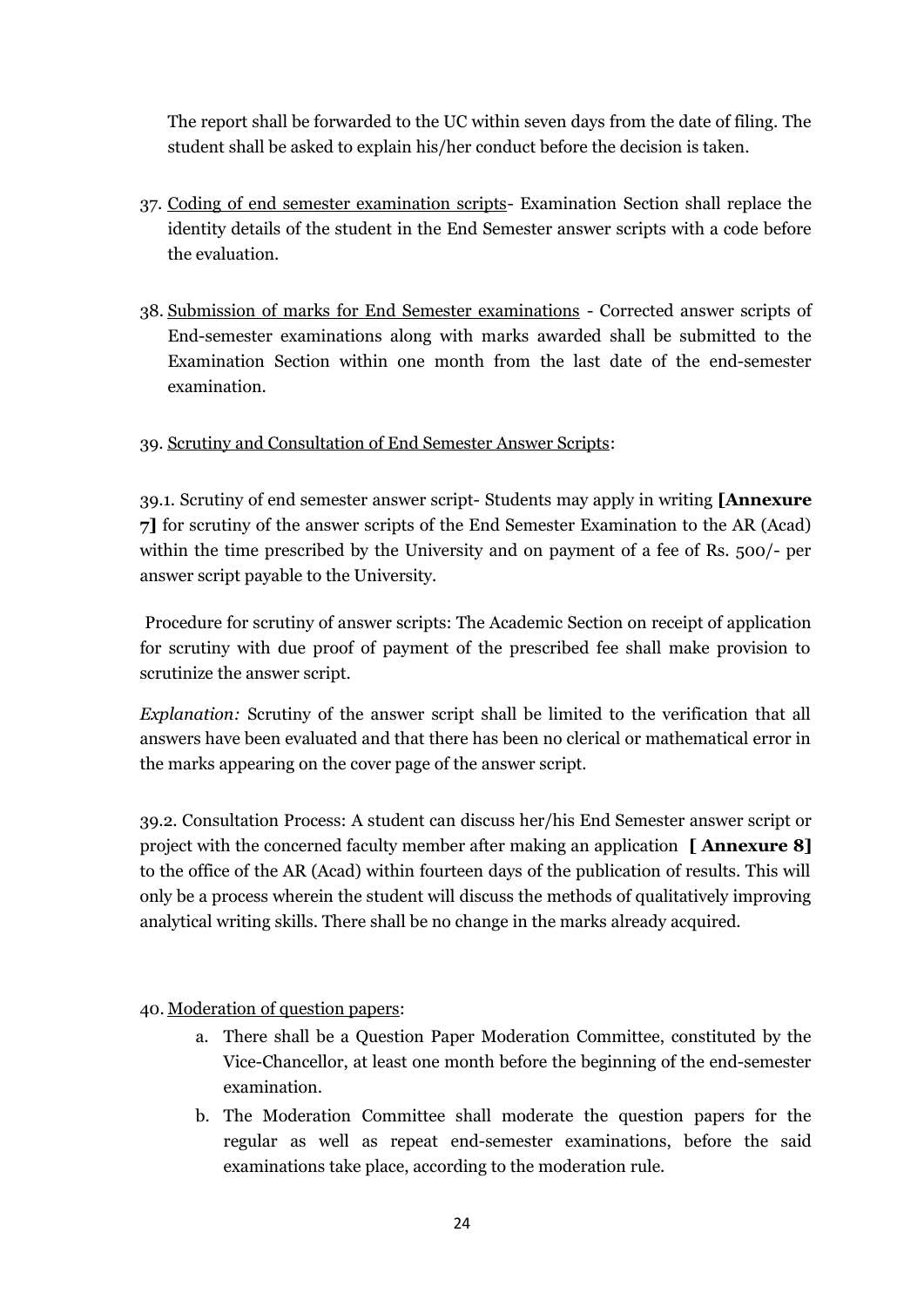The report shall be forwarded to the UC within seven days from the date of filing. The student shall be asked to explain his/her conduct before the decision is taken.

- 37. Coding of end semester examination scripts- Examination Section shall replace the identity details of the student in the End Semester answer scripts with a code before the evaluation.
- 38. Submission of marks for End Semester examinations Corrected answer scripts of End-semester examinations along with marks awarded shall be submitted to the Examination Section within one month from the last date of the end-semester examination.

## 39. Scrutiny and Consultation of End Semester Answer Scripts:

39.1. Scrutiny of end semester answer script- Students may apply in writing **[Annexure 7]** for scrutiny of the answer scripts of the End Semester Examination to the AR (Acad) within the time prescribed by the University and on payment of a fee of Rs. 500/- per answer script payable to the University.

Procedure for scrutiny of answer scripts: The Academic Section on receipt of application for scrutiny with due proof of payment of the prescribed fee shall make provision to scrutinize the answer script.

*Explanation:* Scrutiny of the answer script shall be limited to the verification that all answers have been evaluated and that there has been no clerical or mathematical error in the marks appearing on the cover page of the answer script.

39.2. Consultation Process: A student can discuss her/his End Semester answer script or project with the concerned faculty member after making an application **[ Annexure 8]** to the office of the AR (Acad) within fourteen days of the publication of results. This will only be a process wherein the student will discuss the methods of qualitatively improving analytical writing skills. There shall be no change in the marks already acquired.

## 40. Moderation of question papers:

- a. There shall be a Question Paper Moderation Committee, constituted by the Vice-Chancellor, at least one month before the beginning of the end-semester examination.
- b. The Moderation Committee shall moderate the question papers for the regular as well as repeat end-semester examinations, before the said examinations take place, according to the moderation rule.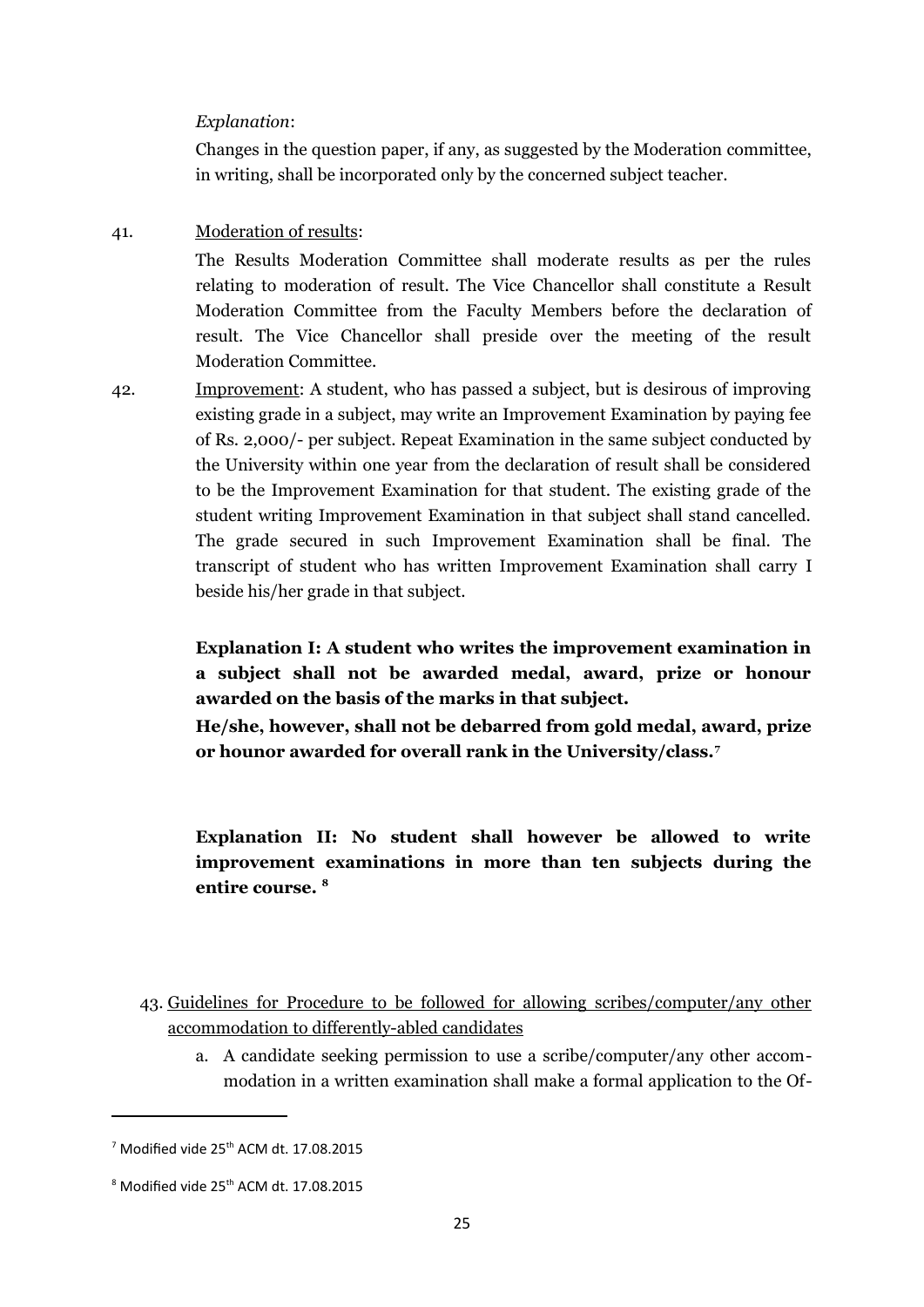#### *Explanation*:

Changes in the question paper, if any, as suggested by the Moderation committee, in writing, shall be incorporated only by the concerned subject teacher.

#### 41. Moderation of results:

The Results Moderation Committee shall moderate results as per the rules relating to moderation of result. The Vice Chancellor shall constitute a Result Moderation Committee from the Faculty Members before the declaration of result. The Vice Chancellor shall preside over the meeting of the result Moderation Committee.

42. Improvement: A student, who has passed a subject, but is desirous of improving existing grade in a subject, may write an Improvement Examination by paying fee of Rs. 2,000/- per subject. Repeat Examination in the same subject conducted by the University within one year from the declaration of result shall be considered to be the Improvement Examination for that student. The existing grade of the student writing Improvement Examination in that subject shall stand cancelled. The grade secured in such Improvement Examination shall be final. The transcript of student who has written Improvement Examination shall carry I beside his/her grade in that subject.

> **Explanation I: A student who writes the improvement examination in a subject shall not be awarded medal, award, prize or honour awarded on the basis of the marks in that subject.**

> **He/she, however, shall not be debarred from gold medal, award, prize or hounor awarded for overall rank in the University/class.[7](#page-24-0)**

> **Explanation II: No student shall however be allowed to write improvement examinations in more than ten subjects during the entire course. [8](#page-24-1)**

- 43. Guidelines for Procedure to be followed for allowing scribes/computer/any other accommodation to differently-abled candidates
	- a. A candidate seeking permission to use a scribe/computer/any other accommodation in a written examination shall make a formal application to the Of-

<span id="page-24-0"></span> $7$  Modified vide 25<sup>th</sup> ACM dt. 17.08.2015

<span id="page-24-1"></span> $8$  Modified vide 25<sup>th</sup> ACM dt. 17.08.2015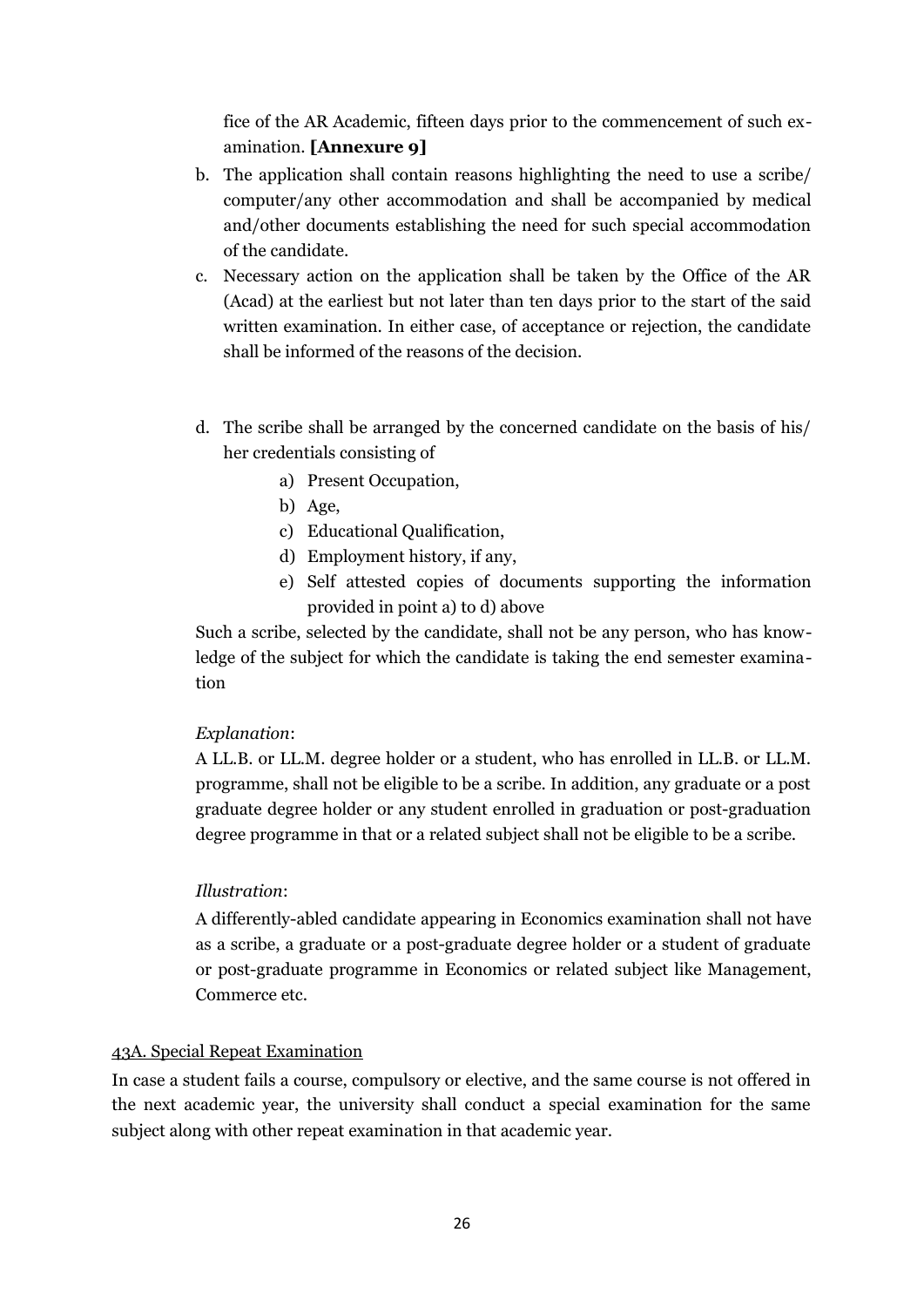fice of the AR Academic, fifteen days prior to the commencement of such examination. **[Annexure 9]**

- b. The application shall contain reasons highlighting the need to use a scribe/ computer/any other accommodation and shall be accompanied by medical and/other documents establishing the need for such special accommodation of the candidate.
- c. Necessary action on the application shall be taken by the Office of the AR (Acad) at the earliest but not later than ten days prior to the start of the said written examination. In either case, of acceptance or rejection, the candidate shall be informed of the reasons of the decision.
- d. The scribe shall be arranged by the concerned candidate on the basis of his/ her credentials consisting of
	- a) Present Occupation,
	- b) Age,
	- c) Educational Qualification,
	- d) Employment history, if any,
	- e) Self attested copies of documents supporting the information provided in point a) to d) above

Such a scribe, selected by the candidate, shall not be any person, who has knowledge of the subject for which the candidate is taking the end semester examination

#### *Explanation*:

A LL.B. or LL.M. degree holder or a student, who has enrolled in LL.B. or LL.M. programme, shall not be eligible to be a scribe. In addition, any graduate or a post graduate degree holder or any student enrolled in graduation or post-graduation degree programme in that or a related subject shall not be eligible to be a scribe.

#### *Illustration*:

A differently-abled candidate appearing in Economics examination shall not have as a scribe, a graduate or a post-graduate degree holder or a student of graduate or post-graduate programme in Economics or related subject like Management, Commerce etc.

#### 43A. Special Repeat Examination

In case a student fails a course, compulsory or elective, and the same course is not offered in the next academic year, the university shall conduct a special examination for the same subject along with other repeat examination in that academic year.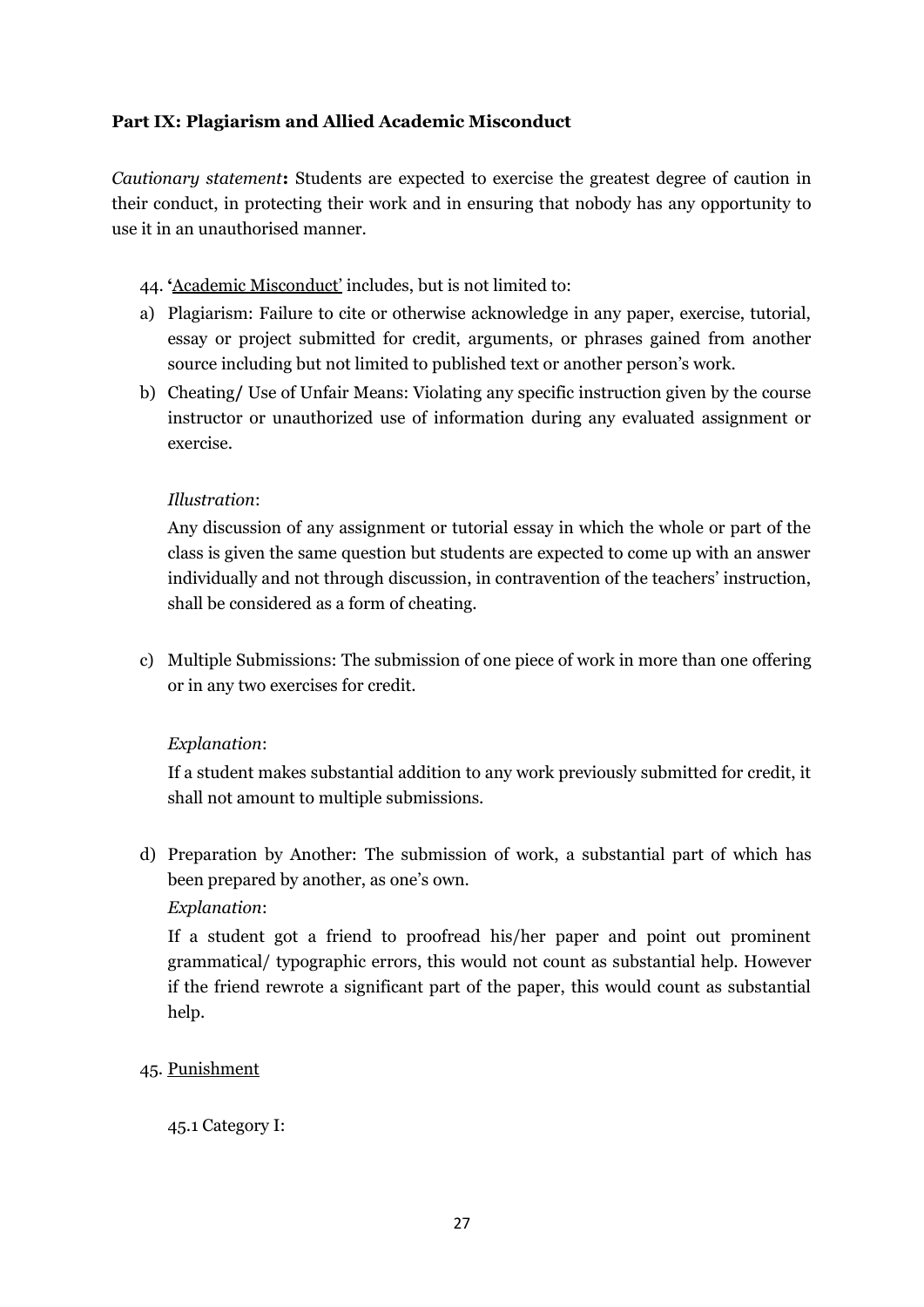## **Part IX: Plagiarism and Allied Academic Misconduct**

*Cautionary statement***:** Students are expected to exercise the greatest degree of caution in their conduct, in protecting their work and in ensuring that nobody has any opportunity to use it in an unauthorised manner.

### 44. **'**Academic Misconduct' includes, but is not limited to:

- a) Plagiarism: Failure to cite or otherwise acknowledge in any paper, exercise, tutorial, essay or project submitted for credit, arguments, or phrases gained from another source including but not limited to published text or another person's work.
- b) Cheating**/** Use of Unfair Means: Violating any specific instruction given by the course instructor or unauthorized use of information during any evaluated assignment or exercise.

## *Illustration*:

Any discussion of any assignment or tutorial essay in which the whole or part of the class is given the same question but students are expected to come up with an answer individually and not through discussion, in contravention of the teachers' instruction, shall be considered as a form of cheating.

c) Multiple Submissions: The submission of one piece of work in more than one offering or in any two exercises for credit.

## *Explanation*:

If a student makes substantial addition to any work previously submitted for credit, it shall not amount to multiple submissions.

d) Preparation by Another: The submission of work, a substantial part of which has been prepared by another, as one's own.

## *Explanation*:

If a student got a friend to proofread his/her paper and point out prominent grammatical/ typographic errors, this would not count as substantial help. However if the friend rewrote a significant part of the paper, this would count as substantial help.

## 45. Punishment

45.1 Category I: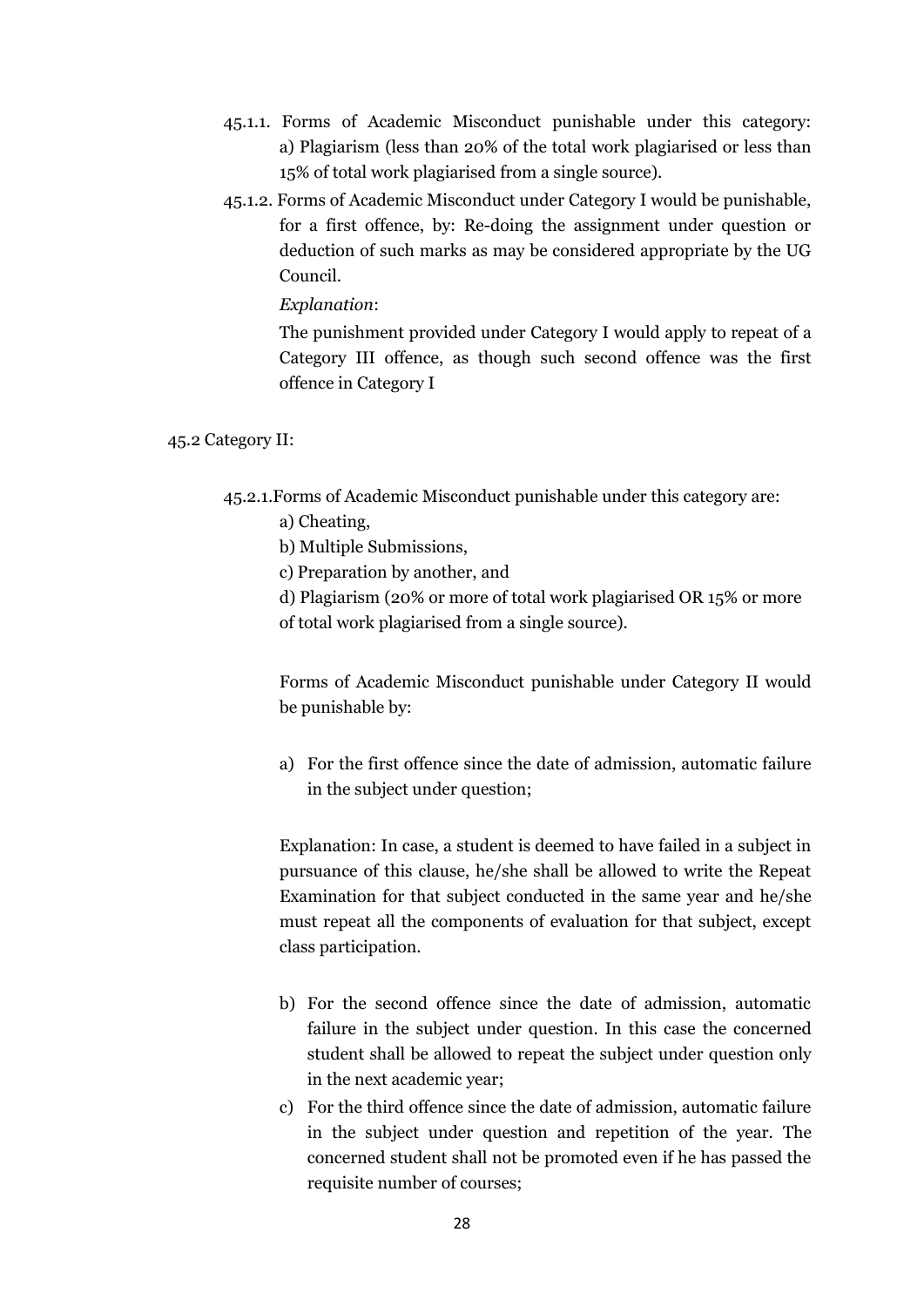- 45.1.1. Forms of Academic Misconduct punishable under this category: a) Plagiarism (less than 20% of the total work plagiarised or less than 15% of total work plagiarised from a single source).
- 45.1.2. Forms of Academic Misconduct under Category I would be punishable, for a first offence, by: Re-doing the assignment under question or deduction of such marks as may be considered appropriate by the UG Council.

*Explanation*:

The punishment provided under Category I would apply to repeat of a Category III offence, as though such second offence was the first offence in Category I

#### 45.2 Category II:

- 45.2.1.Forms of Academic Misconduct punishable under this category are:
	- a) Cheating,
	- b) Multiple Submissions,
	- c) Preparation by another, and
	- d) Plagiarism (20% or more of total work plagiarised OR 15% or more
	- of total work plagiarised from a single source).

Forms of Academic Misconduct punishable under Category II would be punishable by:

a) For the first offence since the date of admission, automatic failure in the subject under question;

Explanation: In case, a student is deemed to have failed in a subject in pursuance of this clause, he/she shall be allowed to write the Repeat Examination for that subject conducted in the same year and he/she must repeat all the components of evaluation for that subject, except class participation.

- b) For the second offence since the date of admission, automatic failure in the subject under question. In this case the concerned student shall be allowed to repeat the subject under question only in the next academic year;
- c) For the third offence since the date of admission, automatic failure in the subject under question and repetition of the year. The concerned student shall not be promoted even if he has passed the requisite number of courses;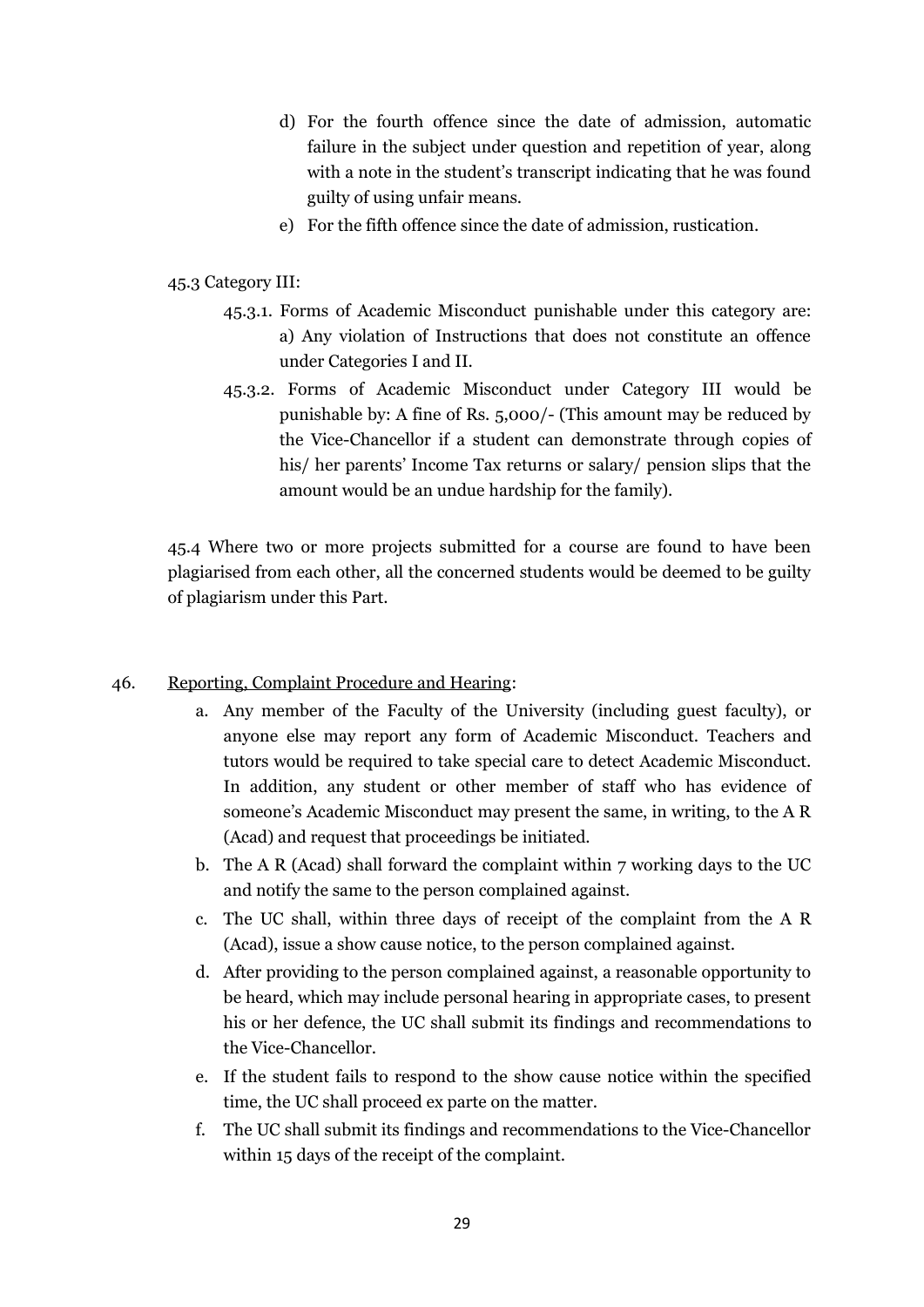- d) For the fourth offence since the date of admission, automatic failure in the subject under question and repetition of year, along with a note in the student's transcript indicating that he was found guilty of using unfair means.
- e) For the fifth offence since the date of admission, rustication.
- 45.3 Category III:
	- 45.3.1. Forms of Academic Misconduct punishable under this category are: a) Any violation of Instructions that does not constitute an offence under Categories I and II.
	- 45.3.2. Forms of Academic Misconduct under Category III would be punishable by: A fine of Rs. 5,000/- (This amount may be reduced by the Vice-Chancellor if a student can demonstrate through copies of his/ her parents' Income Tax returns or salary/ pension slips that the amount would be an undue hardship for the family).

45.4 Where two or more projects submitted for a course are found to have been plagiarised from each other, all the concerned students would be deemed to be guilty of plagiarism under this Part.

## 46. Reporting, Complaint Procedure and Hearing:

- a. Any member of the Faculty of the University (including guest faculty), or anyone else may report any form of Academic Misconduct. Teachers and tutors would be required to take special care to detect Academic Misconduct. In addition, any student or other member of staff who has evidence of someone's Academic Misconduct may present the same, in writing, to the A R (Acad) and request that proceedings be initiated.
- b. The A R (Acad) shall forward the complaint within 7 working days to the UC and notify the same to the person complained against.
- c. The UC shall, within three days of receipt of the complaint from the A R (Acad), issue a show cause notice, to the person complained against.
- d. After providing to the person complained against, a reasonable opportunity to be heard, which may include personal hearing in appropriate cases, to present his or her defence, the UC shall submit its findings and recommendations to the Vice-Chancellor.
- e. If the student fails to respond to the show cause notice within the specified time, the UC shall proceed ex parte on the matter.
- f. The UC shall submit its findings and recommendations to the Vice-Chancellor within 15 days of the receipt of the complaint.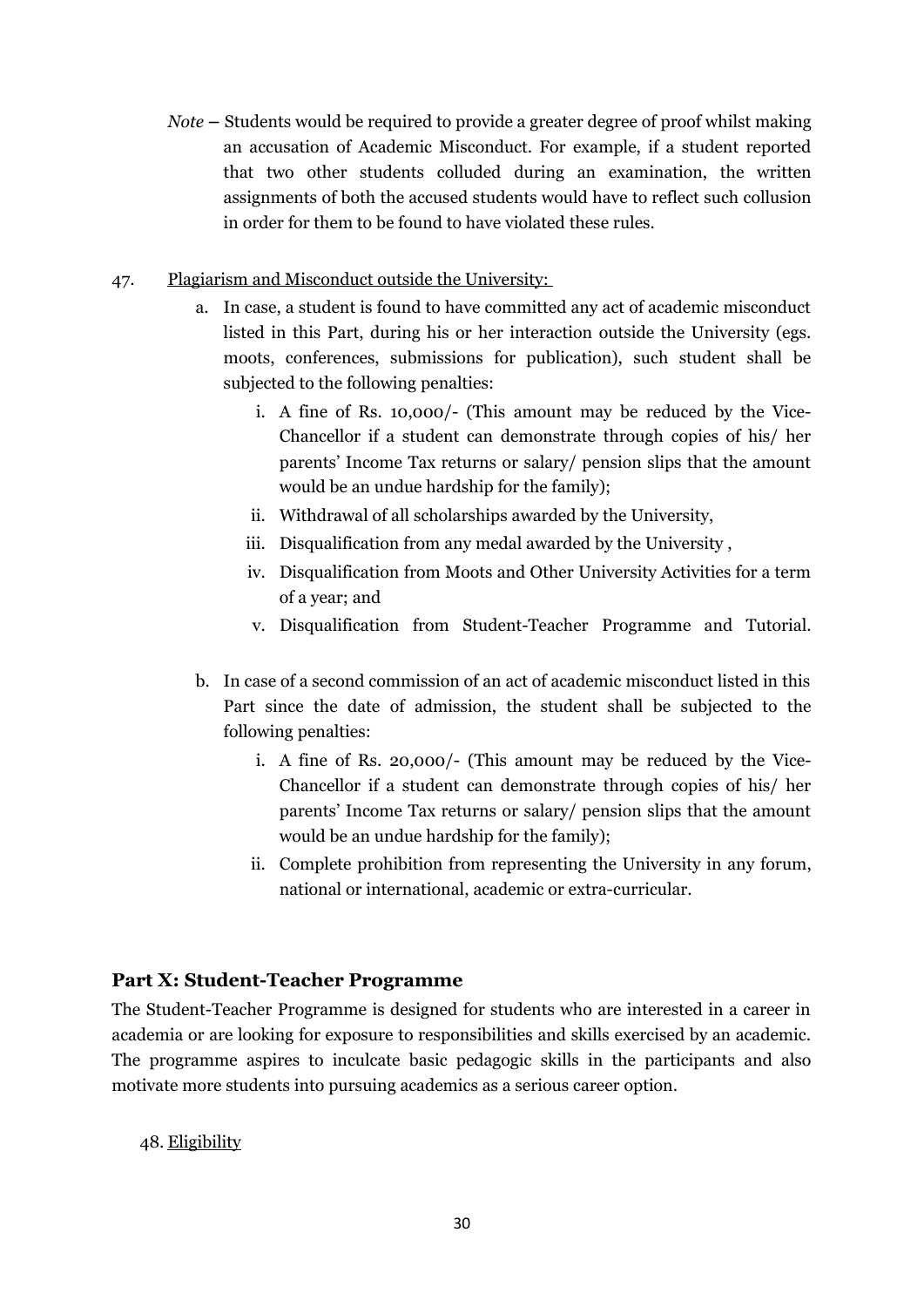*Note* **–** Students would be required to provide a greater degree of proof whilst making an accusation of Academic Misconduct. For example, if a student reported that two other students colluded during an examination, the written assignments of both the accused students would have to reflect such collusion in order for them to be found to have violated these rules.

### 47. Plagiarism and Misconduct outside the University:

- a. In case, a student is found to have committed any act of academic misconduct listed in this Part, during his or her interaction outside the University (egs. moots, conferences, submissions for publication), such student shall be subjected to the following penalties:
	- i. A fine of Rs. 10,000/- (This amount may be reduced by the Vice-Chancellor if a student can demonstrate through copies of his/ her parents' Income Tax returns or salary/ pension slips that the amount would be an undue hardship for the family);
	- ii. Withdrawal of all scholarships awarded by the University,
	- iii. Disqualification from any medal awarded by the University ,
	- iv. Disqualification from Moots and Other University Activities for a term of a year; and
	- v. Disqualification from Student-Teacher Programme and Tutorial.
- b. In case of a second commission of an act of academic misconduct listed in this Part since the date of admission, the student shall be subjected to the following penalties:
	- i. A fine of Rs. 20,000/- (This amount may be reduced by the Vice-Chancellor if a student can demonstrate through copies of his/ her parents' Income Tax returns or salary/ pension slips that the amount would be an undue hardship for the family);
	- ii. Complete prohibition from representing the University in any forum, national or international, academic or extra-curricular.

## **Part X: Student-Teacher Programme**

The Student-Teacher Programme is designed for students who are interested in a career in academia or are looking for exposure to responsibilities and skills exercised by an academic. The programme aspires to inculcate basic pedagogic skills in the participants and also motivate more students into pursuing academics as a serious career option.

48. Eligibility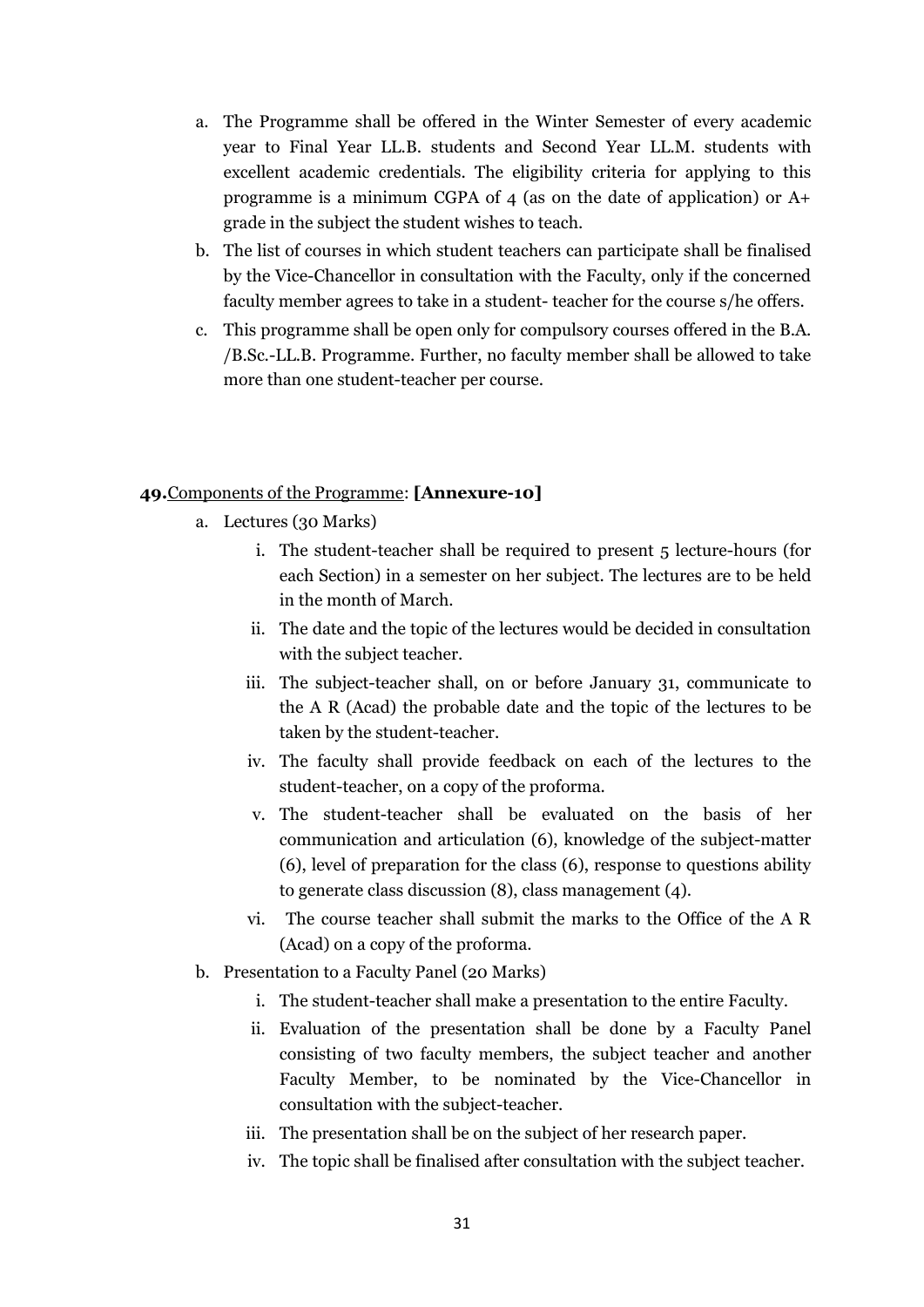- a. The Programme shall be offered in the Winter Semester of every academic year to Final Year LL.B. students and Second Year LL.M. students with excellent academic credentials. The eligibility criteria for applying to this programme is a minimum CGPA of 4 (as on the date of application) or A+ grade in the subject the student wishes to teach.
- b. The list of courses in which student teachers can participate shall be finalised by the Vice-Chancellor in consultation with the Faculty, only if the concerned faculty member agrees to take in a student- teacher for the course s/he offers.
- c. This programme shall be open only for compulsory courses offered in the B.A. /B.Sc.-LL.B. Programme. Further, no faculty member shall be allowed to take more than one student-teacher per course.

### **49.** Components of the Programme: **[Annexure-10]**

- a. Lectures (30 Marks)
	- i. The student-teacher shall be required to present 5 lecture-hours (for each Section) in a semester on her subject. The lectures are to be held in the month of March.
	- ii. The date and the topic of the lectures would be decided in consultation with the subject teacher.
	- iii. The subject-teacher shall, on or before January 31, communicate to the A R (Acad) the probable date and the topic of the lectures to be taken by the student-teacher.
	- iv. The faculty shall provide feedback on each of the lectures to the student-teacher, on a copy of the proforma.
	- v. The student-teacher shall be evaluated on the basis of her communication and articulation (6), knowledge of the subject-matter (6), level of preparation for the class (6), response to questions ability to generate class discussion (8), class management (4).
	- vi. The course teacher shall submit the marks to the Office of the A R (Acad) on a copy of the proforma.
- b. Presentation to a Faculty Panel (20 Marks)
	- i. The student-teacher shall make a presentation to the entire Faculty.
	- ii. Evaluation of the presentation shall be done by a Faculty Panel consisting of two faculty members, the subject teacher and another Faculty Member, to be nominated by the Vice-Chancellor in consultation with the subject-teacher.
	- iii. The presentation shall be on the subject of her research paper.
	- iv. The topic shall be finalised after consultation with the subject teacher.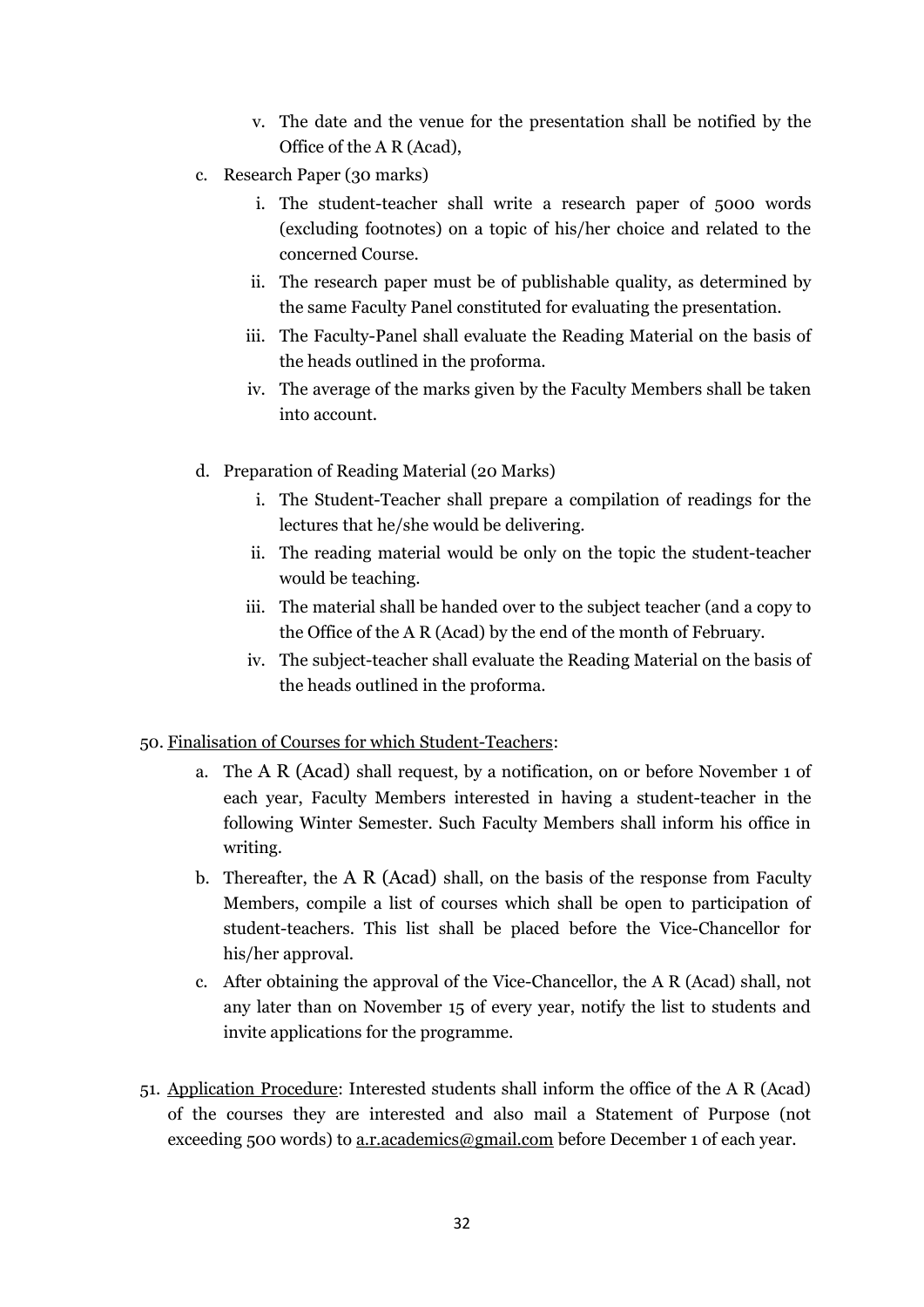- v. The date and the venue for the presentation shall be notified by the Office of the A R (Acad),
- c. Research Paper (30 marks)
	- i. The student-teacher shall write a research paper of 5000 words (excluding footnotes) on a topic of his/her choice and related to the concerned Course.
	- ii. The research paper must be of publishable quality, as determined by the same Faculty Panel constituted for evaluating the presentation.
	- iii. The Faculty-Panel shall evaluate the Reading Material on the basis of the heads outlined in the proforma.
	- iv. The average of the marks given by the Faculty Members shall be taken into account.
- d. Preparation of Reading Material (20 Marks)
	- i. The Student-Teacher shall prepare a compilation of readings for the lectures that he/she would be delivering.
	- ii. The reading material would be only on the topic the student-teacher would be teaching.
	- iii. The material shall be handed over to the subject teacher (and a copy to the Office of the A R (Acad) by the end of the month of February.
	- iv. The subject-teacher shall evaluate the Reading Material on the basis of the heads outlined in the proforma.

### 50. Finalisation of Courses for which Student-Teachers:

- a. The A R (Acad) shall request, by a notification, on or before November 1 of each year, Faculty Members interested in having a student-teacher in the following Winter Semester. Such Faculty Members shall inform his office in writing.
- b. Thereafter, the A R (Acad) shall, on the basis of the response from Faculty Members, compile a list of courses which shall be open to participation of student-teachers. This list shall be placed before the Vice-Chancellor for his/her approval.
- c. After obtaining the approval of the Vice-Chancellor, the A R (Acad) shall, not any later than on November 15 of every year, notify the list to students and invite applications for the programme.
- 51. Application Procedure: Interested students shall inform the office of the A R (Acad) of the courses they are interested and also mail a Statement of Purpose (not exceeding 500 words) to [a.r.academics@gmail.com](mailto:a.r.academics@gmail.com) before December 1 of each year.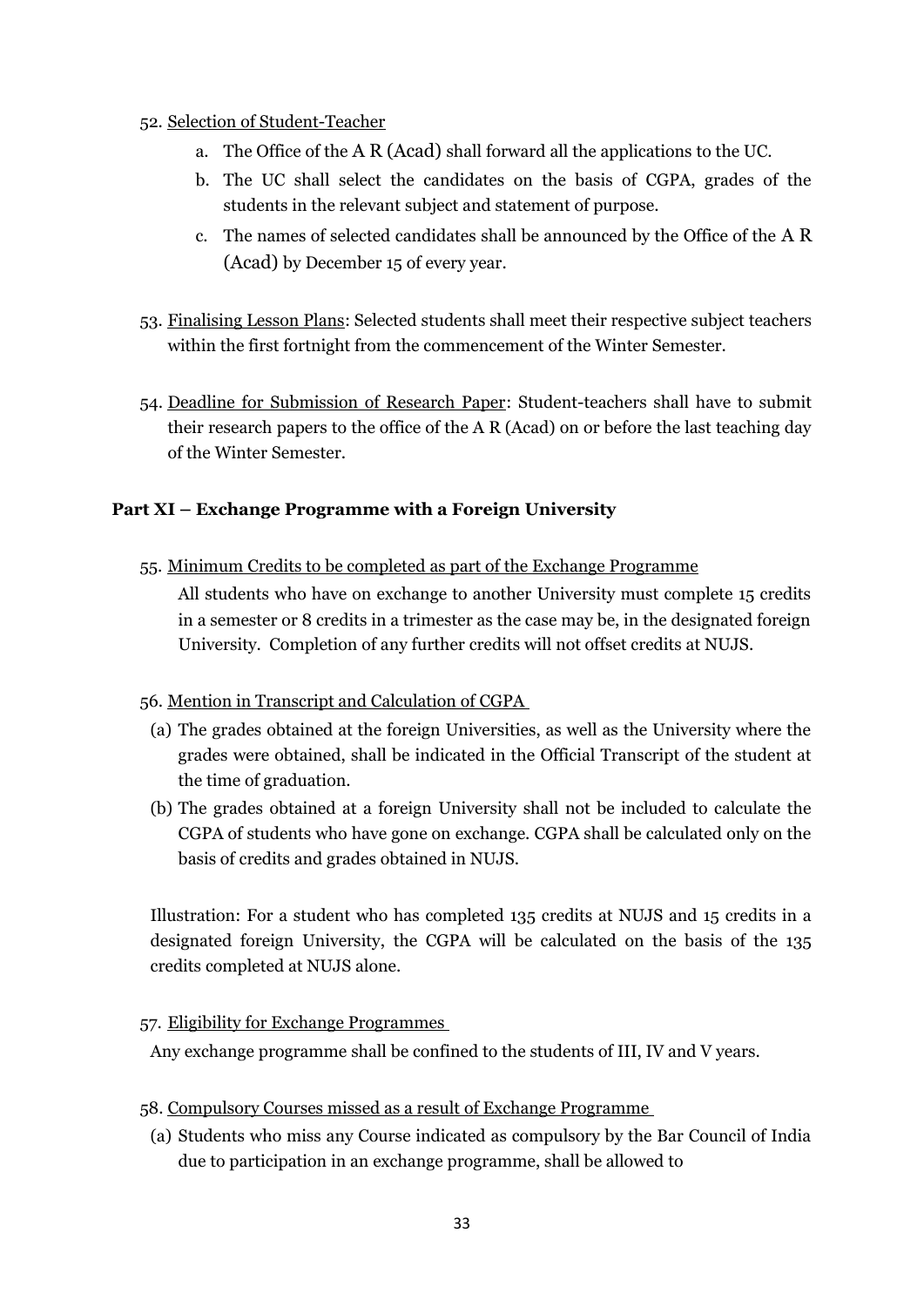- 52. Selection of Student-Teacher
	- a. The Office of the A R (Acad) shall forward all the applications to the UC.
	- b. The UC shall select the candidates on the basis of CGPA, grades of the students in the relevant subject and statement of purpose.
	- c. The names of selected candidates shall be announced by the Office of the A R (Acad) by December 15 of every year.
- 53. Finalising Lesson Plans: Selected students shall meet their respective subject teachers within the first fortnight from the commencement of the Winter Semester.
- 54. Deadline for Submission of Research Paper: Student-teachers shall have to submit their research papers to the office of the A R (Acad) on or before the last teaching day of the Winter Semester.

## **Part XI – Exchange Programme with a Foreign University**

55. Minimum Credits to be completed as part of the Exchange Programme

All students who have on exchange to another University must complete 15 credits in a semester or 8 credits in a trimester as the case may be, in the designated foreign University. Completion of any further credits will not offset credits at NUJS.

## 56. Mention in Transcript and Calculation of CGPA

- (a) The grades obtained at the foreign Universities, as well as the University where the grades were obtained, shall be indicated in the Official Transcript of the student at the time of graduation.
- (b) The grades obtained at a foreign University shall not be included to calculate the CGPA of students who have gone on exchange. CGPA shall be calculated only on the basis of credits and grades obtained in NUJS.

Illustration: For a student who has completed 135 credits at NUJS and 15 credits in a designated foreign University, the CGPA will be calculated on the basis of the 135 credits completed at NUJS alone.

### 57. Eligibility for Exchange Programmes

Any exchange programme shall be confined to the students of III, IV and V years.

- 58. Compulsory Courses missed as a result of Exchange Programme
	- (a) Students who miss any Course indicated as compulsory by the Bar Council of India due to participation in an exchange programme, shall be allowed to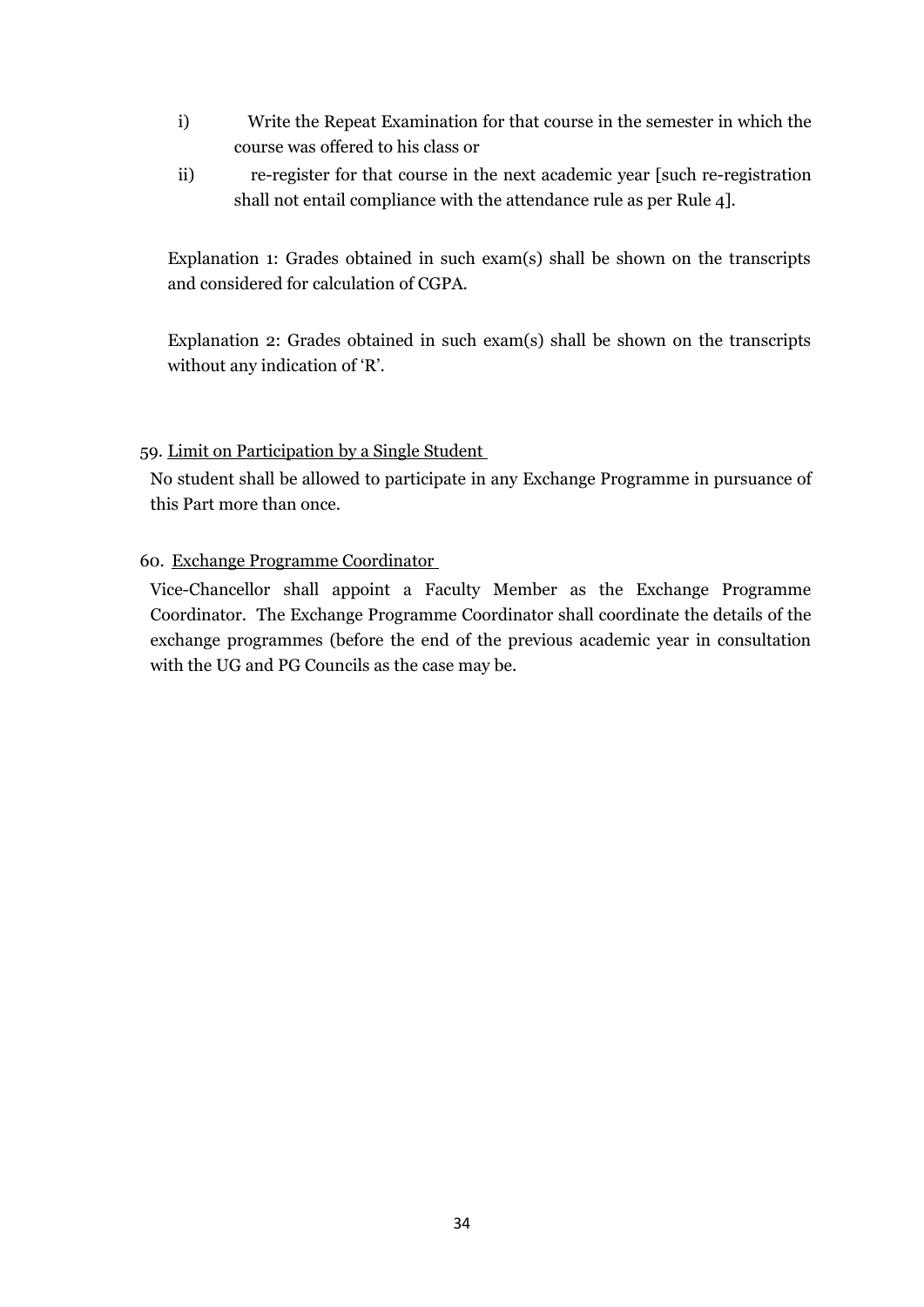- i) Write the Repeat Examination for that course in the semester in which the course was offered to his class or
- ii) re-register for that course in the next academic year [such re-registration shall not entail compliance with the attendance rule as per Rule 4].

Explanation 1: Grades obtained in such exam(s) shall be shown on the transcripts and considered for calculation of CGPA.

Explanation 2: Grades obtained in such exam(s) shall be shown on the transcripts without any indication of 'R'.

## 59. Limit on Participation by a Single Student

No student shall be allowed to participate in any Exchange Programme in pursuance of this Part more than once.

60. Exchange Programme Coordinator

Vice-Chancellor shall appoint a Faculty Member as the Exchange Programme Coordinator. The Exchange Programme Coordinator shall coordinate the details of the exchange programmes (before the end of the previous academic year in consultation with the UG and PG Councils as the case may be.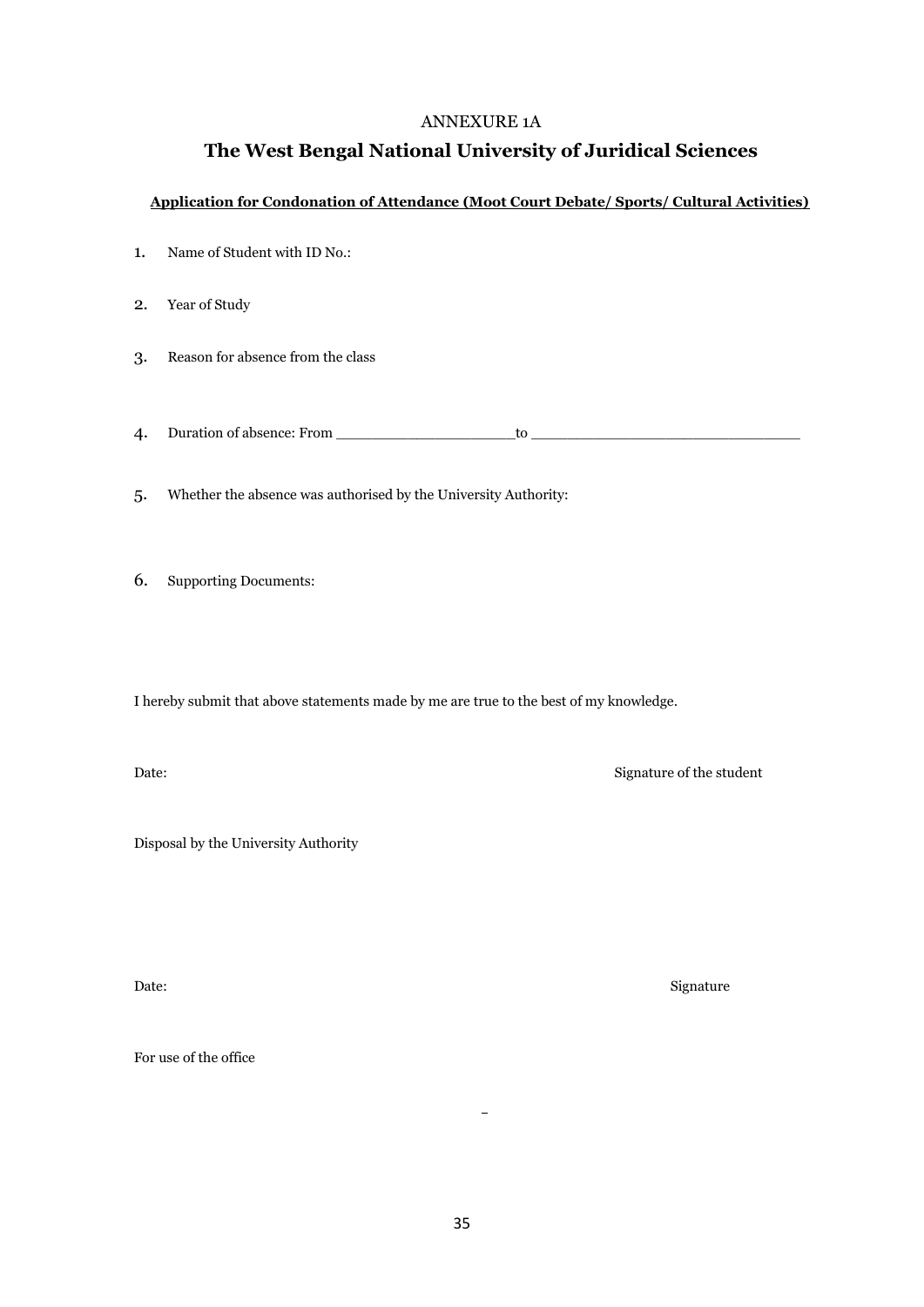#### ANNEXURE 1A

## **The West Bengal National University of Juridical Sciences**

#### **Application for Condonation of Attendance (Moot Court Debate/ Sports/ Cultural Activities)**

- 1. Name of Student with ID No.:
- 2. Year of Study
- 3. Reason for absence from the class

4. Duration of absence: From \_\_\_\_\_\_\_\_\_\_\_\_\_\_\_\_\_\_\_\_to \_\_\_\_\_\_\_\_\_\_\_\_\_\_\_\_\_\_\_\_\_\_\_\_\_\_\_\_\_\_

5. Whether the absence was authorised by the University Authority:

6. Supporting Documents:

I hereby submit that above statements made by me are true to the best of my knowledge.

Date: Signature of the student

Disposal by the University Authority

Date: Signature

For use of the office

 $\overline{a}$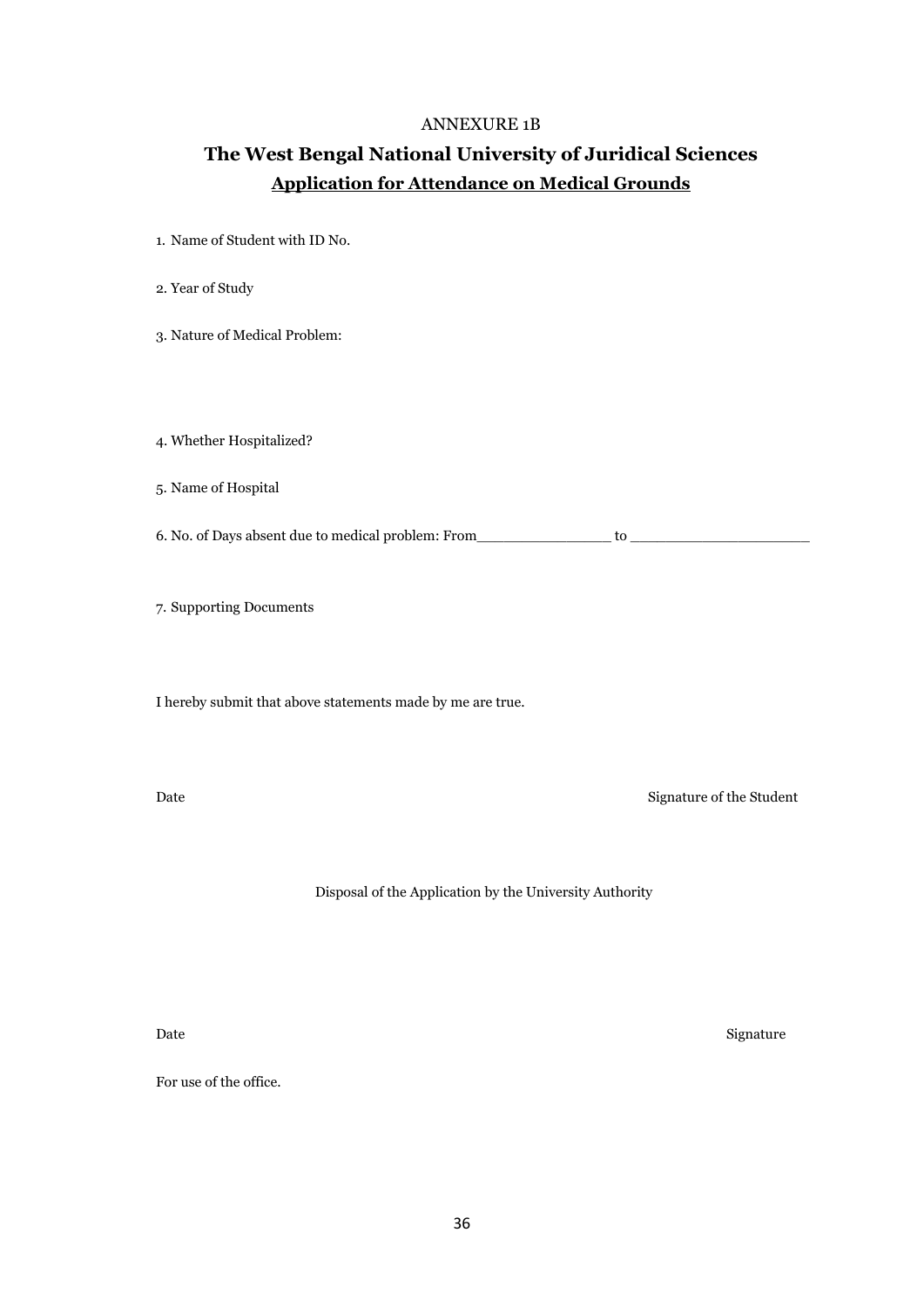#### ANNEXURE 1B

# **The West Bengal National University of Juridical Sciences Application for Attendance on Medical Grounds**

- 1. Name of Student with ID No.
- 2. Year of Study
- 3. Nature of Medical Problem:

4. Whether Hospitalized?

5. Name of Hospital

6. No. of Days absent due to medical problem: From\_\_\_\_\_\_\_\_\_\_\_\_\_\_\_ to \_\_\_\_\_\_\_\_\_\_\_\_\_\_\_\_\_\_\_\_

7. Supporting Documents

I hereby submit that above statements made by me are true.

Date Signature of the Student

Disposal of the Application by the University Authority

Date Signature Signature Signature Signature Signature Signature Signature Signature Signature Signature Signature

For use of the office.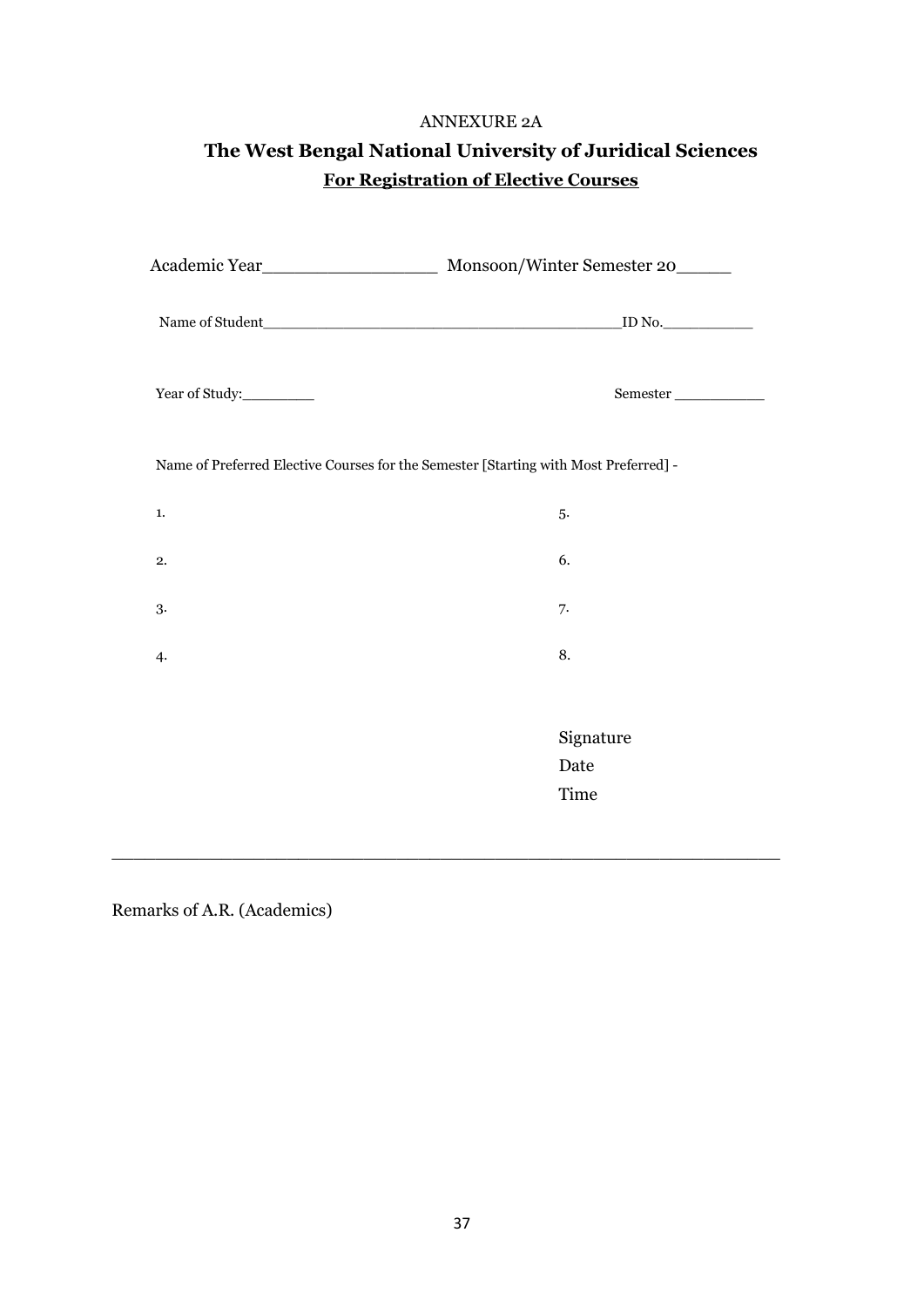#### ANNEXURE 2A

| The West Bengal National University of Juridical Sciences |
|-----------------------------------------------------------|
| <b>For Registration of Elective Courses</b>               |

| Year of Study: | Semester                                                                             |
|----------------|--------------------------------------------------------------------------------------|
|                | Name of Preferred Elective Courses for the Semester [Starting with Most Preferred] - |
| 1.             | 5.                                                                                   |
| 2.             | 6.                                                                                   |
| 3.             | 7.                                                                                   |
| $\ddot{4}$     | 8.                                                                                   |
|                |                                                                                      |
|                | Signature                                                                            |
|                | Date                                                                                 |
|                | Time                                                                                 |
|                |                                                                                      |
|                |                                                                                      |

Remarks of A.R. (Academics)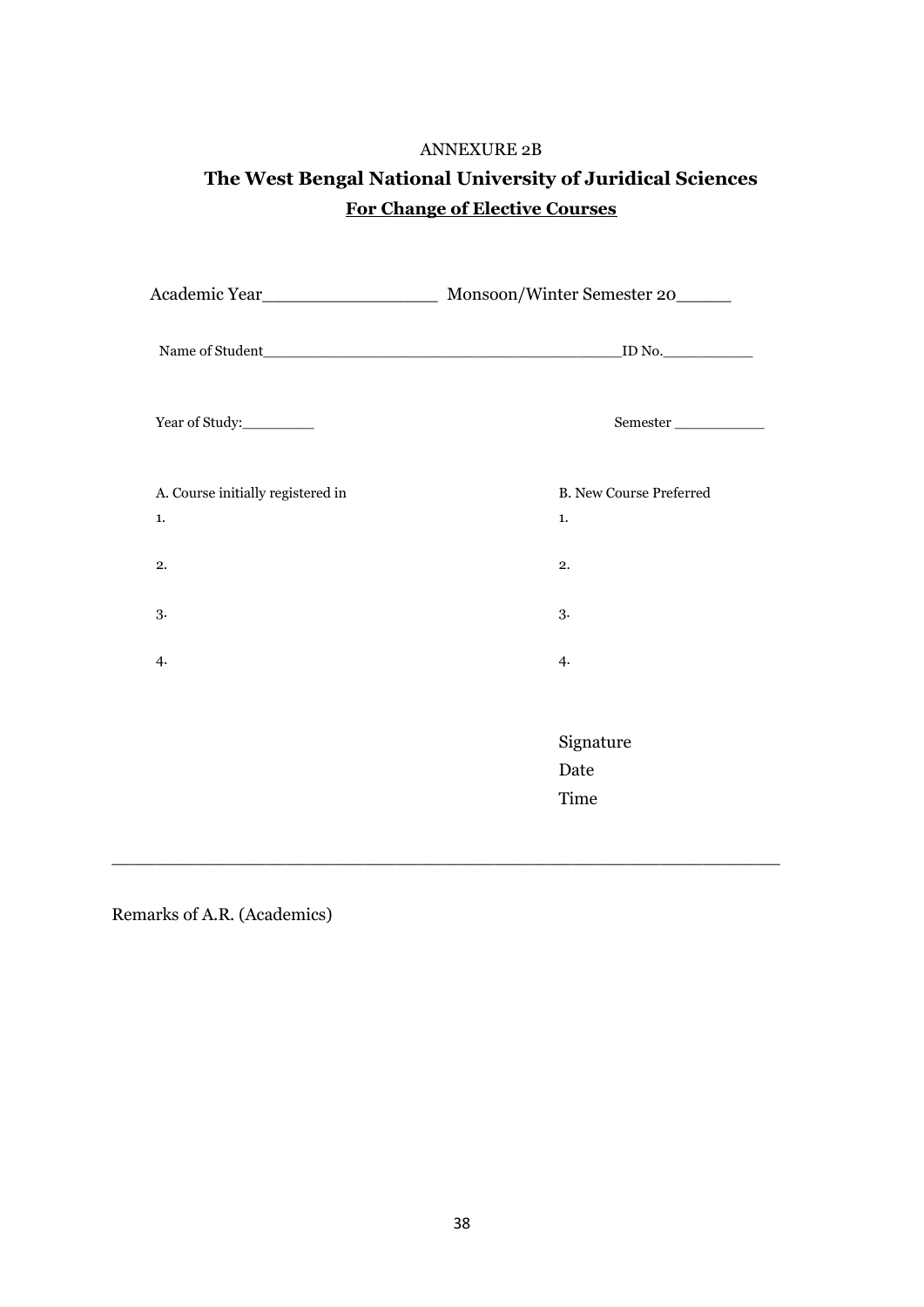# ANNEXURE 2B **The West Bengal National University of Juridical Sciences For Change of Elective Courses**

| ${\tt Semester}\_$                   |
|--------------------------------------|
| <b>B. New Course Preferred</b><br>1. |
| 2.                                   |
| 3.                                   |
| 4.                                   |
|                                      |
| Signature                            |
| Date                                 |
| Time                                 |
|                                      |

\_\_\_\_\_\_\_\_\_\_\_\_\_\_\_\_\_\_\_\_\_\_\_\_\_\_\_\_\_\_\_\_\_\_\_\_\_\_\_\_\_\_\_\_\_\_\_\_\_\_\_\_\_\_\_\_\_\_\_\_\_

Remarks of A.R. (Academics)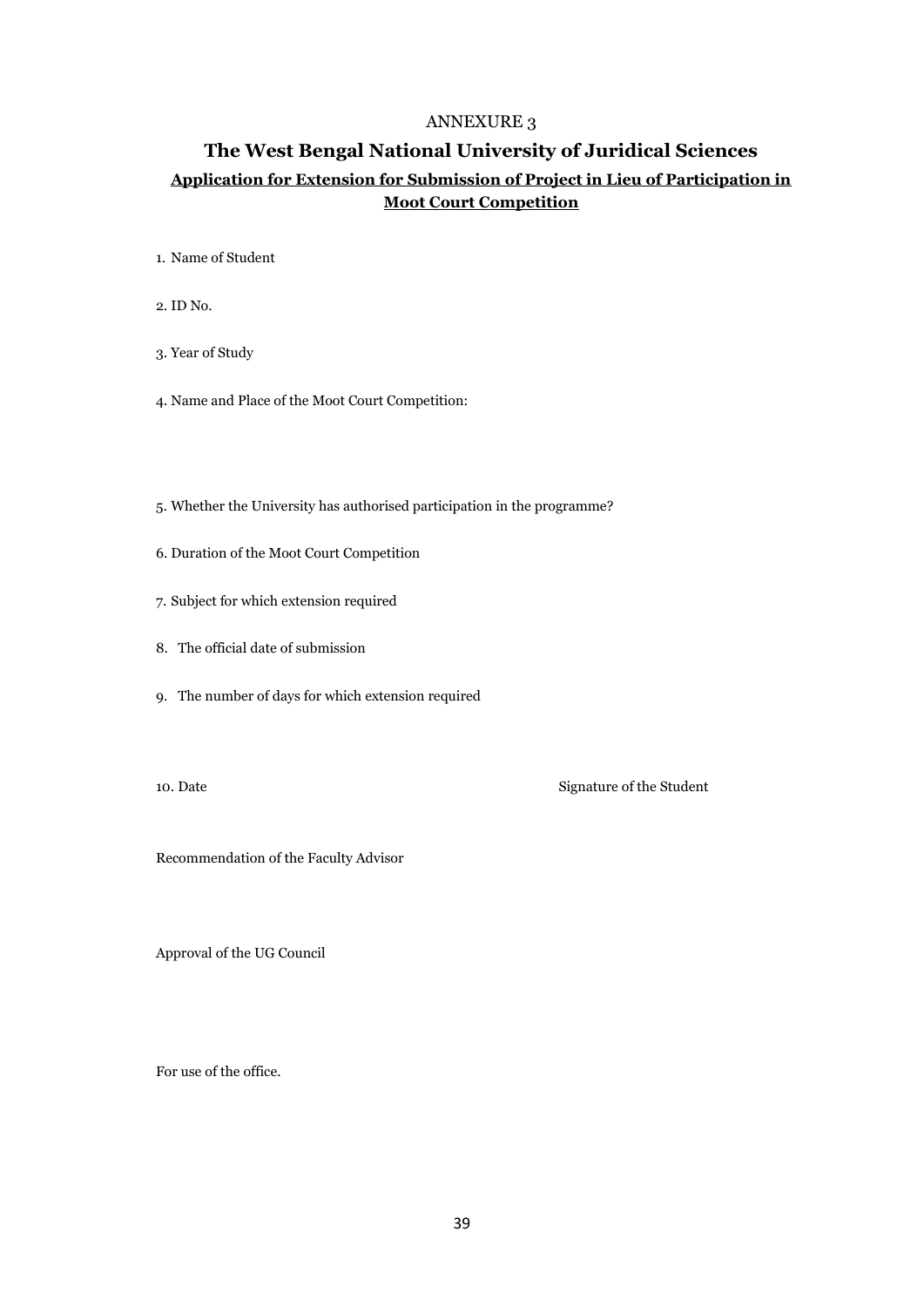## **The West Bengal National University of Juridical Sciences Application for Extension for Submission of Project in Lieu of Participation in Moot Court Competition**

- 1. Name of Student
- 2. ID No.
- 3. Year of Study
- 4. Name and Place of the Moot Court Competition:
- 5. Whether the University has authorised participation in the programme?
- 6. Duration of the Moot Court Competition
- 7. Subject for which extension required
- 8. The official date of submission
- 9. The number of days for which extension required

10. Date Signature of the Student

Recommendation of the Faculty Advisor

Approval of the UG Council

For use of the office.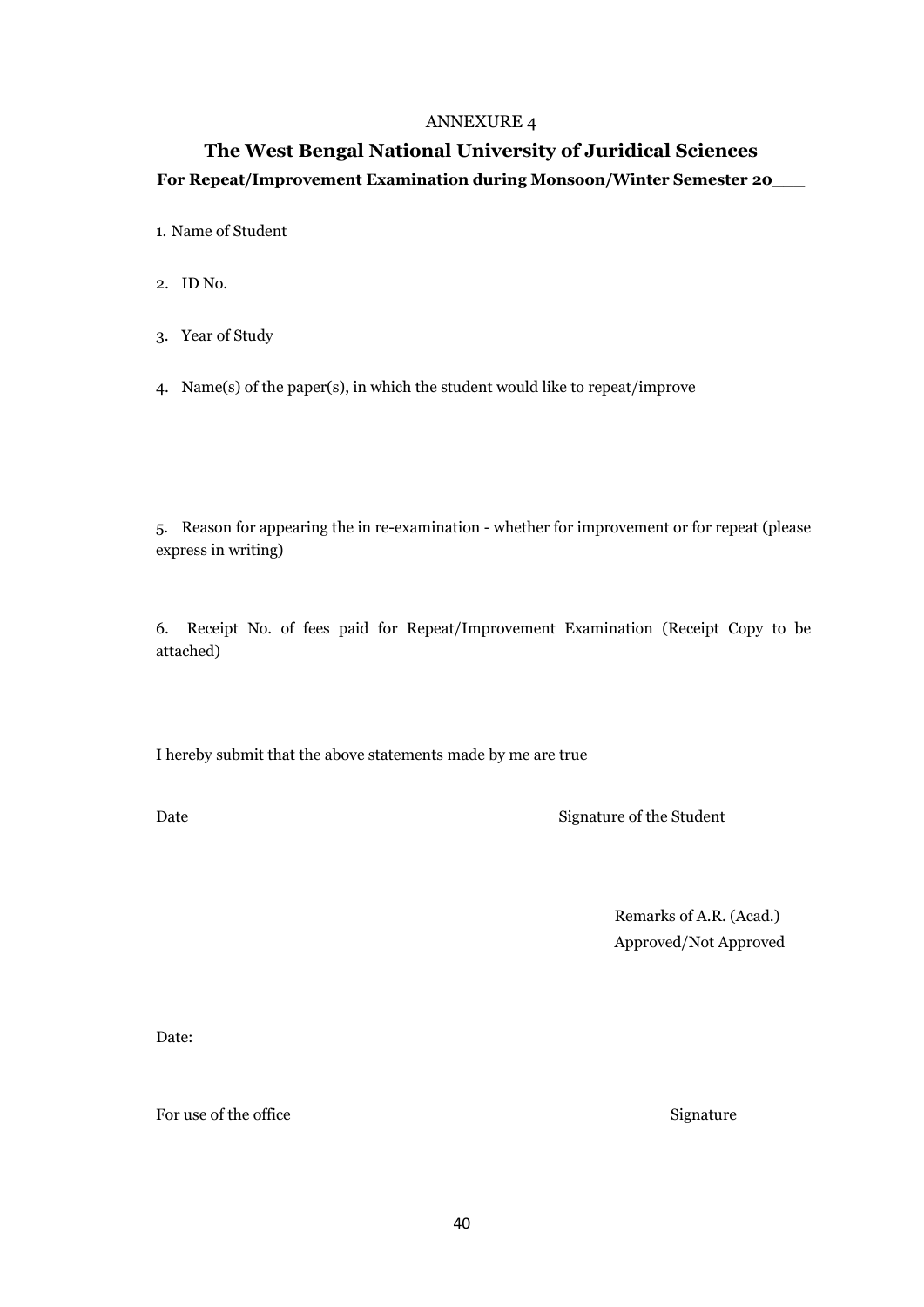## **The West Bengal National University of Juridical Sciences For Repeat/Improvement Examination during Monsoon/Winter Semester 20\_\_\_**

1. Name of Student

- 2. ID No.
- 3. Year of Study
- 4. Name(s) of the paper(s), in which the student would like to repeat/improve

5. Reason for appearing the in re-examination - whether for improvement or for repeat (please express in writing)

6. Receipt No. of fees paid for Repeat/Improvement Examination (Receipt Copy to be attached)

I hereby submit that the above statements made by me are true

Date Signature of the Student

Remarks of A.R. (Acad.) Approved/Not Approved

Date:

For use of the office Signature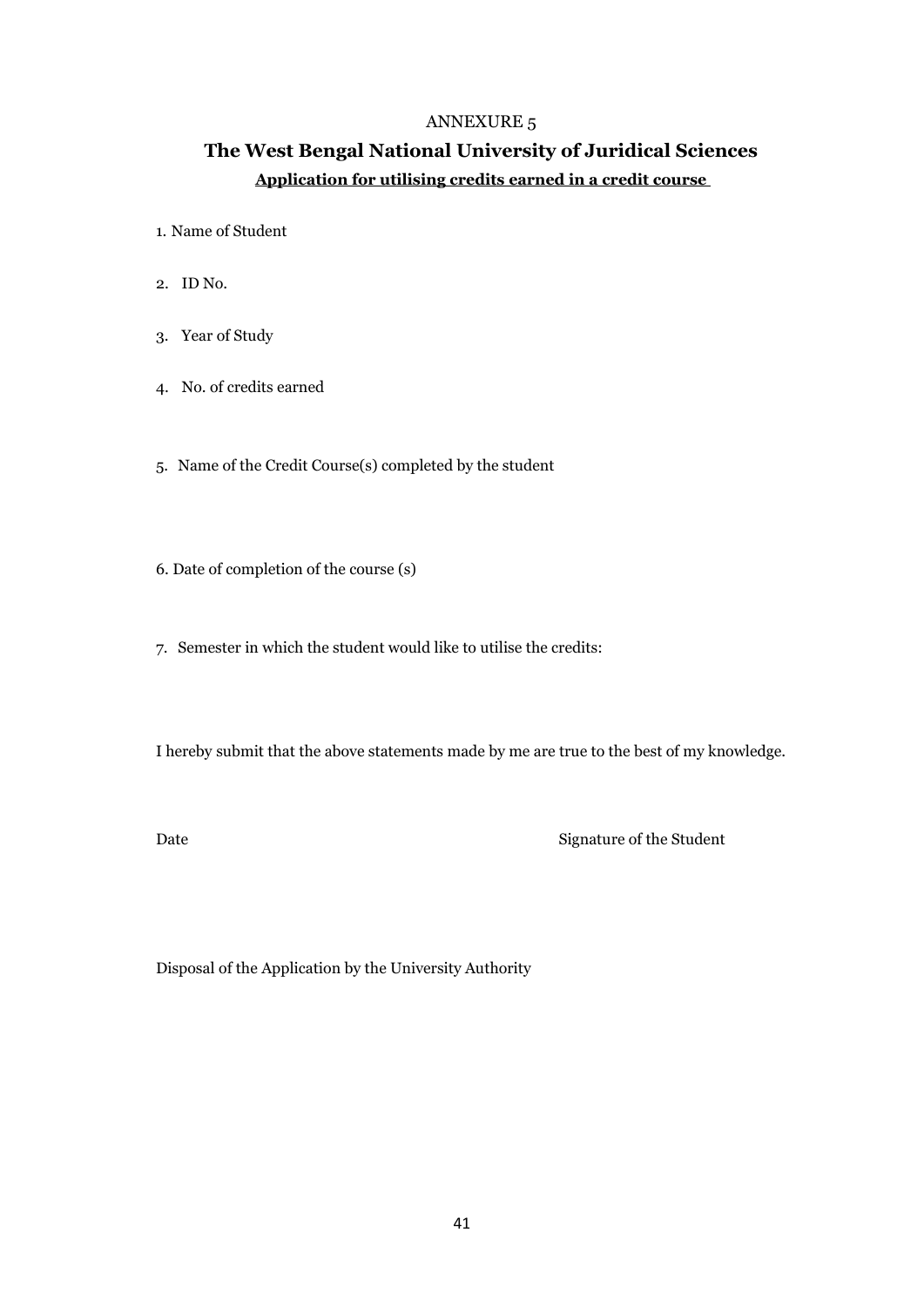# **The West Bengal National University of Juridical Sciences Application for utilising credits earned in a credit course**

- 1. Name of Student
- 2. ID No.
- 3. Year of Study
- 4. No. of credits earned
- 5. Name of the Credit Course(s) completed by the student
- 6. Date of completion of the course (s)
- 7. Semester in which the student would like to utilise the credits:

I hereby submit that the above statements made by me are true to the best of my knowledge.

Date Signature of the Student

Disposal of the Application by the University Authority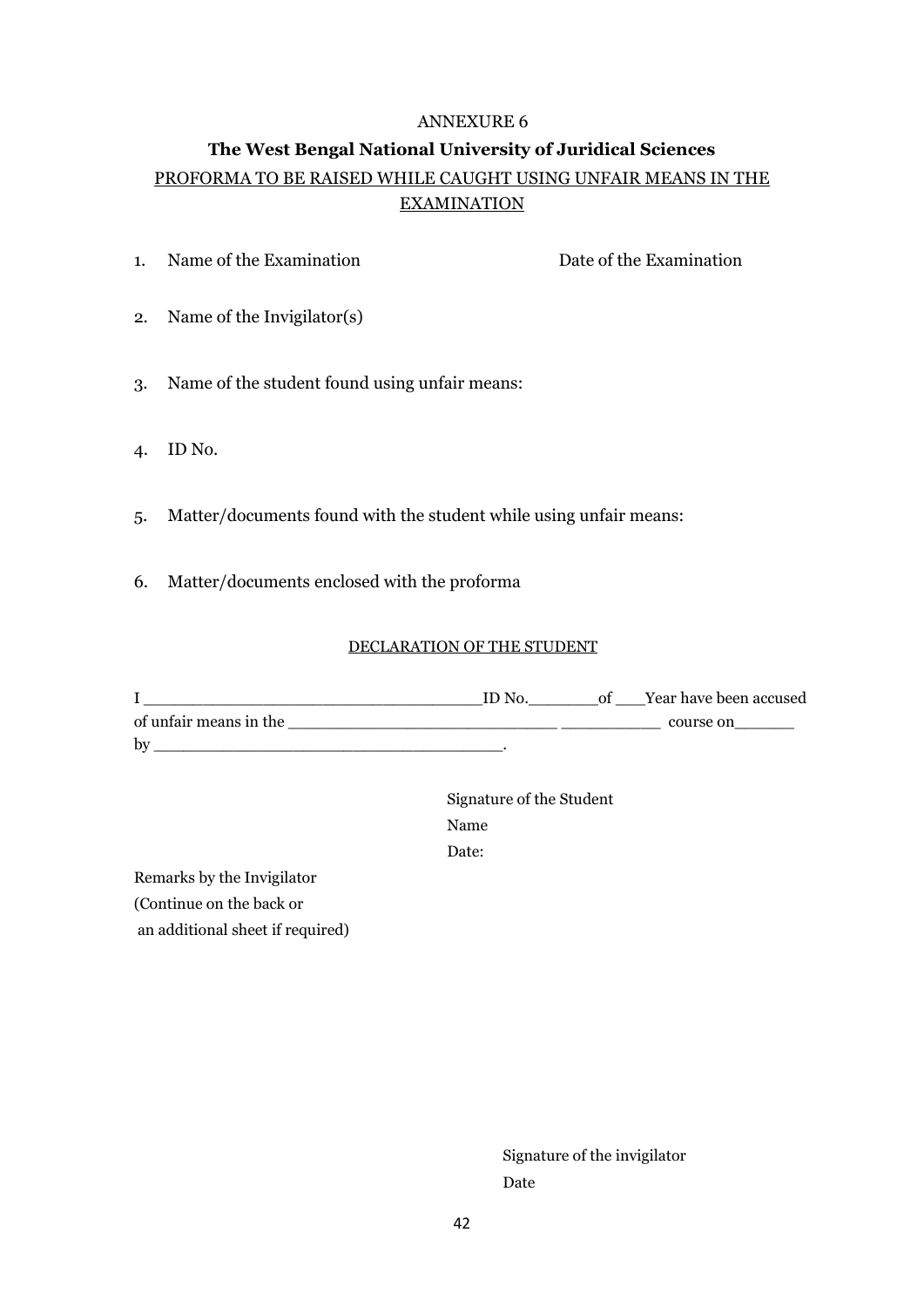# **The West Bengal National University of Juridical Sciences** PROFORMA TO BE RAISED WHILE CAUGHT USING UNFAIR MEANS IN THE **EXAMINATION**

1. Name of the Examination Date of the Examination

- 2. Name of the Invigilator(s)
- 3. Name of the student found using unfair means:
- 4. ID No.
- 5. Matter/documents found with the student while using unfair means:
- 6. Matter/documents enclosed with the proforma

#### DECLARATION OF THE STUDENT

|                        | ID No. | Year have been accused |
|------------------------|--------|------------------------|
| of unfair means in the |        | course on              |
| by                     |        |                        |

Signature of the Student Name Date:

Remarks by the Invigilator (Continue on the back or an additional sheet if required)

> Signature of the invigilator Date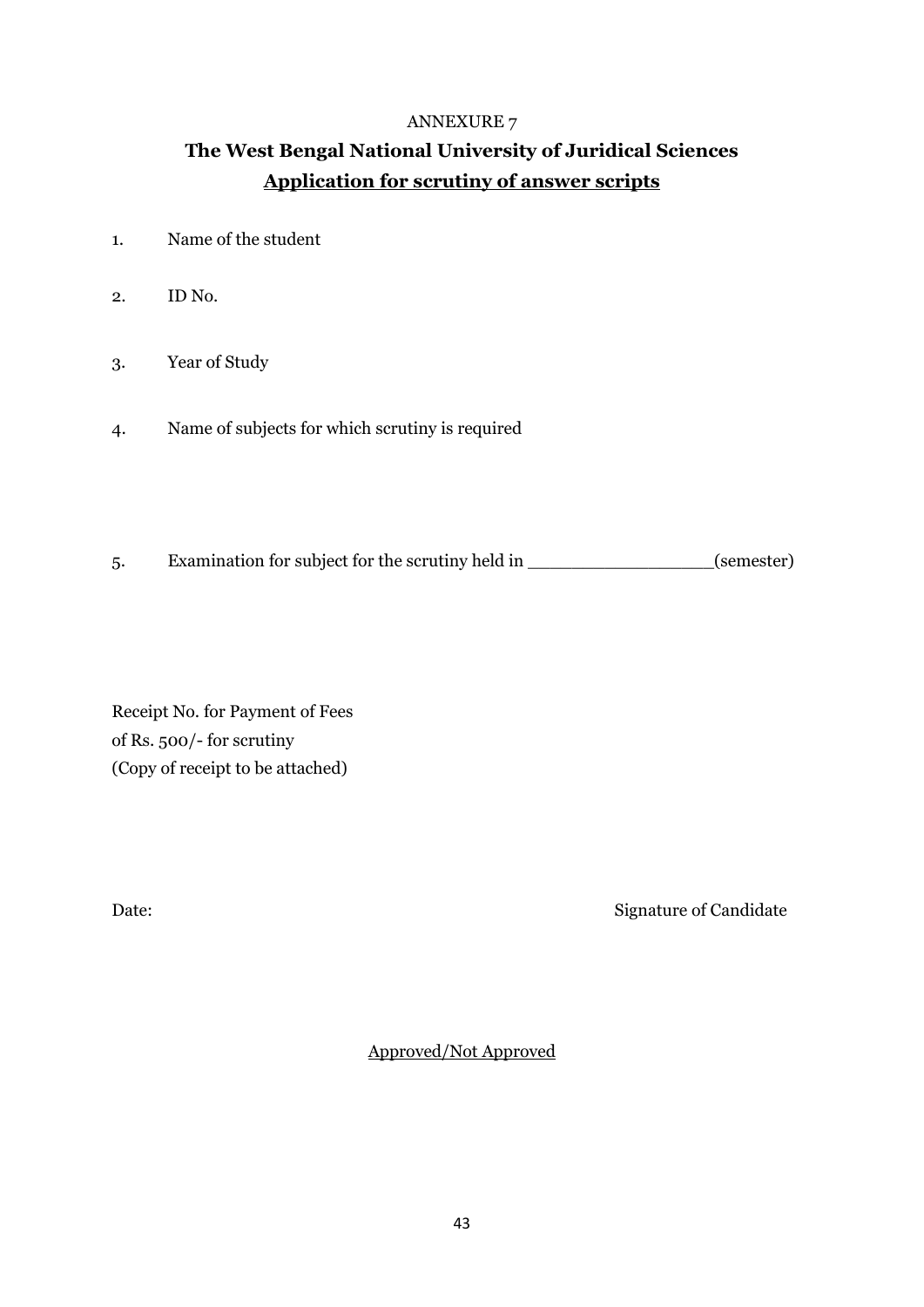# **The West Bengal National University of Juridical Sciences Application for scrutiny of answer scripts**

- 1. Name of the student
- 2. ID No.
- 3. Year of Study
- 4. Name of subjects for which scrutiny is required
- 5. Examination for subject for the scrutiny held in \_\_\_\_\_\_\_\_\_\_\_\_\_\_\_\_\_\_(semester)

Receipt No. for Payment of Fees of Rs. 500/- for scrutiny (Copy of receipt to be attached)

Date: Signature of Candidate

Approved/Not Approved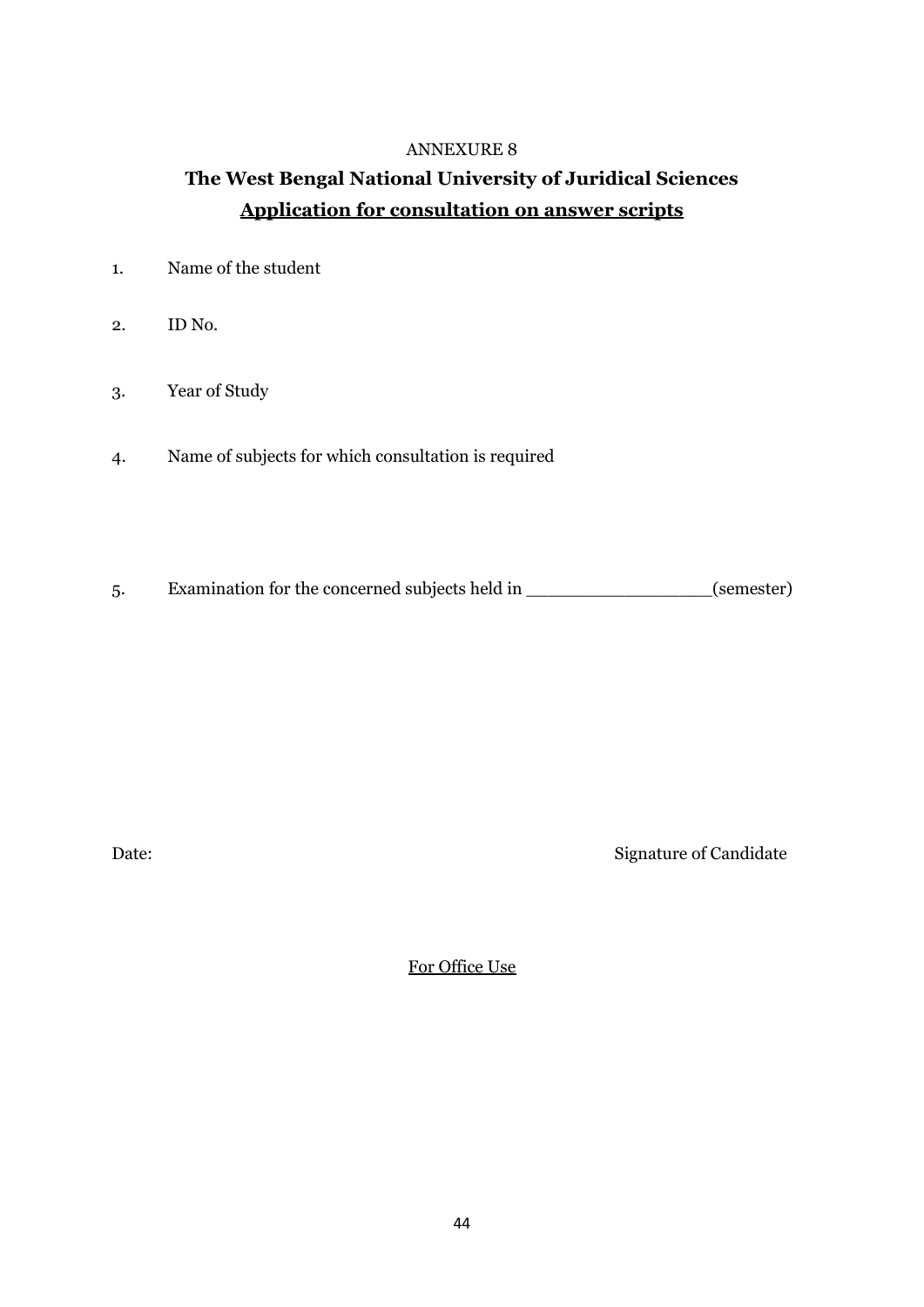# **The West Bengal National University of Juridical Sciences Application for consultation on answer scripts**

- 1. Name of the student
- 2. ID No.
- 3. Year of Study
- 4. Name of subjects for which consultation is required
- 5. Examination for the concerned subjects held in \_\_\_\_\_\_\_\_\_\_\_\_\_\_\_\_\_(semester)

Date: Signature of Candidate

For Office Use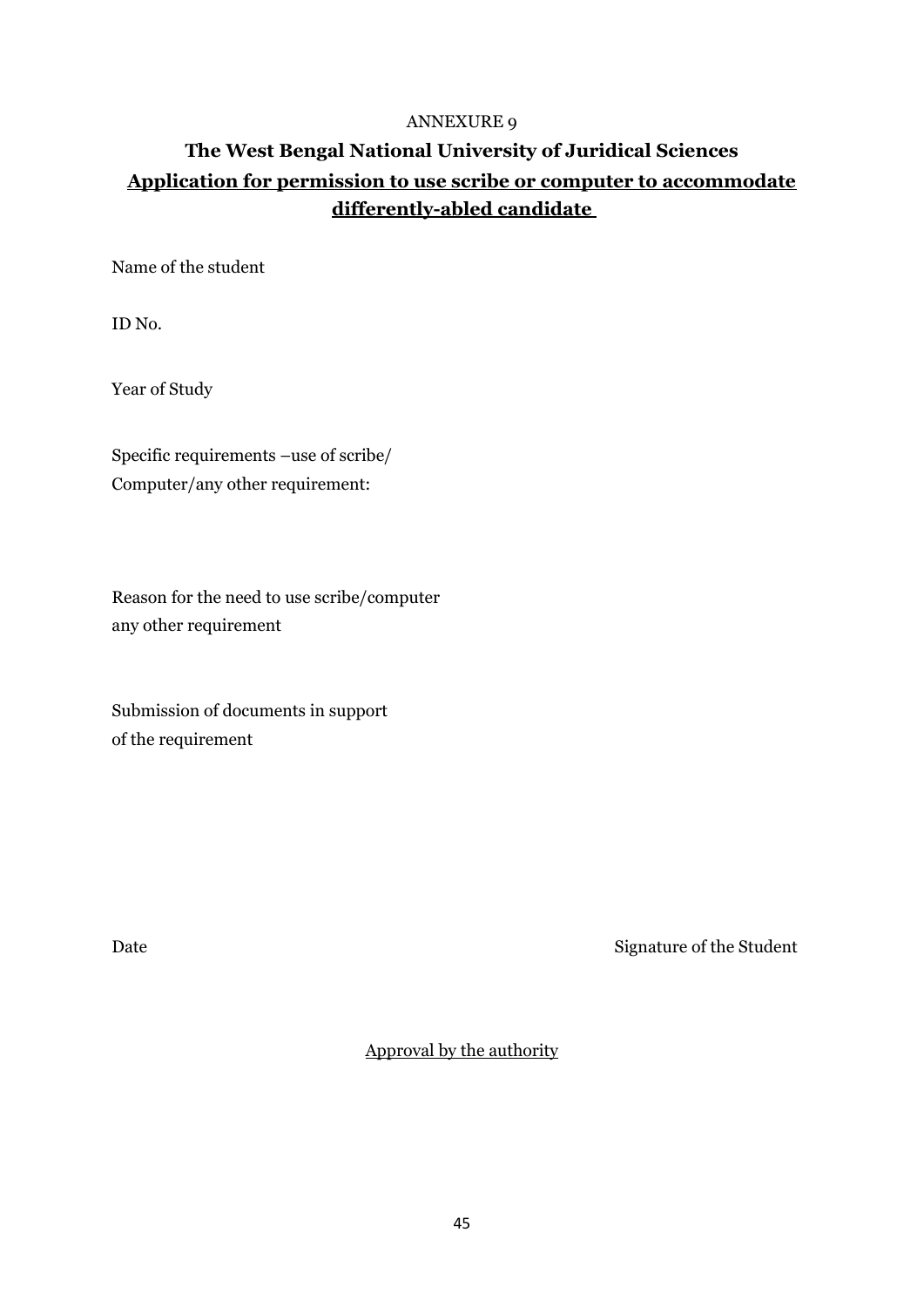# **The West Bengal National University of Juridical Sciences Application for permission to use scribe or computer to accommodate differently-abled candidate**

Name of the student

ID No.

Year of Study

Specific requirements –use of scribe/ Computer/any other requirement:

Reason for the need to use scribe/computer any other requirement

Submission of documents in support of the requirement

Date Signature of the Student

Approval by the authority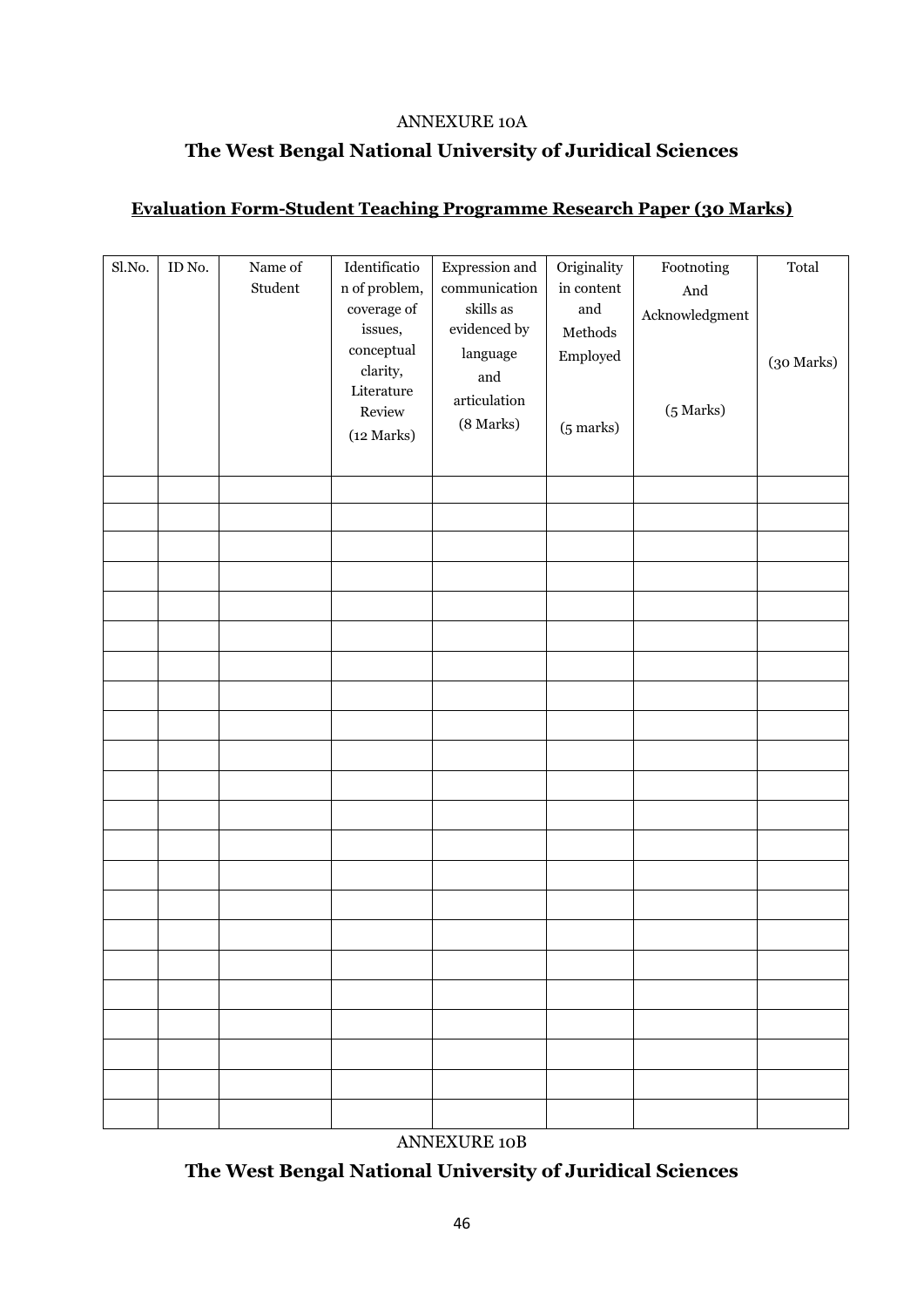### ANNEXURE 10A

# **The West Bengal National University of Juridical Sciences**

## **Evaluation Form-Student Teaching Programme Research Paper (30 Marks)**

| Sl.No. | ID No. | Name of<br>Student | Identificatio<br>n of problem,<br>coverage of<br>issues,<br>conceptual<br>clarity,<br>Literature<br>Review<br>(12 Marks) | Expression and<br>communication<br>skills as<br>evidenced by<br>language<br>and<br>articulation<br>(8 Marks) | Originality<br>in content<br>$\quad$ and<br>$\operatorname{\mathbf{Methods}}$<br>Employed<br>$(5 \text{ marks})$ | $\mbox{footnoting}$<br>And<br>Acknowledgment<br>$(5$ Marks) | Total<br>(30 Marks) |
|--------|--------|--------------------|--------------------------------------------------------------------------------------------------------------------------|--------------------------------------------------------------------------------------------------------------|------------------------------------------------------------------------------------------------------------------|-------------------------------------------------------------|---------------------|
|        |        |                    |                                                                                                                          |                                                                                                              |                                                                                                                  |                                                             |                     |
|        |        |                    |                                                                                                                          |                                                                                                              |                                                                                                                  |                                                             |                     |
|        |        |                    |                                                                                                                          |                                                                                                              |                                                                                                                  |                                                             |                     |
|        |        |                    |                                                                                                                          |                                                                                                              |                                                                                                                  |                                                             |                     |
|        |        |                    |                                                                                                                          |                                                                                                              |                                                                                                                  |                                                             |                     |
|        |        |                    |                                                                                                                          |                                                                                                              |                                                                                                                  |                                                             |                     |
|        |        |                    |                                                                                                                          |                                                                                                              |                                                                                                                  |                                                             |                     |
|        |        |                    |                                                                                                                          |                                                                                                              |                                                                                                                  |                                                             |                     |
|        |        |                    |                                                                                                                          |                                                                                                              |                                                                                                                  |                                                             |                     |
|        |        |                    |                                                                                                                          |                                                                                                              |                                                                                                                  |                                                             |                     |
|        |        |                    |                                                                                                                          |                                                                                                              |                                                                                                                  |                                                             |                     |
|        |        |                    |                                                                                                                          |                                                                                                              |                                                                                                                  |                                                             |                     |
|        |        |                    |                                                                                                                          |                                                                                                              |                                                                                                                  |                                                             |                     |
|        |        |                    |                                                                                                                          |                                                                                                              |                                                                                                                  |                                                             |                     |
|        |        |                    |                                                                                                                          |                                                                                                              |                                                                                                                  |                                                             |                     |
|        |        |                    |                                                                                                                          |                                                                                                              |                                                                                                                  |                                                             |                     |
|        |        |                    |                                                                                                                          |                                                                                                              |                                                                                                                  |                                                             |                     |
|        |        |                    |                                                                                                                          |                                                                                                              |                                                                                                                  |                                                             |                     |
|        |        |                    |                                                                                                                          |                                                                                                              |                                                                                                                  |                                                             |                     |
|        |        |                    |                                                                                                                          |                                                                                                              |                                                                                                                  |                                                             |                     |
|        |        |                    |                                                                                                                          |                                                                                                              |                                                                                                                  |                                                             |                     |

ANNEXURE 10B

**The West Bengal National University of Juridical Sciences**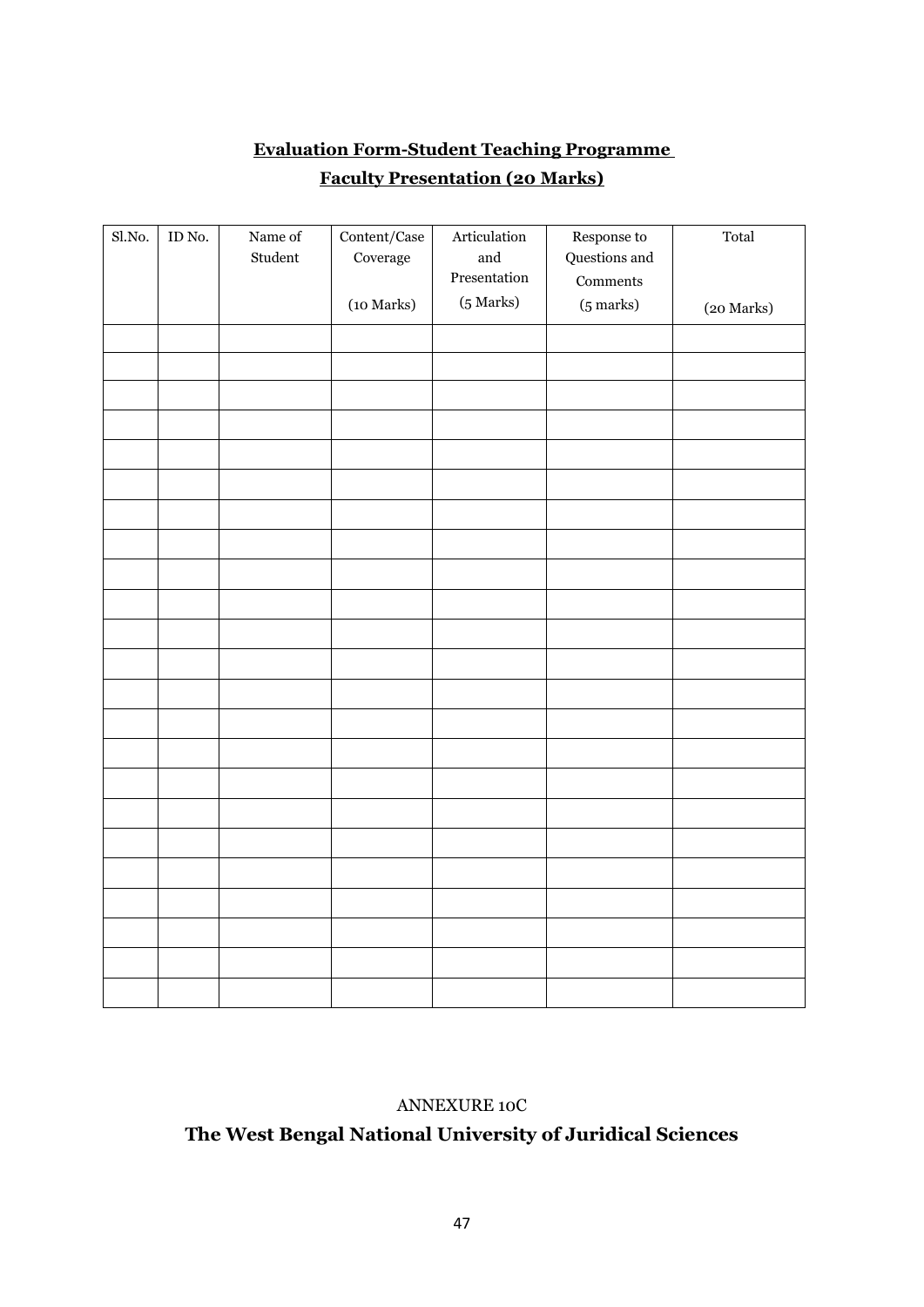# **Evaluation Form-Student Teaching Programme Faculty Presentation (20 Marks)**

| Sl.No. | $\mathop{\rm ID}\nolimits$ No. | Name of<br>Student | $\mbox{Content/Case}$<br>Coverage | Articulation<br>and<br>Presentation<br>(5 Marks) | Response to<br>Questions and<br>Comments | Total      |
|--------|--------------------------------|--------------------|-----------------------------------|--------------------------------------------------|------------------------------------------|------------|
|        |                                |                    | (10 Marks)                        |                                                  | $(5 \text{ marks})$                      | (20 Marks) |
|        |                                |                    |                                   |                                                  |                                          |            |
|        |                                |                    |                                   |                                                  |                                          |            |
|        |                                |                    |                                   |                                                  |                                          |            |
|        |                                |                    |                                   |                                                  |                                          |            |
|        |                                |                    |                                   |                                                  |                                          |            |
|        |                                |                    |                                   |                                                  |                                          |            |
|        |                                |                    |                                   |                                                  |                                          |            |
|        |                                |                    |                                   |                                                  |                                          |            |
|        |                                |                    |                                   |                                                  |                                          |            |
|        |                                |                    |                                   |                                                  |                                          |            |
|        |                                |                    |                                   |                                                  |                                          |            |
|        |                                |                    |                                   |                                                  |                                          |            |
|        |                                |                    |                                   |                                                  |                                          |            |
|        |                                |                    |                                   |                                                  |                                          |            |
|        |                                |                    |                                   |                                                  |                                          |            |
|        |                                |                    |                                   |                                                  |                                          |            |
|        |                                |                    |                                   |                                                  |                                          |            |
|        |                                |                    |                                   |                                                  |                                          |            |
|        |                                |                    |                                   |                                                  |                                          |            |
|        |                                |                    |                                   |                                                  |                                          |            |
|        |                                |                    |                                   |                                                  |                                          |            |
|        |                                |                    |                                   |                                                  |                                          |            |
|        |                                |                    |                                   |                                                  |                                          |            |

## ANNEXURE 10C

# **The West Bengal National University of Juridical Sciences**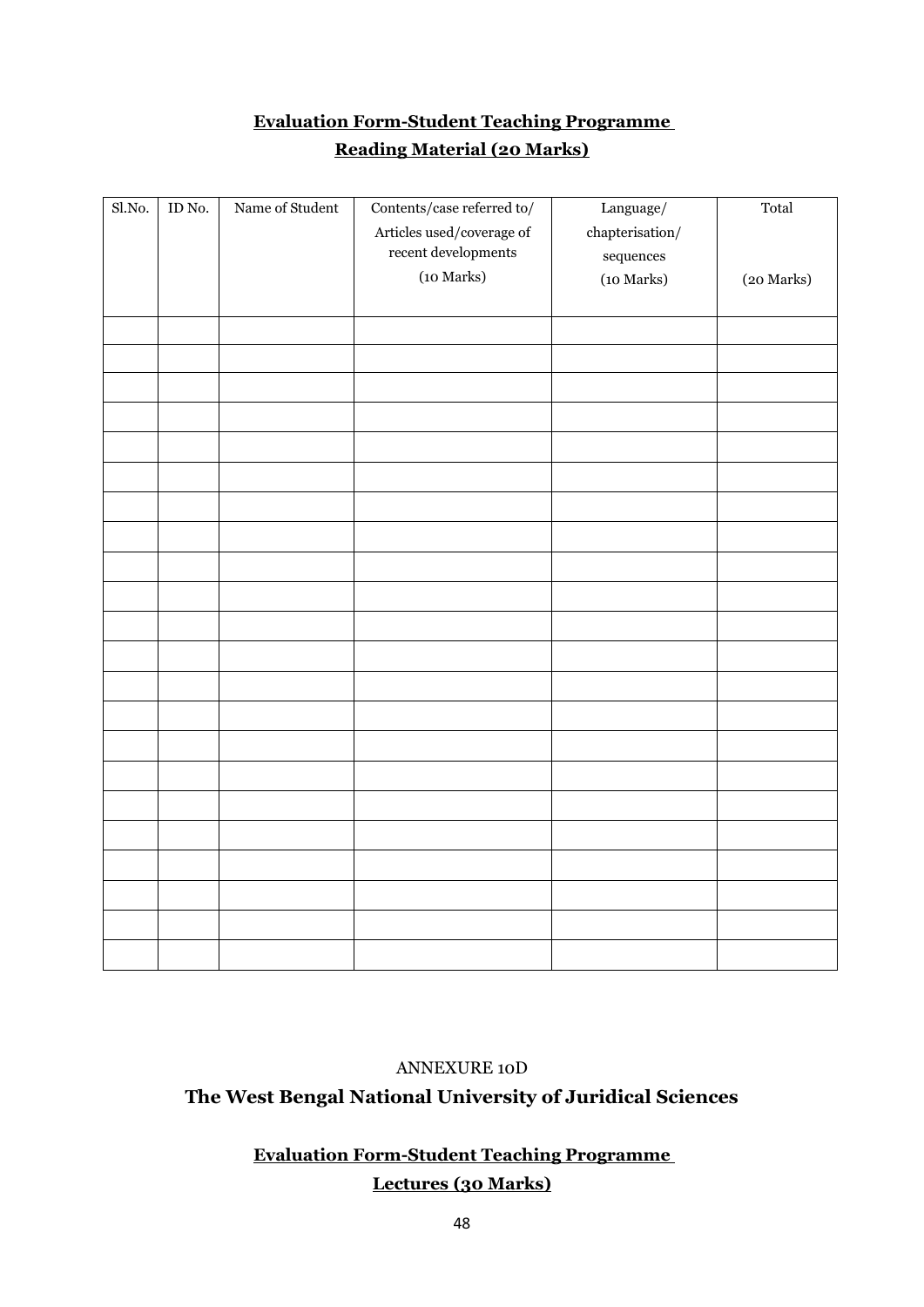# **Evaluation Form-Student Teaching Programme Reading Material (20 Marks)**

| Sl.No. | ID No. | Name of Student | Contents/case referred to/<br>Articles used/coverage of<br>$\!$ recent developments<br>(10 Marks) | Language/<br>${\tt chapterisation}/$<br>$\displaystyle$ sequences<br>(10 Marks) | Total<br>(20 Marks) |
|--------|--------|-----------------|---------------------------------------------------------------------------------------------------|---------------------------------------------------------------------------------|---------------------|
|        |        |                 |                                                                                                   |                                                                                 |                     |
|        |        |                 |                                                                                                   |                                                                                 |                     |
|        |        |                 |                                                                                                   |                                                                                 |                     |
|        |        |                 |                                                                                                   |                                                                                 |                     |
|        |        |                 |                                                                                                   |                                                                                 |                     |
|        |        |                 |                                                                                                   |                                                                                 |                     |
|        |        |                 |                                                                                                   |                                                                                 |                     |
|        |        |                 |                                                                                                   |                                                                                 |                     |
|        |        |                 |                                                                                                   |                                                                                 |                     |
|        |        |                 |                                                                                                   |                                                                                 |                     |
|        |        |                 |                                                                                                   |                                                                                 |                     |
|        |        |                 |                                                                                                   |                                                                                 |                     |
|        |        |                 |                                                                                                   |                                                                                 |                     |
|        |        |                 |                                                                                                   |                                                                                 |                     |
|        |        |                 |                                                                                                   |                                                                                 |                     |
|        |        |                 |                                                                                                   |                                                                                 |                     |
|        |        |                 |                                                                                                   |                                                                                 |                     |
|        |        |                 |                                                                                                   |                                                                                 |                     |
|        |        |                 |                                                                                                   |                                                                                 |                     |
|        |        |                 |                                                                                                   |                                                                                 |                     |
|        |        |                 |                                                                                                   |                                                                                 |                     |
|        |        |                 |                                                                                                   |                                                                                 |                     |

### ANNEXURE 10D

## **The West Bengal National University of Juridical Sciences**

## **Evaluation Form-Student Teaching Programme Lectures (30 Marks)**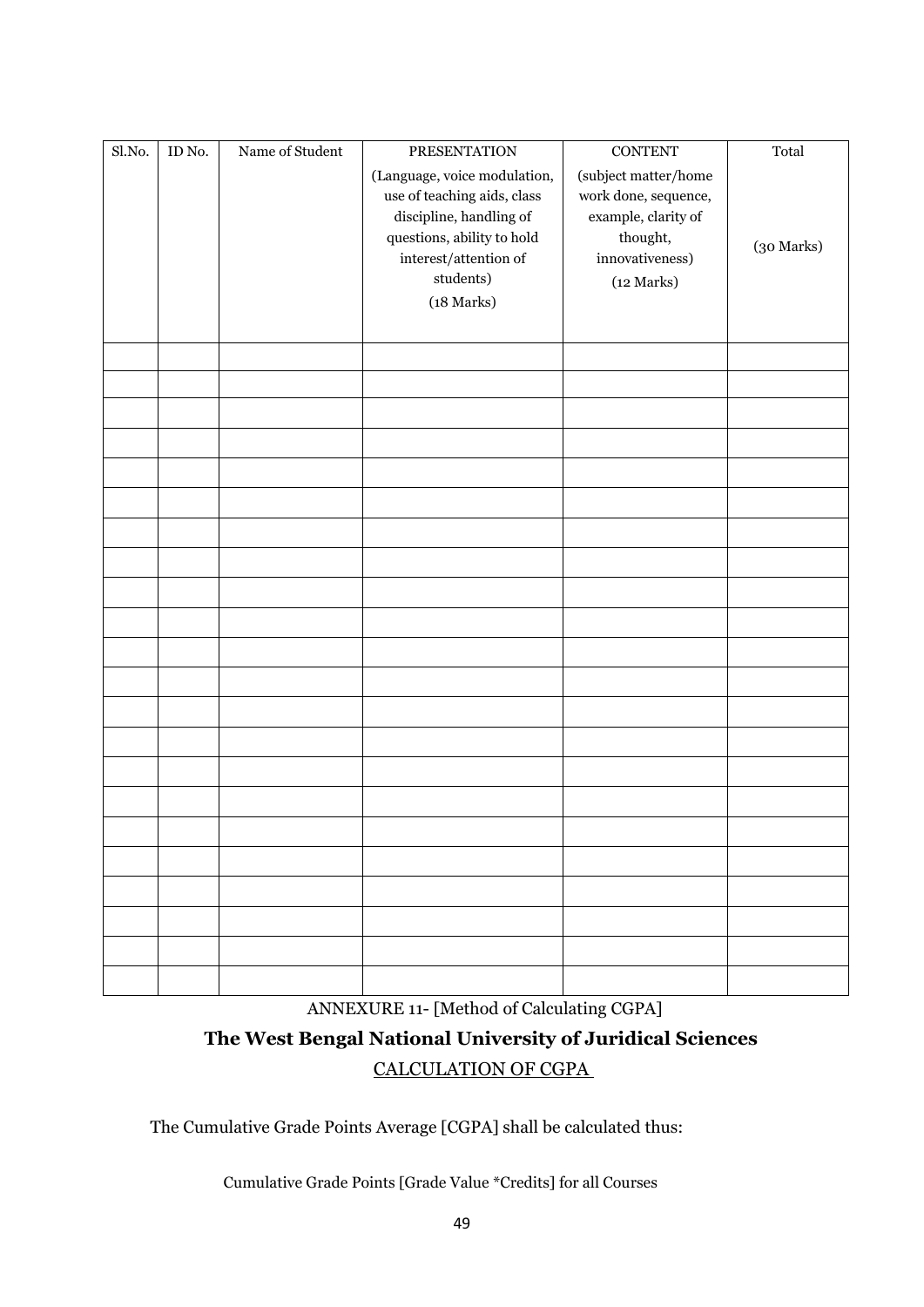| Sl.No. | ID No. | Name of Student | <b>PRESENTATION</b>                                          | <b>CONTENT</b>                               | Total      |
|--------|--------|-----------------|--------------------------------------------------------------|----------------------------------------------|------------|
|        |        |                 | (Language, voice modulation,<br>use of teaching aids, class  | (subject matter/home<br>work done, sequence, |            |
|        |        |                 | discipline, handling of                                      | example, clarity of                          |            |
|        |        |                 | questions, ability to hold<br>$\mbox{interest/attention of}$ | thought,<br>innovativeness)                  | (30 Marks) |
|        |        |                 | students)                                                    | (12 Marks)                                   |            |
|        |        |                 | $(18~\rm{Marks})$                                            |                                              |            |
|        |        |                 |                                                              |                                              |            |
|        |        |                 |                                                              |                                              |            |
|        |        |                 |                                                              |                                              |            |
|        |        |                 |                                                              |                                              |            |
|        |        |                 |                                                              |                                              |            |
|        |        |                 |                                                              |                                              |            |
|        |        |                 |                                                              |                                              |            |
|        |        |                 |                                                              |                                              |            |
|        |        |                 |                                                              |                                              |            |
|        |        |                 |                                                              |                                              |            |
|        |        |                 |                                                              |                                              |            |
|        |        |                 |                                                              |                                              |            |
|        |        |                 |                                                              |                                              |            |
|        |        |                 |                                                              |                                              |            |
|        |        |                 |                                                              |                                              |            |
|        |        |                 |                                                              |                                              |            |
|        |        |                 |                                                              |                                              |            |
|        |        |                 |                                                              |                                              |            |
|        |        |                 |                                                              |                                              |            |
|        |        |                 |                                                              |                                              |            |
|        |        |                 |                                                              |                                              |            |
|        |        |                 |                                                              |                                              |            |
|        |        |                 |                                                              |                                              |            |

ANNEXURE 11- [Method of Calculating CGPA]

# **The West Bengal National University of Juridical Sciences**  CALCULATION OF CGPA

The Cumulative Grade Points Average [CGPA] shall be calculated thus:

Cumulative Grade Points [Grade Value \*Credits] for all Courses